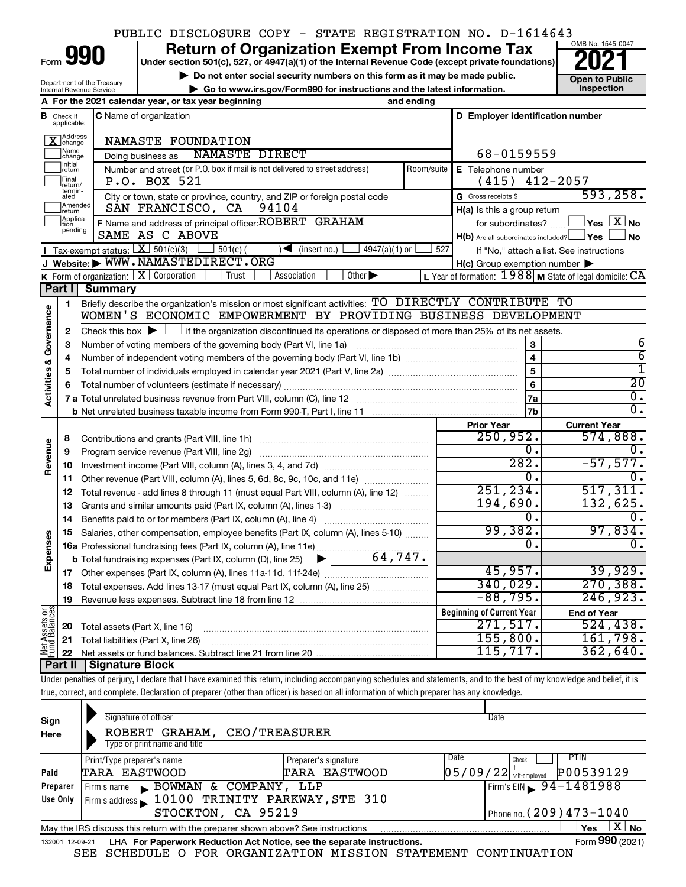### PUBLIC DISCLOSURE COPY - STATE REGISTRATION NO. D-1614643

Form

Department of the Treasury Internal Revenue Service

# **990 a Return of Organization Exempt From Income Tax Physical State (except private foundations) 2021**

**Under section 501(c), 527, or 4947(a)(1) of the Internal Revenue Code (except private foundations)**

**b** Do not enter social security numbers on this form as it may be made public.<br> **Go to www.irs.gov/Form990 for instructions and the latest information. This impection | Go to www.irs.gov/Form990 for instructions and the latest information. Inspection**



|                                    |                              | A For the 2021 calendar year, or tax year beginning                                                                                                                     | and ending                                                                        |                                                     |                                                           |
|------------------------------------|------------------------------|-------------------------------------------------------------------------------------------------------------------------------------------------------------------------|-----------------------------------------------------------------------------------|-----------------------------------------------------|-----------------------------------------------------------|
| в                                  | Check if<br>applicable:      | <b>C</b> Name of organization                                                                                                                                           |                                                                                   | D Employer identification number                    |                                                           |
|                                    | Address<br>]change           | NAMASTE FOUNDATION                                                                                                                                                      |                                                                                   |                                                     |                                                           |
|                                    | Name<br>change               | NAMASTE DIRECT<br>Doing business as                                                                                                                                     |                                                                                   | 68-0159559                                          |                                                           |
|                                    | ]Initial<br>]return          | Number and street (or P.O. box if mail is not delivered to street address)                                                                                              | Room/suite                                                                        | E Telephone number                                  |                                                           |
|                                    | Final<br>return/             | P.O. BOX 521                                                                                                                                                            |                                                                                   | $(415)$ $412-2057$                                  |                                                           |
|                                    | termin-<br>ated              | City or town, state or province, country, and ZIP or foreign postal code                                                                                                |                                                                                   | G Gross receipts \$                                 | 593, 258.                                                 |
|                                    | Amended<br>return            | SAN FRANCISCO, CA<br>94104                                                                                                                                              |                                                                                   | H(a) Is this a group return                         |                                                           |
|                                    | Applica-<br>Ition<br>pending | F Name and address of principal officer: ROBERT GRAHAM                                                                                                                  |                                                                                   | for subordinates?                                   | $ {\mathsf Y}\mathsf{es}\ \overline{{\mathsf X}}$ No      |
|                                    |                              | SAME AS C ABOVE                                                                                                                                                         |                                                                                   | $H(b)$ Are all subordinates included? $\Box$ Yes    | ∫No                                                       |
|                                    |                              | Tax-exempt status: $X \overline{3}$ 501(c)(3)<br>$\frac{1}{2}$ 501(c) (<br>$\sqrt{\frac{1}{1}}$ (insert no.)<br>$4947(a)(1)$ or                                         | 527                                                                               |                                                     | If "No," attach a list. See instructions                  |
|                                    |                              | J Website: WWW.NAMASTEDIRECT.ORG                                                                                                                                        |                                                                                   | $H(c)$ Group exemption number $\blacktriangleright$ |                                                           |
|                                    |                              | K Form of organization: $X$ Corporation<br>Trust<br>Association<br>Other $\blacktriangleright$                                                                          |                                                                                   |                                                     | L Year of formation: $1988$ M State of legal domicile: CA |
|                                    | <b>Part I</b>                | <b>Summary</b>                                                                                                                                                          |                                                                                   |                                                     |                                                           |
|                                    | 1                            | Briefly describe the organization's mission or most significant activities: TO DIRECTLY CONTRIBUTE TO<br>WOMEN'S ECONOMIC EMPOWERMENT BY PROVIDING BUSINESS DEVELOPMENT |                                                                                   |                                                     |                                                           |
| <b>Activities &amp; Governance</b> |                              |                                                                                                                                                                         |                                                                                   |                                                     |                                                           |
|                                    | $\mathbf{2}$<br>3            | Check this box $\blacktriangleright$ $\Box$ if the organization discontinued its operations or disposed of more than 25% of its net assets.                             |                                                                                   | 3                                                   | 6                                                         |
|                                    | 4                            | Number of voting members of the governing body (Part VI, line 1a)                                                                                                       |                                                                                   | $\overline{\mathbf{4}}$                             | $\overline{6}$                                            |
|                                    | 5                            |                                                                                                                                                                         |                                                                                   | $\overline{5}$                                      | T                                                         |
|                                    | 6                            |                                                                                                                                                                         | 6                                                                                 | $\overline{20}$                                     |                                                           |
|                                    |                              |                                                                                                                                                                         |                                                                                   | 7a                                                  | $\overline{\mathfrak{o}}$ .                               |
|                                    |                              |                                                                                                                                                                         |                                                                                   | 7b                                                  | $\overline{0}$ .                                          |
|                                    |                              |                                                                                                                                                                         |                                                                                   | <b>Prior Year</b>                                   | <b>Current Year</b>                                       |
|                                    | 8                            | Contributions and grants (Part VIII, line 1h)                                                                                                                           |                                                                                   | 250,952.                                            | 574,888.                                                  |
|                                    | 9                            | Program service revenue (Part VIII, line 2g)                                                                                                                            |                                                                                   | о.                                                  | О.                                                        |
| Revenue                            | 10                           |                                                                                                                                                                         |                                                                                   | 282.                                                | $-57,577.$                                                |
|                                    | 11                           | Other revenue (Part VIII, column (A), lines 5, 6d, 8c, 9c, 10c, and 11e)                                                                                                |                                                                                   | $\overline{0}$ .                                    | О.                                                        |
|                                    | 12                           | Total revenue - add lines 8 through 11 (must equal Part VIII, column (A), line 12)                                                                                      |                                                                                   | 251, 234.                                           | 517, 311.                                                 |
|                                    | 13                           | Grants and similar amounts paid (Part IX, column (A), lines 1-3)                                                                                                        |                                                                                   | 194,690.                                            | 132,625.                                                  |
|                                    | 14                           |                                                                                                                                                                         |                                                                                   | 0.                                                  | $\overline{0}$ .                                          |
|                                    | 15                           | Salaries, other compensation, employee benefits (Part IX, column (A), lines 5-10)                                                                                       |                                                                                   | 99,382.                                             | 97,834.                                                   |
| Expenses                           |                              |                                                                                                                                                                         |                                                                                   | 0.                                                  | О.                                                        |
|                                    |                              |                                                                                                                                                                         |                                                                                   |                                                     |                                                           |
|                                    |                              |                                                                                                                                                                         |                                                                                   | 45,957.<br>340,029.                                 | 39,929.<br>270, 388.                                      |
|                                    | 18                           |                                                                                                                                                                         | Total expenses. Add lines 13-17 (must equal Part IX, column (A), line 25) <i></i> |                                                     |                                                           |
|                                    | 19                           |                                                                                                                                                                         |                                                                                   | $-88,795.$                                          | 246,923.                                                  |
| $rac{\text{or}}{\text{ces}}$       |                              |                                                                                                                                                                         |                                                                                   | <b>Beginning of Current Year</b>                    | <b>End of Year</b>                                        |
| Net Assets<br>Fund Balanc          | 20                           | Total assets (Part X, line 16)                                                                                                                                          |                                                                                   | 271,517.                                            | 524,438.                                                  |
|                                    | 21                           | Total liabilities (Part X, line 26)                                                                                                                                     |                                                                                   | 155,800.                                            | 161,798.                                                  |
|                                    | 22                           |                                                                                                                                                                         |                                                                                   | 115, 717.                                           | 362,640.                                                  |
|                                    | Part II                      | Signature Block                                                                                                                                                         |                                                                                   |                                                     |                                                           |

Under penalties of perjury, I declare that I have examined this return, including accompanying schedules and statements, and to the best of my knowledge and belief, it is true, correct, and complete. Declaration of preparer (other than officer) is based on all information of which preparer has any knowledge.

| Sign<br>Here | Signature of officer<br>ROBERT GRAHAM, CEO/TREASURER<br>Type or print name and title                             |                                       |      | Date                              |                   |  |  |  |
|--------------|------------------------------------------------------------------------------------------------------------------|---------------------------------------|------|-----------------------------------|-------------------|--|--|--|
| Paid         | Print/Type preparer's name<br>TARA EASTWOOD                                                                      | Preparer's signature<br>TARA EASTWOOD | Date | Check<br>$05/09/22$ self-employed | PTIN<br>P00539129 |  |  |  |
| Preparer     | BOWMAN & COMPANY, LLP<br>Firm's name                                                                             |                                       |      | Firm's EIN $\, 94 - 1481988$      |                   |  |  |  |
| Use Only     | Firm's address 10100 TRINITY PARKWAY, STE 310<br>STOCKTON, CA 95219                                              |                                       |      | Phone no. $(209)473 - 1040$       |                   |  |  |  |
|              | ΧI<br><b>No</b><br>May the IRS discuss this return with the preparer shown above? See instructions<br><b>Yes</b> |                                       |      |                                   |                   |  |  |  |
|              | Form 990 (2021)<br>LHA For Paperwork Reduction Act Notice, see the separate instructions.<br>132001 12-09-21     |                                       |      |                                   |                   |  |  |  |

SEE SCHEDULE O FOR ORGANIZATION MISSION STATEMENT CONTINUATION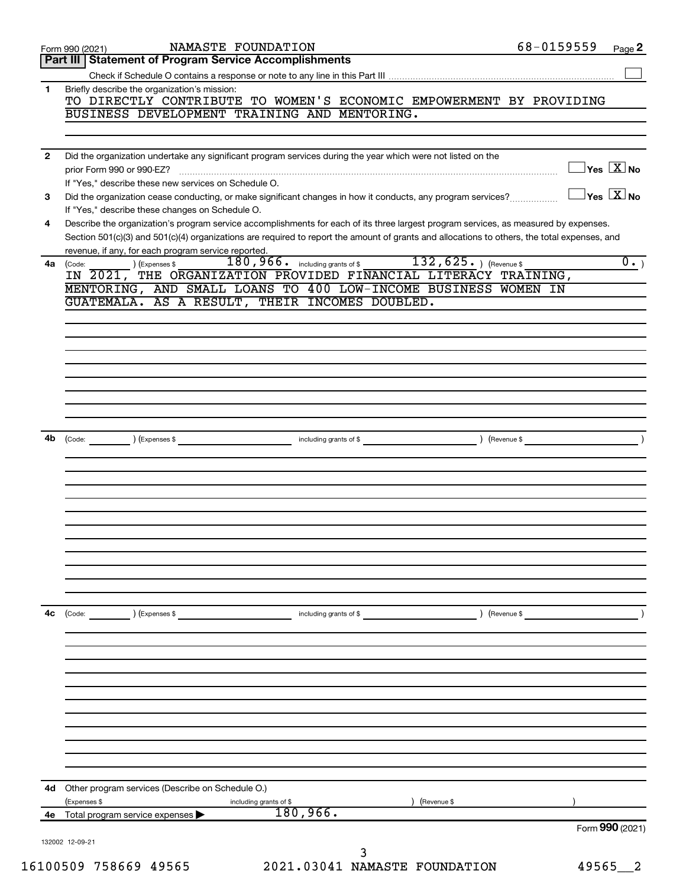|              | NAMASTE FOUNDATION<br>Form 990 (2021)                                                                                                                           | 68-0159559 | Page 2                                  |
|--------------|-----------------------------------------------------------------------------------------------------------------------------------------------------------------|------------|-----------------------------------------|
|              | Part III   Statement of Program Service Accomplishments                                                                                                         |            |                                         |
|              |                                                                                                                                                                 |            |                                         |
| 1.           | Briefly describe the organization's mission:                                                                                                                    |            |                                         |
|              | TO DIRECTLY CONTRIBUTE TO WOMEN'S ECONOMIC EMPOWERMENT BY PROVIDING<br>BUSINESS DEVELOPMENT TRAINING AND MENTORING.                                             |            |                                         |
|              |                                                                                                                                                                 |            |                                         |
|              |                                                                                                                                                                 |            |                                         |
| $\mathbf{2}$ | Did the organization undertake any significant program services during the year which were not listed on the                                                    |            |                                         |
|              |                                                                                                                                                                 |            | $\Box$ Yes $[\overline{\mathrm{X}}]$ No |
|              | If "Yes," describe these new services on Schedule O.                                                                                                            |            | $\Box$ Yes $[\overline{\mathrm{X}}]$ No |
| 3            | Did the organization cease conducting, or make significant changes in how it conducts, any program services?<br>If "Yes," describe these changes on Schedule O. |            |                                         |
| 4            | Describe the organization's program service accomplishments for each of its three largest program services, as measured by expenses.                            |            |                                         |
|              | Section 501(c)(3) and 501(c)(4) organizations are required to report the amount of grants and allocations to others, the total expenses, and                    |            |                                         |
|              | revenue, if any, for each program service reported.                                                                                                             |            |                                         |
| 4a           | 180,966. including grants of \$<br>$132, 625.$ ) (Revenue \$<br>) (Expenses \$<br>(Code:                                                                        |            | $\overline{0.}$                         |
|              | IN 2021, THE ORGANIZATION PROVIDED FINANCIAL LITERACY TRAINING,                                                                                                 |            |                                         |
|              | MENTORING, AND SMALL LOANS TO 400 LOW-INCOME BUSINESS WOMEN IN<br>GUATEMALA. AS A RESULT, THEIR INCOMES DOUBLED.                                                |            |                                         |
|              |                                                                                                                                                                 |            |                                         |
|              |                                                                                                                                                                 |            |                                         |
|              |                                                                                                                                                                 |            |                                         |
|              |                                                                                                                                                                 |            |                                         |
|              |                                                                                                                                                                 |            |                                         |
|              |                                                                                                                                                                 |            |                                         |
|              |                                                                                                                                                                 |            |                                         |
|              |                                                                                                                                                                 |            |                                         |
|              |                                                                                                                                                                 |            |                                         |
|              | 4b (Code: ) (Expenses \$ contracts are not including grants of \$ and \$ code: ) (Revenue \$                                                                    |            |                                         |
|              |                                                                                                                                                                 |            |                                         |
|              |                                                                                                                                                                 |            |                                         |
|              |                                                                                                                                                                 |            |                                         |
|              |                                                                                                                                                                 |            |                                         |
|              |                                                                                                                                                                 |            |                                         |
|              |                                                                                                                                                                 |            |                                         |
|              |                                                                                                                                                                 |            |                                         |
|              |                                                                                                                                                                 |            |                                         |
|              |                                                                                                                                                                 |            |                                         |
|              |                                                                                                                                                                 |            |                                         |
|              |                                                                                                                                                                 |            |                                         |
| 4с           | (Code: ) (Expenses \$<br>Revenue \$<br>including grants of \$                                                                                                   |            |                                         |
|              |                                                                                                                                                                 |            |                                         |
|              |                                                                                                                                                                 |            |                                         |
|              |                                                                                                                                                                 |            |                                         |
|              |                                                                                                                                                                 |            |                                         |
|              |                                                                                                                                                                 |            |                                         |
|              |                                                                                                                                                                 |            |                                         |
|              |                                                                                                                                                                 |            |                                         |
|              |                                                                                                                                                                 |            |                                         |
|              |                                                                                                                                                                 |            |                                         |
|              |                                                                                                                                                                 |            |                                         |
|              | 4d Other program services (Describe on Schedule O.)                                                                                                             |            |                                         |
|              | ) (Revenue \$<br>(Expenses \$<br>including grants of \$                                                                                                         |            |                                         |
| 4e           | 180,966.<br>Total program service expenses                                                                                                                      |            |                                         |
|              |                                                                                                                                                                 |            | Form 990 (2021)                         |
|              | 132002 12-09-21<br>3                                                                                                                                            |            |                                         |
|              | 16100509 758669 49565<br>2021.03041 NAMASTE FOUNDATION                                                                                                          | 49565      | - 2                                     |
|              |                                                                                                                                                                 |            |                                         |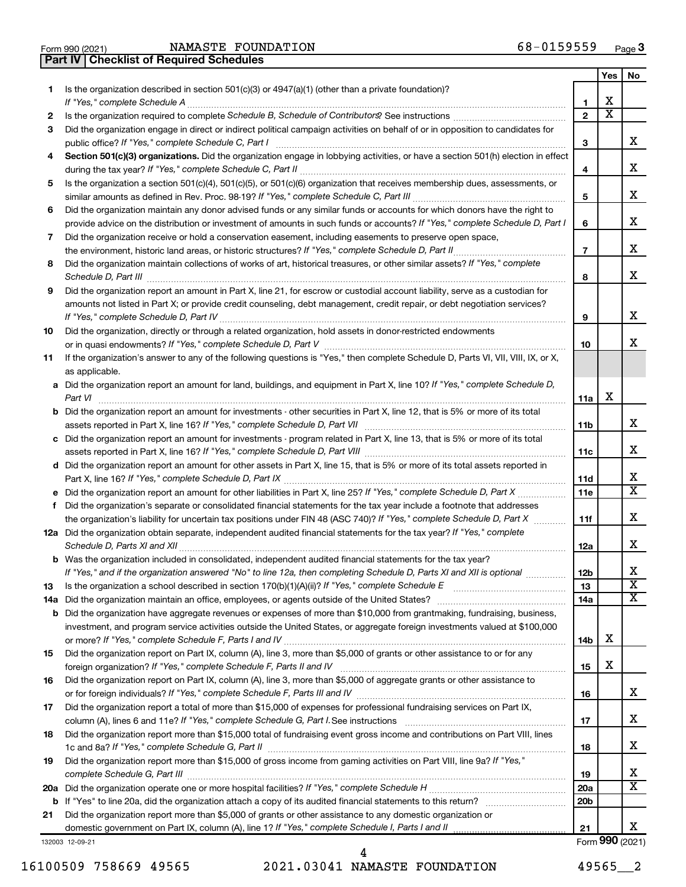Form 990 (2021) Page NAMASTE FOUNDATION 68-0159559 **Part IV Checklist of Required Schedules**

|     |                                                                                                                                                  |                 | Yes                     | No                      |
|-----|--------------------------------------------------------------------------------------------------------------------------------------------------|-----------------|-------------------------|-------------------------|
| 1   | Is the organization described in section $501(c)(3)$ or $4947(a)(1)$ (other than a private foundation)?                                          |                 |                         |                         |
|     | If "Yes," complete Schedule A                                                                                                                    | 1               | х                       |                         |
| 2   |                                                                                                                                                  | $\mathbf{2}$    | $\overline{\textbf{x}}$ |                         |
| З   | Did the organization engage in direct or indirect political campaign activities on behalf of or in opposition to candidates for                  |                 |                         |                         |
|     | public office? If "Yes," complete Schedule C, Part I                                                                                             | 3               |                         | х                       |
| 4   | Section 501(c)(3) organizations. Did the organization engage in lobbying activities, or have a section 501(h) election in effect                 |                 |                         |                         |
|     |                                                                                                                                                  | 4               |                         | х                       |
| 5   | Is the organization a section 501(c)(4), 501(c)(5), or 501(c)(6) organization that receives membership dues, assessments, or                     |                 |                         |                         |
|     |                                                                                                                                                  | 5               |                         | х                       |
| 6   | Did the organization maintain any donor advised funds or any similar funds or accounts for which donors have the right to                        |                 |                         |                         |
|     | provide advice on the distribution or investment of amounts in such funds or accounts? If "Yes," complete Schedule D, Part I                     | 6               |                         | х                       |
| 7   | Did the organization receive or hold a conservation easement, including easements to preserve open space,                                        |                 |                         |                         |
|     | .                                                                                                                                                | $\overline{7}$  |                         | x                       |
| 8   | Did the organization maintain collections of works of art, historical treasures, or other similar assets? If "Yes," complete                     |                 |                         |                         |
|     |                                                                                                                                                  | 8               |                         | x                       |
| 9   | Did the organization report an amount in Part X, line 21, for escrow or custodial account liability, serve as a custodian for                    |                 |                         |                         |
|     | amounts not listed in Part X; or provide credit counseling, debt management, credit repair, or debt negotiation services?                        |                 |                         |                         |
|     |                                                                                                                                                  | 9               |                         | x                       |
| 10  | Did the organization, directly or through a related organization, hold assets in donor-restricted endowments                                     |                 |                         |                         |
|     |                                                                                                                                                  | 10              |                         | x                       |
| 11  | If the organization's answer to any of the following questions is "Yes," then complete Schedule D, Parts VI, VII, VIII, IX, or X,                |                 |                         |                         |
|     | as applicable.                                                                                                                                   |                 |                         |                         |
|     | a Did the organization report an amount for land, buildings, and equipment in Part X, line 10? If "Yes," complete Schedule D,                    |                 | х                       |                         |
|     | Part VI<br><b>b</b> Did the organization report an amount for investments - other securities in Part X, line 12, that is 5% or more of its total | 11a             |                         |                         |
|     |                                                                                                                                                  | 11b             |                         | х                       |
|     | c Did the organization report an amount for investments - program related in Part X, line 13, that is 5% or more of its total                    |                 |                         |                         |
|     |                                                                                                                                                  | 11c             |                         | х                       |
|     | d Did the organization report an amount for other assets in Part X, line 15, that is 5% or more of its total assets reported in                  |                 |                         |                         |
|     |                                                                                                                                                  | 11d             |                         | х                       |
|     |                                                                                                                                                  | 11e             |                         | X                       |
| f   | Did the organization's separate or consolidated financial statements for the tax year include a footnote that addresses                          |                 |                         |                         |
|     | the organization's liability for uncertain tax positions under FIN 48 (ASC 740)? If "Yes," complete Schedule D, Part X                           | 11f             |                         | x                       |
|     | 12a Did the organization obtain separate, independent audited financial statements for the tax year? If "Yes," complete                          |                 |                         |                         |
|     | Schedule D, Parts XI and XII                                                                                                                     | 12a             |                         | x                       |
|     | <b>b</b> Was the organization included in consolidated, independent audited financial statements for the tax year?                               |                 |                         |                         |
|     | If "Yes," and if the organization answered "No" to line 12a, then completing Schedule D, Parts XI and XII is optional www.                       | 12 <sub>b</sub> |                         | Χ                       |
| 13  |                                                                                                                                                  | 13              |                         | $\overline{\textbf{x}}$ |
| 14a |                                                                                                                                                  | 14a             |                         | x                       |
|     | <b>b</b> Did the organization have aggregate revenues or expenses of more than \$10,000 from grantmaking, fundraising, business,                 |                 |                         |                         |
|     | investment, and program service activities outside the United States, or aggregate foreign investments valued at \$100,000                       |                 |                         |                         |
|     |                                                                                                                                                  | 14b             | х                       |                         |
| 15  | Did the organization report on Part IX, column (A), line 3, more than \$5,000 of grants or other assistance to or for any                        |                 | х                       |                         |
|     |                                                                                                                                                  | 15              |                         |                         |
| 16  | Did the organization report on Part IX, column (A), line 3, more than \$5,000 of aggregate grants or other assistance to                         |                 |                         | х                       |
|     | Did the organization report a total of more than \$15,000 of expenses for professional fundraising services on Part IX,                          | 16              |                         |                         |
| 17  |                                                                                                                                                  | 17              |                         | х                       |
| 18  | Did the organization report more than \$15,000 total of fundraising event gross income and contributions on Part VIII, lines                     |                 |                         |                         |
|     |                                                                                                                                                  | 18              |                         | х                       |
| 19  | Did the organization report more than \$15,000 of gross income from gaming activities on Part VIII, line 9a? If "Yes,"                           |                 |                         |                         |
|     |                                                                                                                                                  | 19              |                         | х                       |
|     |                                                                                                                                                  | 20a             |                         | х                       |
|     |                                                                                                                                                  | 20 <sub>b</sub> |                         |                         |
| 21  | Did the organization report more than \$5,000 of grants or other assistance to any domestic organization or                                      |                 |                         |                         |
|     | domestic government on Part IX, column (A), line 1? If "Yes," complete Schedule I, Parts I and II                                                | 21              |                         | х                       |
|     | 132003 12-09-21                                                                                                                                  |                 |                         | Form 990 (2021)         |

16100509 758669 49565 2021.03041 NAMASTE FOUNDATION 49565\_\_2 4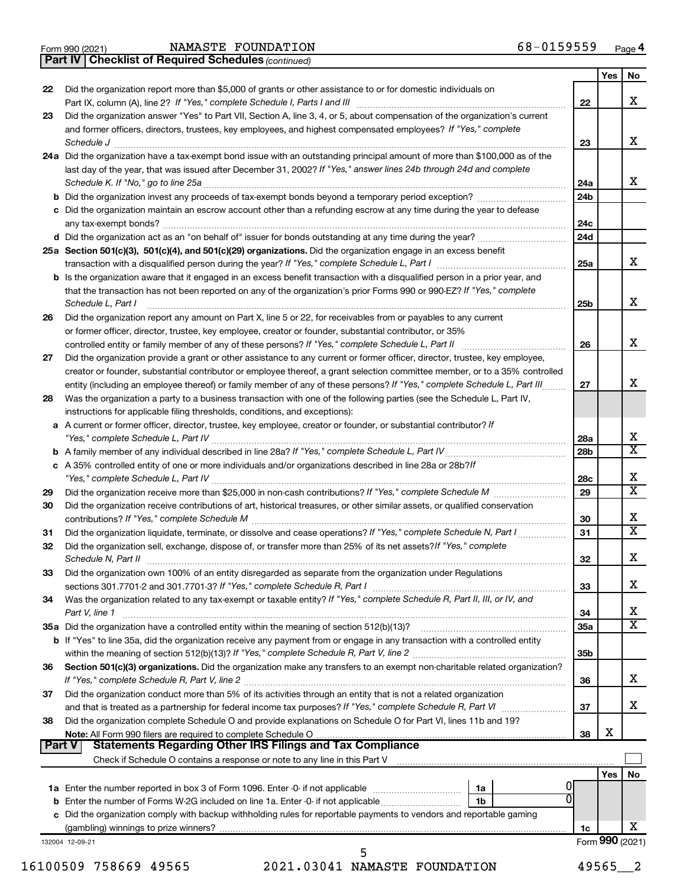|  | Form 990 (2021) |
|--|-----------------|
|  |                 |

*(continued)* **Part IV Checklist of Required Schedules**

|        |                                                                                                                                     |                 | Yes        | No                      |
|--------|-------------------------------------------------------------------------------------------------------------------------------------|-----------------|------------|-------------------------|
| 22     | Did the organization report more than \$5,000 of grants or other assistance to or for domestic individuals on                       |                 |            |                         |
|        |                                                                                                                                     | 22              |            | x                       |
| 23     | Did the organization answer "Yes" to Part VII, Section A, line 3, 4, or 5, about compensation of the organization's current         |                 |            |                         |
|        | and former officers, directors, trustees, key employees, and highest compensated employees? If "Yes," complete                      |                 |            |                         |
|        |                                                                                                                                     | 23              |            | x                       |
|        | 24a Did the organization have a tax-exempt bond issue with an outstanding principal amount of more than \$100,000 as of the         |                 |            |                         |
|        | last day of the year, that was issued after December 31, 2002? If "Yes," answer lines 24b through 24d and complete                  |                 |            | x                       |
|        | <b>b</b> Did the organization invest any proceeds of tax-exempt bonds beyond a temporary period exception?                          | 24a             |            |                         |
|        |                                                                                                                                     | 24b             |            |                         |
|        | c Did the organization maintain an escrow account other than a refunding escrow at any time during the year to defease              | 24c             |            |                         |
|        |                                                                                                                                     | 24d             |            |                         |
|        | 25a Section 501(c)(3), 501(c)(4), and 501(c)(29) organizations. Did the organization engage in an excess benefit                    |                 |            |                         |
|        |                                                                                                                                     | 25a             |            | x                       |
|        | <b>b</b> Is the organization aware that it engaged in an excess benefit transaction with a disqualified person in a prior year, and |                 |            |                         |
|        | that the transaction has not been reported on any of the organization's prior Forms 990 or 990-EZ? If "Yes," complete               |                 |            |                         |
|        | Schedule L, Part I                                                                                                                  | 25b             |            | x                       |
| 26     | Did the organization report any amount on Part X, line 5 or 22, for receivables from or payables to any current                     |                 |            |                         |
|        | or former officer, director, trustee, key employee, creator or founder, substantial contributor, or 35%                             |                 |            |                         |
|        | controlled entity or family member of any of these persons? If "Yes," complete Schedule L, Part II                                  | 26              |            | x                       |
| 27     | Did the organization provide a grant or other assistance to any current or former officer, director, trustee, key employee,         |                 |            |                         |
|        | creator or founder, substantial contributor or employee thereof, a grant selection committee member, or to a 35% controlled         |                 |            |                         |
|        | entity (including an employee thereof) or family member of any of these persons? If "Yes," complete Schedule L, Part III            | 27              |            | x                       |
| 28     | Was the organization a party to a business transaction with one of the following parties (see the Schedule L, Part IV,              |                 |            |                         |
|        | instructions for applicable filing thresholds, conditions, and exceptions):                                                         |                 |            |                         |
|        | a A current or former officer, director, trustee, key employee, creator or founder, or substantial contributor? If                  |                 |            | X                       |
|        |                                                                                                                                     | 28a<br>28b      |            | $\overline{\mathbf{x}}$ |
|        | c A 35% controlled entity of one or more individuals and/or organizations described in line 28a or 28b?If                           |                 |            |                         |
|        |                                                                                                                                     | 28c             |            | X                       |
| 29     |                                                                                                                                     | 29              |            | $\overline{\mathtt{x}}$ |
| 30     | Did the organization receive contributions of art, historical treasures, or other similar assets, or qualified conservation         |                 |            |                         |
|        |                                                                                                                                     | 30              |            | X                       |
| 31     | Did the organization liquidate, terminate, or dissolve and cease operations? If "Yes," complete Schedule N, Part I                  | 31              |            | $\overline{\mathbf{x}}$ |
| 32     | Did the organization sell, exchange, dispose of, or transfer more than 25% of its net assets? If "Yes," complete                    |                 |            |                         |
|        |                                                                                                                                     | 32              |            | x                       |
| 33     | Did the organization own 100% of an entity disregarded as separate from the organization under Regulations                          |                 |            |                         |
|        |                                                                                                                                     | 33              |            | х                       |
| 34     | Was the organization related to any tax-exempt or taxable entity? If "Yes," complete Schedule R, Part II, III, or IV, and           |                 |            |                         |
|        | Part V, line 1                                                                                                                      | 34              |            | X                       |
|        |                                                                                                                                     | 35a             |            | $\overline{\texttt{x}}$ |
|        | b If "Yes" to line 35a, did the organization receive any payment from or engage in any transaction with a controlled entity         |                 |            |                         |
|        |                                                                                                                                     | 35 <sub>b</sub> |            |                         |
| 36     | Section 501(c)(3) organizations. Did the organization make any transfers to an exempt non-charitable related organization?          | 36              |            | X                       |
| 37     | Did the organization conduct more than 5% of its activities through an entity that is not a related organization                    |                 |            |                         |
|        |                                                                                                                                     | 37              |            | X                       |
| 38     | Did the organization complete Schedule O and provide explanations on Schedule O for Part VI, lines 11b and 19?                      |                 |            |                         |
|        | Note: All Form 990 filers are required to complete Schedule O.                                                                      | 38              | X          |                         |
| Part V |                                                                                                                                     |                 |            |                         |
|        |                                                                                                                                     |                 |            |                         |
|        |                                                                                                                                     |                 | <b>Yes</b> | No                      |
|        | 1a                                                                                                                                  |                 |            |                         |
|        | <b>b</b> Enter the number of Forms W-2G included on line 1a. Enter -0- if not applicable<br>1b                                      |                 |            |                         |
|        | c Did the organization comply with backup withholding rules for reportable payments to vendors and reportable gaming                |                 |            |                         |
|        |                                                                                                                                     | 1c              |            | х                       |
|        | 132004 12-09-21<br>5                                                                                                                |                 |            | Form 990 (2021)         |
|        |                                                                                                                                     |                 |            |                         |

16100509 758669 49565 2021.03041 NAMASTE FOUNDATION 49565\_\_2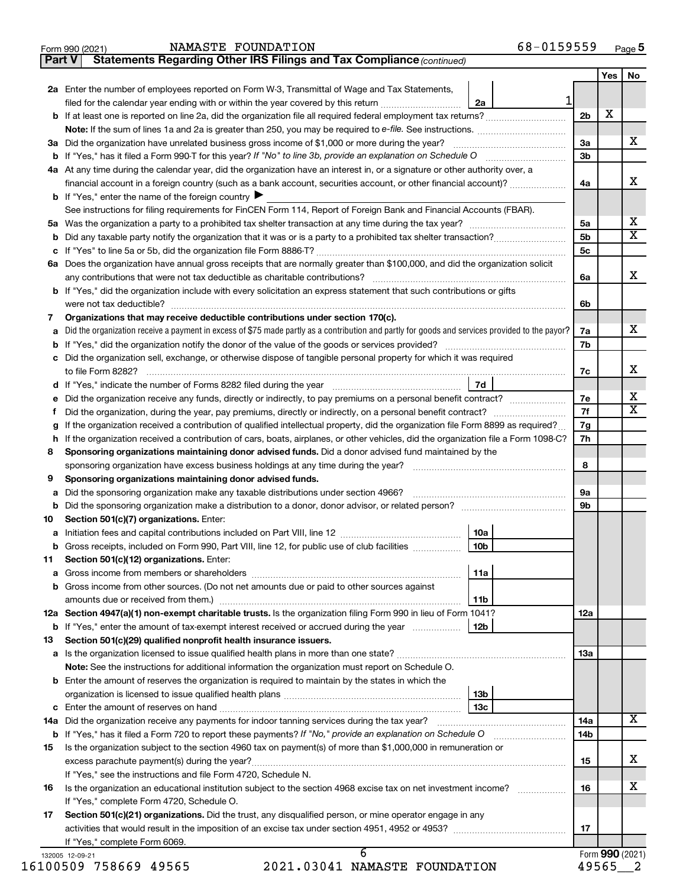| Form 990 (2021) | NAMASTE FOUNDATION | 68-0159559 | Page 5 |
|-----------------|--------------------|------------|--------|
|-----------------|--------------------|------------|--------|

| orm 990 (2021) |                                                                              | NAMASTE FOUNDATION |  | 68-0159559 |
|----------------|------------------------------------------------------------------------------|--------------------|--|------------|
|                | Part V Statements Regarding Other IRS Filings and Tax Compliance (continued) |                    |  |            |

|     |                                                                                                                                                                                                                  |                 |                | Yes             | No |  |
|-----|------------------------------------------------------------------------------------------------------------------------------------------------------------------------------------------------------------------|-----------------|----------------|-----------------|----|--|
|     | 2a Enter the number of employees reported on Form W-3, Transmittal of Wage and Tax Statements,                                                                                                                   |                 |                |                 |    |  |
|     | filed for the calendar year ending with or within the year covered by this return                                                                                                                                | 1<br>2a         |                |                 |    |  |
|     |                                                                                                                                                                                                                  |                 | 2 <sub>b</sub> | х               |    |  |
|     |                                                                                                                                                                                                                  |                 |                |                 |    |  |
| За  | Did the organization have unrelated business gross income of \$1,000 or more during the year?                                                                                                                    |                 | За             |                 | х  |  |
|     |                                                                                                                                                                                                                  |                 | 3b             |                 |    |  |
|     | 4a At any time during the calendar year, did the organization have an interest in, or a signature or other authority over, a                                                                                     |                 |                |                 |    |  |
|     | financial account in a foreign country (such as a bank account, securities account, or other financial account)?                                                                                                 |                 | 4a             |                 | х  |  |
|     | <b>b</b> If "Yes," enter the name of the foreign country $\blacktriangleright$                                                                                                                                   |                 |                |                 |    |  |
|     | See instructions for filing requirements for FinCEN Form 114, Report of Foreign Bank and Financial Accounts (FBAR).                                                                                              |                 |                |                 |    |  |
| 5a  |                                                                                                                                                                                                                  |                 | 5a             |                 | х  |  |
| b   |                                                                                                                                                                                                                  |                 | 5 <sub>b</sub> |                 | X  |  |
| с   |                                                                                                                                                                                                                  |                 | 5c             |                 |    |  |
|     | 6a Does the organization have annual gross receipts that are normally greater than \$100,000, and did the organization solicit                                                                                   |                 |                |                 |    |  |
|     |                                                                                                                                                                                                                  |                 | 6a             |                 | х  |  |
|     | <b>b</b> If "Yes," did the organization include with every solicitation an express statement that such contributions or gifts                                                                                    |                 | 6b             |                 |    |  |
|     |                                                                                                                                                                                                                  |                 |                |                 |    |  |
| 7   | Organizations that may receive deductible contributions under section 170(c).                                                                                                                                    |                 |                |                 | х  |  |
| а   | Did the organization receive a payment in excess of \$75 made partly as a contribution and partly for goods and services provided to the payor?                                                                  |                 | 7a<br>7b       |                 |    |  |
| b   | Did the organization sell, exchange, or otherwise dispose of tangible personal property for which it was required                                                                                                |                 |                |                 |    |  |
|     |                                                                                                                                                                                                                  |                 | 7c             |                 | х  |  |
|     |                                                                                                                                                                                                                  | 7d              |                |                 |    |  |
| е   |                                                                                                                                                                                                                  |                 | 7е             |                 | х  |  |
| Ť   |                                                                                                                                                                                                                  |                 |                |                 |    |  |
|     | If the organization received a contribution of qualified intellectual property, did the organization file Form 8899 as required?                                                                                 |                 |                |                 |    |  |
| h   | If the organization received a contribution of cars, boats, airplanes, or other vehicles, did the organization file a Form 1098-C?                                                                               |                 |                |                 |    |  |
| 8   | Sponsoring organizations maintaining donor advised funds. Did a donor advised fund maintained by the                                                                                                             |                 |                |                 |    |  |
|     |                                                                                                                                                                                                                  |                 |                |                 |    |  |
| 9   | Sponsoring organizations maintaining donor advised funds.                                                                                                                                                        |                 |                |                 |    |  |
| а   | Did the sponsoring organization make any taxable distributions under section 4966?                                                                                                                               |                 | 9а             |                 |    |  |
| b   |                                                                                                                                                                                                                  |                 | 9b             |                 |    |  |
| 10  | Section 501(c)(7) organizations. Enter:                                                                                                                                                                          |                 |                |                 |    |  |
| а   |                                                                                                                                                                                                                  | 10a             |                |                 |    |  |
|     | Gross receipts, included on Form 990, Part VIII, line 12, for public use of club facilities                                                                                                                      | 10 <sub>b</sub> |                |                 |    |  |
| 11  | Section 501(c)(12) organizations. Enter:                                                                                                                                                                         |                 |                |                 |    |  |
|     |                                                                                                                                                                                                                  | 11a             |                |                 |    |  |
|     | <b>b</b> Gross income from other sources. (Do not net amounts due or paid to other sources against                                                                                                               |                 |                |                 |    |  |
|     |                                                                                                                                                                                                                  | 11b             |                |                 |    |  |
|     | 12a Section 4947(a)(1) non-exempt charitable trusts. Is the organization filing Form 990 in lieu of Form 1041?<br><b>b</b> If "Yes," enter the amount of tax-exempt interest received or accrued during the year | 12b             | 12a            |                 |    |  |
| 13  | Section 501(c)(29) qualified nonprofit health insurance issuers.                                                                                                                                                 |                 |                |                 |    |  |
|     | a Is the organization licensed to issue qualified health plans in more than one state?                                                                                                                           |                 | 1За            |                 |    |  |
|     | Note: See the instructions for additional information the organization must report on Schedule O.                                                                                                                |                 |                |                 |    |  |
|     | <b>b</b> Enter the amount of reserves the organization is required to maintain by the states in which the                                                                                                        |                 |                |                 |    |  |
|     |                                                                                                                                                                                                                  | 13b             |                |                 |    |  |
|     |                                                                                                                                                                                                                  | 13с             |                |                 |    |  |
| 14a | Did the organization receive any payments for indoor tanning services during the tax year?                                                                                                                       |                 | 14a            |                 | X. |  |
|     | <b>b</b> If "Yes," has it filed a Form 720 to report these payments? If "No," provide an explanation on Schedule O                                                                                               |                 | 14b            |                 |    |  |
| 15  | Is the organization subject to the section 4960 tax on payment(s) of more than \$1,000,000 in remuneration or                                                                                                    |                 |                |                 |    |  |
|     |                                                                                                                                                                                                                  |                 | 15             |                 | х  |  |
|     | If "Yes," see the instructions and file Form 4720, Schedule N.                                                                                                                                                   |                 |                |                 |    |  |
| 16  | Is the organization an educational institution subject to the section 4968 excise tax on net investment income?                                                                                                  |                 |                |                 |    |  |
|     | If "Yes," complete Form 4720, Schedule O.                                                                                                                                                                        |                 |                |                 |    |  |
| 17  | Section 501(c)(21) organizations. Did the trust, any disqualified person, or mine operator engage in any                                                                                                         |                 |                |                 |    |  |
|     |                                                                                                                                                                                                                  |                 | 17             |                 |    |  |
|     | If "Yes," complete Form 6069.<br>$\overline{6}$                                                                                                                                                                  |                 |                | Form 990 (2021) |    |  |
|     | 132005 12-09-21                                                                                                                                                                                                  |                 |                |                 |    |  |

16100509 758669 49565 2021.03041 NAMASTE FOUNDATION 49565\_\_2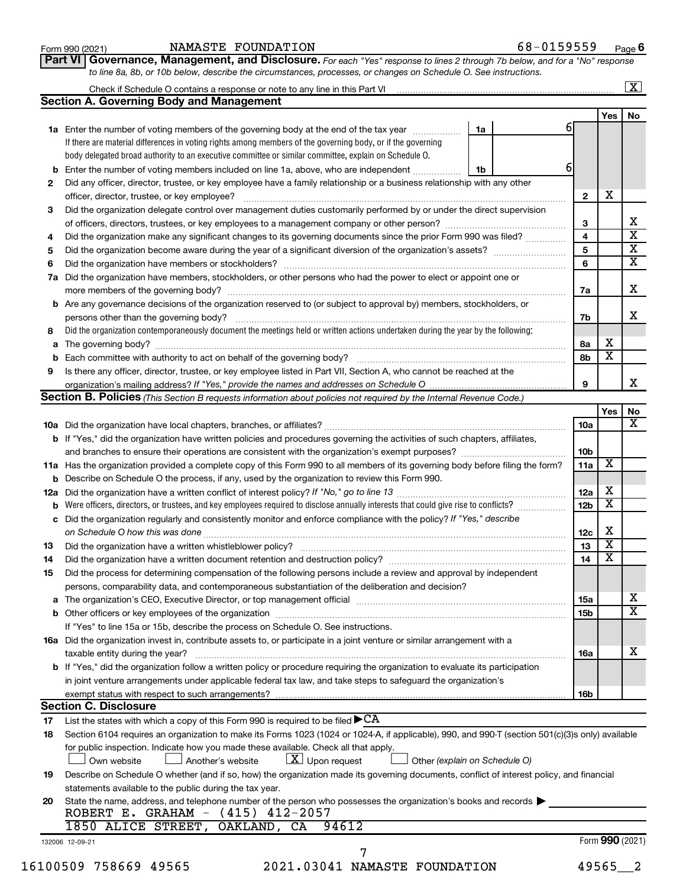| Form 990 (2021) |  |
|-----------------|--|
|-----------------|--|

### Form 990 (2021) Page NAMASTE FOUNDATION 68-0159559

**Part VI** Governance, Management, and Disclosure. For each "Yes" response to lines 2 through 7b below, and for a "No" response *to line 8a, 8b, or 10b below, describe the circumstances, processes, or changes on Schedule O. See instructions.*

|    |                                                                                                                                                  |                         |                         | $\overline{\mathbf{X}}$ |
|----|--------------------------------------------------------------------------------------------------------------------------------------------------|-------------------------|-------------------------|-------------------------|
|    | <b>Section A. Governing Body and Management</b>                                                                                                  |                         |                         |                         |
|    |                                                                                                                                                  | 6                       | <b>Yes</b>              | No                      |
|    | 1a<br>1a Enter the number of voting members of the governing body at the end of the tax year                                                     |                         |                         |                         |
|    | If there are material differences in voting rights among members of the governing body, or if the governing                                      |                         |                         |                         |
|    | body delegated broad authority to an executive committee or similar committee, explain on Schedule O.                                            | 6                       |                         |                         |
|    | <b>b</b> Enter the number of voting members included on line 1a, above, who are independent<br>1b                                                |                         |                         |                         |
| 2  | Did any officer, director, trustee, or key employee have a family relationship or a business relationship with any other                         |                         | X                       |                         |
|    |                                                                                                                                                  | $\mathbf{2}$            |                         |                         |
| 3  | Did the organization delegate control over management duties customarily performed by or under the direct supervision                            |                         |                         | х                       |
|    | of officers, directors, trustees, or key employees to a management company or other person?                                                      | 3                       |                         | $\overline{\textbf{x}}$ |
| 4  | Did the organization make any significant changes to its governing documents since the prior Form 990 was filed?                                 | $\overline{\mathbf{4}}$ |                         | $\overline{\textbf{x}}$ |
| 5  |                                                                                                                                                  | 5                       |                         | $\overline{\mathtt{x}}$ |
| 6  |                                                                                                                                                  | 6                       |                         |                         |
|    | 7a Did the organization have members, stockholders, or other persons who had the power to elect or appoint one or                                |                         |                         |                         |
|    |                                                                                                                                                  | 7a                      |                         | x                       |
|    | <b>b</b> Are any governance decisions of the organization reserved to (or subject to approval by) members, stockholders, or                      |                         |                         |                         |
|    | persons other than the governing body?                                                                                                           | 7b                      |                         | x                       |
| 8  | Did the organization contemporaneously document the meetings held or written actions undertaken during the year by the following:                |                         |                         |                         |
|    |                                                                                                                                                  | 8a                      | х                       |                         |
|    |                                                                                                                                                  | 8b                      | $\overline{\mathbf{X}}$ |                         |
| 9  | Is there any officer, director, trustee, or key employee listed in Part VII, Section A, who cannot be reached at the                             |                         |                         |                         |
|    |                                                                                                                                                  | 9                       |                         |                         |
|    | Section B. Policies (This Section B requests information about policies not required by the Internal Revenue Code.)                              |                         |                         |                         |
|    |                                                                                                                                                  |                         | Yes                     | No                      |
|    |                                                                                                                                                  | 10a                     |                         |                         |
|    | <b>b</b> If "Yes," did the organization have written policies and procedures governing the activities of such chapters, affiliates,              |                         |                         |                         |
|    |                                                                                                                                                  | 10 <sub>b</sub>         |                         |                         |
|    | 11a Has the organization provided a complete copy of this Form 990 to all members of its governing body before filing the form?                  | 11a                     | Х                       |                         |
|    | <b>b</b> Describe on Schedule O the process, if any, used by the organization to review this Form 990.                                           |                         |                         |                         |
|    |                                                                                                                                                  | 12a                     | х                       |                         |
|    |                                                                                                                                                  | 12 <sub>b</sub>         | $\overline{\mathbf{X}}$ |                         |
|    | c Did the organization regularly and consistently monitor and enforce compliance with the policy? If "Yes," describe                             |                         |                         |                         |
|    |                                                                                                                                                  | 12c                     | х                       |                         |
| 13 |                                                                                                                                                  | 13                      | $\overline{\textbf{x}}$ |                         |
| 14 | Did the organization have a written document retention and destruction policy? [11] manufaction manufaction in                                   | 14                      | $\overline{\mathbf{X}}$ |                         |
| 15 | Did the process for determining compensation of the following persons include a review and approval by independent                               |                         |                         |                         |
|    | persons, comparability data, and contemporaneous substantiation of the deliberation and decision?                                                |                         |                         |                         |
|    |                                                                                                                                                  | <b>15a</b>              |                         |                         |
|    |                                                                                                                                                  | 15b                     |                         |                         |
|    | If "Yes" to line 15a or 15b, describe the process on Schedule O. See instructions.                                                               |                         |                         |                         |
|    | 16a Did the organization invest in, contribute assets to, or participate in a joint venture or similar arrangement with a                        |                         |                         |                         |
|    | taxable entity during the year?                                                                                                                  | 16a                     |                         |                         |
|    | b If "Yes," did the organization follow a written policy or procedure requiring the organization to evaluate its participation                   |                         |                         | X                       |
|    | in joint venture arrangements under applicable federal tax law, and take steps to safeguard the organization's                                   |                         |                         |                         |
|    |                                                                                                                                                  | 16b                     |                         |                         |
|    | <b>Section C. Disclosure</b>                                                                                                                     |                         |                         |                         |
| 17 | List the states with which a copy of this Form 990 is required to be filed $\blacktriangleright$ CA                                              |                         |                         |                         |
| 18 | Section 6104 requires an organization to make its Forms 1023 (1024 or 1024-A, if applicable), 990, and 990-T (section 501(c)(3)s only) available |                         |                         |                         |
|    | for public inspection. Indicate how you made these available. Check all that apply.                                                              |                         |                         |                         |
|    | $\lfloor x \rfloor$ Upon request<br>Own website<br>Another's website<br>Other (explain on Schedule O)                                            |                         |                         |                         |
| 19 | Describe on Schedule O whether (and if so, how) the organization made its governing documents, conflict of interest policy, and financial        |                         |                         |                         |
|    | statements available to the public during the tax year.                                                                                          |                         |                         |                         |
| 20 | State the name, address, and telephone number of the person who possesses the organization's books and records                                   |                         |                         |                         |
|    | ROBERT E. GRAHAM - (415) 412-2057                                                                                                                |                         |                         |                         |
|    | 1850 ALICE STREET, OAKLAND, CA<br>94612                                                                                                          |                         |                         |                         |
|    |                                                                                                                                                  |                         |                         |                         |
|    |                                                                                                                                                  |                         |                         |                         |
|    | 132006 12-09-21<br>7                                                                                                                             | Form 990 (2021)         |                         |                         |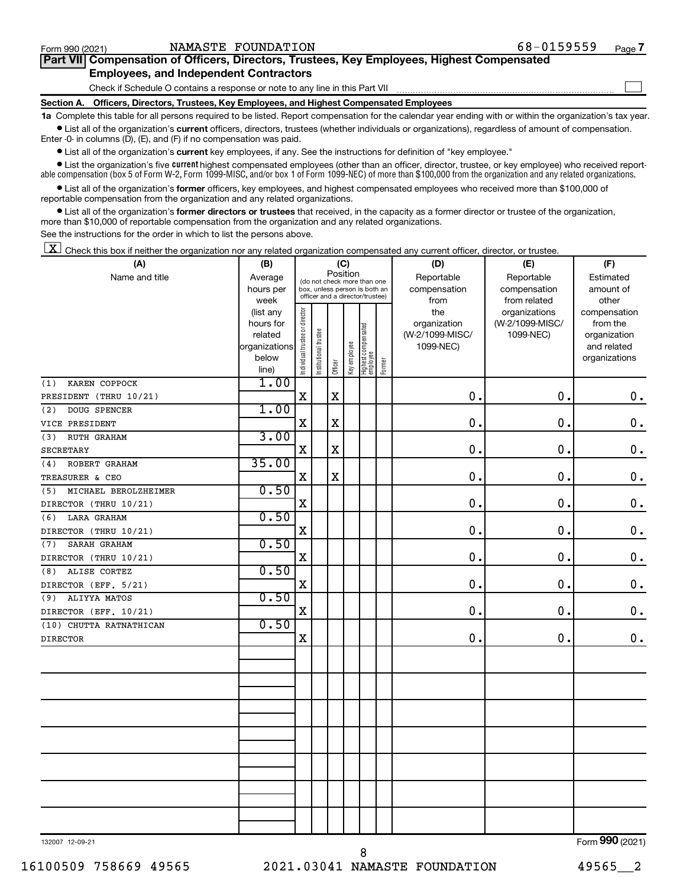$\Box$ 

| Part VII Compensation of Officers, Directors, Trustees, Key Employees, Highest Compensated |  |  |
|--------------------------------------------------------------------------------------------|--|--|
| <b>Employees, and Independent Contractors</b>                                              |  |  |

Check if Schedule O contains a response or note to any line in this Part VII

**Section A. Officers, Directors, Trustees, Key Employees, and Highest Compensated Employees**

**1a**  Complete this table for all persons required to be listed. Report compensation for the calendar year ending with or within the organization's tax year.  $\bullet$  List all of the organization's current officers, directors, trustees (whether individuals or organizations), regardless of amount of compensation.

Enter -0- in columns (D), (E), and (F) if no compensation was paid.

**•** List all of the organization's **current** key employees, if any. See the instructions for definition of "key employee."

• List the organization's five *current* highest compensated employees (other than an officer, director, trustee, or key employee) who received reportable compensation (box 5 of Form W-2, Form 1099-MISC, and/or box 1 of Form 1099-NEC) of more than \$100,000 from the organization and any related organizations.

 $\bullet$  List all of the organization's former officers, key employees, and highest compensated employees who received more than \$100,000 of reportable compensation from the organization and any related organizations.

**•** List all of the organization's former directors or trustees that received, in the capacity as a former director or trustee of the organization, more than \$10,000 of reportable compensation from the organization and any related organizations.

See the instructions for the order in which to list the persons above.

 $\boxed{\textbf{X}}$  Check this box if neither the organization nor any related organization compensated any current officer, director, or trustee.

| (A)                         | (B)                  |                                | (C)                                                              |             |              |                                 | (D)    | (E)                             | (F)                              |                             |  |
|-----------------------------|----------------------|--------------------------------|------------------------------------------------------------------|-------------|--------------|---------------------------------|--------|---------------------------------|----------------------------------|-----------------------------|--|
| Name and title              | Average              |                                | (do not check more than one                                      | Position    |              |                                 |        | Reportable                      | Reportable                       | Estimated                   |  |
|                             | hours per            |                                | box, unless person is both an<br>officer and a director/trustee) |             |              |                                 |        | compensation                    | compensation                     | amount of                   |  |
|                             | week                 |                                |                                                                  |             |              |                                 |        | from                            | from related                     | other                       |  |
|                             | (list any            |                                |                                                                  |             |              |                                 |        | the                             | organizations<br>(W-2/1099-MISC/ | compensation                |  |
|                             | hours for<br>related |                                |                                                                  |             |              |                                 |        | organization<br>(W-2/1099-MISC/ |                                  | from the                    |  |
|                             | organizations        |                                |                                                                  |             |              |                                 |        | 1099-NEC)                       | 1099-NEC)                        | organization<br>and related |  |
|                             | below                |                                |                                                                  |             |              |                                 |        |                                 |                                  | organizations               |  |
|                             | line)                | Individual trustee or director | Institutional trustee                                            | Officer     | Key employee | Highest compensated<br>employee | Former |                                 |                                  |                             |  |
| KAREN COPPOCK<br>(1)        | 1.00                 |                                |                                                                  |             |              |                                 |        |                                 |                                  |                             |  |
| PRESIDENT (THRU 10/21)      |                      | $\mathbf X$                    |                                                                  | $\mathbf X$ |              |                                 |        | $\mathbf 0$ .                   | $\mathbf 0$ .                    | 0.                          |  |
| DOUG SPENCER<br>(2)         | 1.00                 |                                |                                                                  |             |              |                                 |        |                                 |                                  |                             |  |
| VICE PRESIDENT              |                      | X                              |                                                                  | $\mathbf X$ |              |                                 |        | $\mathbf 0$                     | $\mathbf 0$ .                    | $\mathbf 0$ .               |  |
| (3)<br>RUTH GRAHAM          | 3.00                 |                                |                                                                  |             |              |                                 |        |                                 |                                  |                             |  |
| <b>SECRETARY</b>            |                      | X                              |                                                                  | $\mathbf X$ |              |                                 |        | $\mathbf 0$                     | 0.                               | $\mathbf 0$ .               |  |
| ROBERT GRAHAM<br>(4)        | 35.00                |                                |                                                                  |             |              |                                 |        |                                 |                                  |                             |  |
| TREASURER & CEO             |                      | $\mathbf X$                    |                                                                  | $\mathbf X$ |              |                                 |        | $\mathbf 0$ .                   | $\mathbf 0$ .                    | $\mathbf 0$ .               |  |
| MICHAEL BEROLZHEIMER<br>(5) | 0.50                 |                                |                                                                  |             |              |                                 |        |                                 |                                  |                             |  |
| DIRECTOR (THRU 10/21)       |                      | $\mathbf X$                    |                                                                  |             |              |                                 |        | 0.                              | $\mathbf 0$ .                    | $\mathbf 0$ .               |  |
| (6)<br>LARA GRAHAM          | 0.50                 |                                |                                                                  |             |              |                                 |        |                                 |                                  |                             |  |
| DIRECTOR (THRU 10/21)       |                      | X                              |                                                                  |             |              |                                 |        | 0                               | $\mathbf 0$ .                    | $\mathbf 0$ .               |  |
| SARAH GRAHAM<br>(7)         | 0.50                 |                                |                                                                  |             |              |                                 |        |                                 |                                  |                             |  |
| DIRECTOR (THRU 10/21)       |                      | $\mathbf X$                    |                                                                  |             |              |                                 |        | 0.                              | 0.                               | $\mathbf 0$ .               |  |
| ALISE CORTEZ<br>(8)         | 0.50                 |                                |                                                                  |             |              |                                 |        |                                 |                                  |                             |  |
| DIRECTOR (EFF. 5/21)        |                      | $\mathbf X$                    |                                                                  |             |              |                                 |        | $\mathbf 0$ .                   | $\mathbf 0$ .                    | $\mathbf 0$ .               |  |
| ALIYYA MATOS<br>(9)         | 0.50                 |                                |                                                                  |             |              |                                 |        |                                 |                                  |                             |  |
| DIRECTOR (EFF. 10/21)       |                      | $\mathbf X$                    |                                                                  |             |              |                                 |        | 0.                              | $\mathbf 0$ .                    | $\mathbf 0$ .               |  |
| (10) CHUTTA RATNATHICAN     | 0.50                 |                                |                                                                  |             |              |                                 |        |                                 |                                  |                             |  |
| <b>DIRECTOR</b>             |                      | $\mathbf X$                    |                                                                  |             |              |                                 |        | $\mathbf 0$ .                   | $\mathbf 0$ .                    | $\mathbf 0$ .               |  |
|                             |                      |                                |                                                                  |             |              |                                 |        |                                 |                                  |                             |  |
|                             |                      |                                |                                                                  |             |              |                                 |        |                                 |                                  |                             |  |
|                             |                      |                                |                                                                  |             |              |                                 |        |                                 |                                  |                             |  |
|                             |                      |                                |                                                                  |             |              |                                 |        |                                 |                                  |                             |  |
|                             |                      |                                |                                                                  |             |              |                                 |        |                                 |                                  |                             |  |
|                             |                      |                                |                                                                  |             |              |                                 |        |                                 |                                  |                             |  |
|                             |                      |                                |                                                                  |             |              |                                 |        |                                 |                                  |                             |  |
|                             |                      |                                |                                                                  |             |              |                                 |        |                                 |                                  |                             |  |
|                             |                      |                                |                                                                  |             |              |                                 |        |                                 |                                  |                             |  |
|                             |                      |                                |                                                                  |             |              |                                 |        |                                 |                                  |                             |  |
|                             |                      |                                |                                                                  |             |              |                                 |        |                                 |                                  |                             |  |
|                             |                      |                                |                                                                  |             |              |                                 |        |                                 |                                  |                             |  |
|                             |                      |                                |                                                                  |             |              |                                 |        |                                 |                                  |                             |  |
|                             |                      |                                |                                                                  |             |              |                                 |        |                                 |                                  |                             |  |

132007 12-09-21

8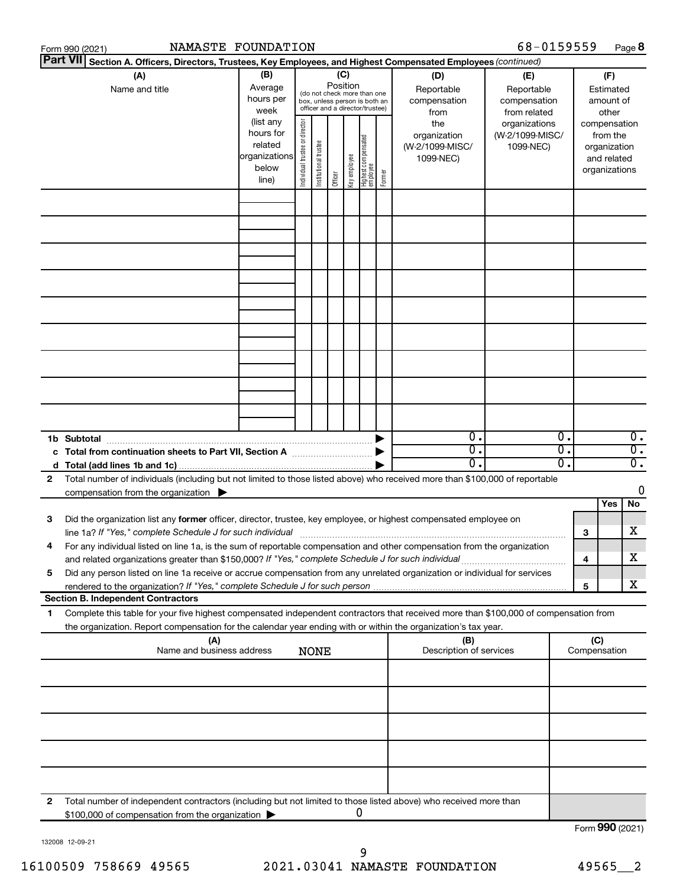|    | Form 990 (2021)                                                                                                                      | NAMASTE FOUNDATION |                                |                                                              |          |              |                                   |        |                         | 68-0159559      |    |                 |              | Page 8           |
|----|--------------------------------------------------------------------------------------------------------------------------------------|--------------------|--------------------------------|--------------------------------------------------------------|----------|--------------|-----------------------------------|--------|-------------------------|-----------------|----|-----------------|--------------|------------------|
|    | <b>Part VII</b><br>Section A. Officers, Directors, Trustees, Key Employees, and Highest Compensated Employees (continued)            |                    |                                |                                                              |          |              |                                   |        |                         |                 |    |                 |              |                  |
|    | (A)                                                                                                                                  | (B)                |                                |                                                              | (C)      |              |                                   |        | (D)                     | (E)             |    |                 | (F)          |                  |
|    | Name and title                                                                                                                       | Average            |                                |                                                              | Position |              |                                   |        | Reportable              | Reportable      |    |                 | Estimated    |                  |
|    |                                                                                                                                      | hours per          |                                | (do not check more than one<br>box, unless person is both an |          |              |                                   |        | compensation            | compensation    |    |                 | amount of    |                  |
|    |                                                                                                                                      | week               |                                | officer and a director/trustee)                              |          |              |                                   |        | from                    | from related    |    | other           |              |                  |
|    |                                                                                                                                      | (list any          |                                |                                                              |          |              |                                   |        | the                     | organizations   |    | compensation    |              |                  |
|    |                                                                                                                                      | hours for          |                                |                                                              |          |              |                                   |        | organization            | (W-2/1099-MISC/ |    |                 | from the     |                  |
|    |                                                                                                                                      | related            |                                |                                                              |          |              |                                   |        | (W-2/1099-MISC/         | 1099-NEC)       |    |                 | organization |                  |
|    |                                                                                                                                      | organizations      |                                |                                                              |          |              |                                   |        | 1099-NEC)               |                 |    |                 | and related  |                  |
|    |                                                                                                                                      | below              |                                |                                                              |          |              |                                   |        |                         |                 |    | organizations   |              |                  |
|    |                                                                                                                                      | line)              | Individual trustee or director | Institutional trustee                                        | Officer  | Key employee | Highest compensated<br>  employee | Former |                         |                 |    |                 |              |                  |
|    |                                                                                                                                      |                    |                                |                                                              |          |              |                                   |        |                         |                 |    |                 |              |                  |
|    |                                                                                                                                      |                    |                                |                                                              |          |              |                                   |        |                         |                 |    |                 |              |                  |
|    |                                                                                                                                      |                    |                                |                                                              |          |              |                                   |        |                         |                 |    |                 |              |                  |
|    |                                                                                                                                      |                    |                                |                                                              |          |              |                                   |        |                         |                 |    |                 |              |                  |
|    |                                                                                                                                      |                    |                                |                                                              |          |              |                                   |        |                         |                 |    |                 |              |                  |
|    |                                                                                                                                      |                    |                                |                                                              |          |              |                                   |        |                         |                 |    |                 |              |                  |
|    |                                                                                                                                      |                    |                                |                                                              |          |              |                                   |        |                         |                 |    |                 |              |                  |
|    |                                                                                                                                      |                    |                                |                                                              |          |              |                                   |        |                         |                 |    |                 |              |                  |
|    |                                                                                                                                      |                    |                                |                                                              |          |              |                                   |        |                         |                 |    |                 |              |                  |
|    |                                                                                                                                      |                    |                                |                                                              |          |              |                                   |        |                         |                 |    |                 |              |                  |
|    |                                                                                                                                      |                    |                                |                                                              |          |              |                                   |        |                         |                 |    |                 |              |                  |
|    |                                                                                                                                      |                    |                                |                                                              |          |              |                                   |        |                         |                 |    |                 |              |                  |
|    |                                                                                                                                      |                    |                                |                                                              |          |              |                                   |        |                         |                 |    |                 |              |                  |
|    |                                                                                                                                      |                    |                                |                                                              |          |              |                                   |        |                         |                 |    |                 |              |                  |
|    |                                                                                                                                      |                    |                                |                                                              |          |              |                                   |        |                         |                 |    |                 |              |                  |
|    |                                                                                                                                      |                    |                                |                                                              |          |              |                                   |        |                         |                 |    |                 |              |                  |
|    |                                                                                                                                      |                    |                                |                                                              |          |              |                                   |        |                         |                 |    |                 |              |                  |
|    |                                                                                                                                      |                    |                                |                                                              |          |              |                                   |        |                         |                 |    |                 |              |                  |
|    |                                                                                                                                      |                    |                                |                                                              |          |              |                                   |        |                         |                 |    |                 |              |                  |
|    | 1b Subtotal                                                                                                                          |                    |                                |                                                              |          |              |                                   |        | $0$ .                   |                 | 0. |                 |              | $\overline{0}$ . |
|    | c Total from continuation sheets to Part VII, Section A manufactured by                                                              |                    |                                |                                                              |          |              |                                   |        | $\overline{0}$ .        |                 | σ. |                 |              | $\overline{0}$ . |
|    |                                                                                                                                      |                    |                                |                                                              |          |              |                                   |        | $0$ .                   |                 | О. |                 |              | $\overline{0}$ . |
| 2  | Total number of individuals (including but not limited to those listed above) who received more than \$100,000 of reportable         |                    |                                |                                                              |          |              |                                   |        |                         |                 |    |                 |              |                  |
|    |                                                                                                                                      |                    |                                |                                                              |          |              |                                   |        |                         |                 |    |                 |              | 0                |
|    | compensation from the organization $\blacktriangleright$                                                                             |                    |                                |                                                              |          |              |                                   |        |                         |                 |    |                 | Yes          | No               |
|    |                                                                                                                                      |                    |                                |                                                              |          |              |                                   |        |                         |                 |    |                 |              |                  |
| 3  | Did the organization list any former officer, director, trustee, key employee, or highest compensated employee on                    |                    |                                |                                                              |          |              |                                   |        |                         |                 |    |                 |              |                  |
|    | line 1a? If "Yes," complete Schedule J for such individual manufactured content to the set of the set of the s                       |                    |                                |                                                              |          |              |                                   |        |                         |                 |    | 3               |              | х                |
|    | For any individual listed on line 1a, is the sum of reportable compensation and other compensation from the organization             |                    |                                |                                                              |          |              |                                   |        |                         |                 |    |                 |              |                  |
|    | and related organizations greater than \$150,000? If "Yes," complete Schedule J for such individual                                  |                    |                                |                                                              |          |              |                                   |        |                         |                 |    | 4               |              | х                |
| 5  | Did any person listed on line 1a receive or accrue compensation from any unrelated organization or individual for services           |                    |                                |                                                              |          |              |                                   |        |                         |                 |    |                 |              |                  |
|    |                                                                                                                                      |                    |                                |                                                              |          |              |                                   |        |                         |                 |    | 5               |              | х                |
|    | <b>Section B. Independent Contractors</b>                                                                                            |                    |                                |                                                              |          |              |                                   |        |                         |                 |    |                 |              |                  |
| 1. | Complete this table for your five highest compensated independent contractors that received more than \$100,000 of compensation from |                    |                                |                                                              |          |              |                                   |        |                         |                 |    |                 |              |                  |
|    | the organization. Report compensation for the calendar year ending with or within the organization's tax year.                       |                    |                                |                                                              |          |              |                                   |        |                         |                 |    |                 |              |                  |
|    | (A)                                                                                                                                  |                    |                                |                                                              |          |              |                                   |        | (B)                     |                 |    | (C)             |              |                  |
|    | Name and business address                                                                                                            |                    |                                | <b>NONE</b>                                                  |          |              |                                   |        | Description of services |                 |    | Compensation    |              |                  |
|    |                                                                                                                                      |                    |                                |                                                              |          |              |                                   |        |                         |                 |    |                 |              |                  |
|    |                                                                                                                                      |                    |                                |                                                              |          |              |                                   |        |                         |                 |    |                 |              |                  |
|    |                                                                                                                                      |                    |                                |                                                              |          |              |                                   |        |                         |                 |    |                 |              |                  |
|    |                                                                                                                                      |                    |                                |                                                              |          |              |                                   |        |                         |                 |    |                 |              |                  |
|    |                                                                                                                                      |                    |                                |                                                              |          |              |                                   |        |                         |                 |    |                 |              |                  |
|    |                                                                                                                                      |                    |                                |                                                              |          |              |                                   |        |                         |                 |    |                 |              |                  |
|    |                                                                                                                                      |                    |                                |                                                              |          |              |                                   |        |                         |                 |    |                 |              |                  |
|    |                                                                                                                                      |                    |                                |                                                              |          |              |                                   |        |                         |                 |    |                 |              |                  |
|    |                                                                                                                                      |                    |                                |                                                              |          |              |                                   |        |                         |                 |    |                 |              |                  |
|    |                                                                                                                                      |                    |                                |                                                              |          |              |                                   |        |                         |                 |    |                 |              |                  |
| 2  | Total number of independent contractors (including but not limited to those listed above) who received more than                     |                    |                                |                                                              |          |              |                                   |        |                         |                 |    |                 |              |                  |
|    | \$100,000 of compensation from the organization                                                                                      |                    |                                |                                                              |          |              | 0                                 |        |                         |                 |    |                 |              |                  |
|    |                                                                                                                                      |                    |                                |                                                              |          |              |                                   |        |                         |                 |    | Form 990 (2021) |              |                  |
|    |                                                                                                                                      |                    |                                |                                                              |          |              |                                   |        |                         |                 |    |                 |              |                  |

132008 12-09-21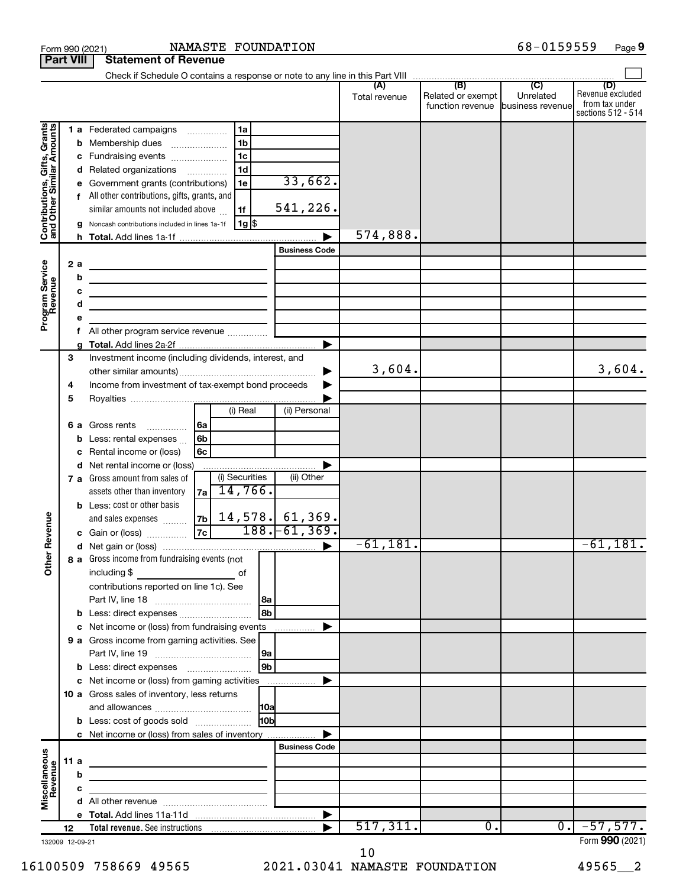| <b>Part VIII</b>                                                                        |        |                                   | <b>Statement of Revenue</b>                                                                                                                                                                                                                                                                                                                                                                                                                                                                                                                                                                       |                                                                                 |                                                                  |               |                                                        |                            |                                                                 |
|-----------------------------------------------------------------------------------------|--------|-----------------------------------|---------------------------------------------------------------------------------------------------------------------------------------------------------------------------------------------------------------------------------------------------------------------------------------------------------------------------------------------------------------------------------------------------------------------------------------------------------------------------------------------------------------------------------------------------------------------------------------------------|---------------------------------------------------------------------------------|------------------------------------------------------------------|---------------|--------------------------------------------------------|----------------------------|-----------------------------------------------------------------|
|                                                                                         |        |                                   |                                                                                                                                                                                                                                                                                                                                                                                                                                                                                                                                                                                                   |                                                                                 |                                                                  |               |                                                        |                            |                                                                 |
|                                                                                         |        |                                   |                                                                                                                                                                                                                                                                                                                                                                                                                                                                                                                                                                                                   |                                                                                 |                                                                  | Total revenue | Related or exempt<br>function revenue business revenue | Unrelated                  | (D)<br>Revenue excluded<br>from tax under<br>sections 512 - 514 |
| Contributions, Gifts, Grants<br>and Other Similar Amounts<br>Program Service<br>Revenue |        | b<br>c<br>d<br>2 a<br>b<br>c<br>d | 1 a Federated campaigns<br>Membership dues<br>$\ldots \ldots \ldots \ldots \ldots$<br>Fundraising events<br>Related organizations<br>Government grants (contributions)<br>All other contributions, gifts, grants, and<br>similar amounts not included above<br>Noncash contributions included in lines 1a-1f<br><u> 1989 - Johann Barbara, martin a</u><br>the control of the control of the control of the control of the control of<br>the control of the control of the control of the control of the control of<br>the control of the control of the control of the control of the control of | 1a<br>1 <sub>b</sub><br>1 <sub>c</sub><br>1 <sub>d</sub><br>1e<br>1f<br>$1g$ \$ | 33,662.<br>541,226.<br><b>Business Code</b>                      | 574,888.      |                                                        |                            |                                                                 |
|                                                                                         |        |                                   |                                                                                                                                                                                                                                                                                                                                                                                                                                                                                                                                                                                                   |                                                                                 |                                                                  |               |                                                        |                            |                                                                 |
|                                                                                         |        | f                                 |                                                                                                                                                                                                                                                                                                                                                                                                                                                                                                                                                                                                   |                                                                                 |                                                                  |               |                                                        |                            |                                                                 |
|                                                                                         | 3<br>4 |                                   | Investment income (including dividends, interest, and<br>Income from investment of tax-exempt bond proceeds                                                                                                                                                                                                                                                                                                                                                                                                                                                                                       |                                                                                 |                                                                  | 3,604.        |                                                        |                            | 3,604.                                                          |
|                                                                                         | 5      | 6а<br>b                           | Gross rents<br>  6a<br>6b<br>Less: rental expenses<br>6c<br>Rental income or (loss)                                                                                                                                                                                                                                                                                                                                                                                                                                                                                                               | (i) Real                                                                        | (ii) Personal                                                    |               |                                                        |                            |                                                                 |
|                                                                                         |        | d                                 | Net rental income or (loss)<br>7 a Gross amount from sales of<br>assets other than inventory<br>7a<br><b>b</b> Less: cost or other basis                                                                                                                                                                                                                                                                                                                                                                                                                                                          | (i) Securities<br>14,766.                                                       | (ii) Other                                                       |               |                                                        |                            |                                                                 |
| Revenue<br>৯                                                                            |        |                                   | and sales expenses<br>c Gain or (loss)<br>8 a Gross income from fundraising events (not                                                                                                                                                                                                                                                                                                                                                                                                                                                                                                           |                                                                                 | $\frac{7b}{7c}$ 14,578. 61,369.<br>$\frac{7c}{7c}$ 188. -61,369. | $-61,181.$    |                                                        |                            | $-61,181.$                                                      |
| Ĕ                                                                                       |        |                                   | including \$<br>contributions reported on line 1c). See                                                                                                                                                                                                                                                                                                                                                                                                                                                                                                                                           | of                                                                              | 8b                                                               |               |                                                        |                            |                                                                 |
|                                                                                         |        |                                   | c Net income or (loss) from fundraising events                                                                                                                                                                                                                                                                                                                                                                                                                                                                                                                                                    |                                                                                 |                                                                  |               |                                                        |                            |                                                                 |
|                                                                                         |        |                                   | 9 a Gross income from gaming activities. See                                                                                                                                                                                                                                                                                                                                                                                                                                                                                                                                                      |                                                                                 | 9a<br>$ g_{\mathbf{b}} $                                         |               |                                                        |                            |                                                                 |
|                                                                                         |        |                                   | c Net income or (loss) from gaming activities                                                                                                                                                                                                                                                                                                                                                                                                                                                                                                                                                     |                                                                                 |                                                                  |               |                                                        |                            |                                                                 |
|                                                                                         |        |                                   | 10 a Gross sales of inventory, less returns                                                                                                                                                                                                                                                                                                                                                                                                                                                                                                                                                       |                                                                                 |                                                                  |               |                                                        |                            |                                                                 |
|                                                                                         |        |                                   | <b>b</b> Less: cost of goods sold                                                                                                                                                                                                                                                                                                                                                                                                                                                                                                                                                                 |                                                                                 | <b>HOb</b>                                                       |               |                                                        |                            |                                                                 |
|                                                                                         |        |                                   | c Net income or (loss) from sales of inventory                                                                                                                                                                                                                                                                                                                                                                                                                                                                                                                                                    |                                                                                 | <b>Business Code</b>                                             |               |                                                        |                            |                                                                 |
|                                                                                         |        | 11 a                              | the control of the control of the control of the control of the control of                                                                                                                                                                                                                                                                                                                                                                                                                                                                                                                        |                                                                                 |                                                                  |               |                                                        |                            |                                                                 |
|                                                                                         |        | b                                 | the control of the control of the control of the control of the control of                                                                                                                                                                                                                                                                                                                                                                                                                                                                                                                        |                                                                                 |                                                                  |               |                                                        |                            |                                                                 |
| Miscellaneous<br>Revenue                                                                |        | с                                 |                                                                                                                                                                                                                                                                                                                                                                                                                                                                                                                                                                                                   |                                                                                 |                                                                  |               |                                                        |                            |                                                                 |
|                                                                                         |        |                                   |                                                                                                                                                                                                                                                                                                                                                                                                                                                                                                                                                                                                   |                                                                                 |                                                                  |               |                                                        |                            |                                                                 |
|                                                                                         |        |                                   |                                                                                                                                                                                                                                                                                                                                                                                                                                                                                                                                                                                                   |                                                                                 |                                                                  | 517,311.      | 0.                                                     | $\overline{\phantom{0}}$ . | $-57,577.$                                                      |
| 132009 12-09-21                                                                         | 12     |                                   |                                                                                                                                                                                                                                                                                                                                                                                                                                                                                                                                                                                                   |                                                                                 |                                                                  |               |                                                        |                            | Form 990 (2021)                                                 |

132009 12-09-21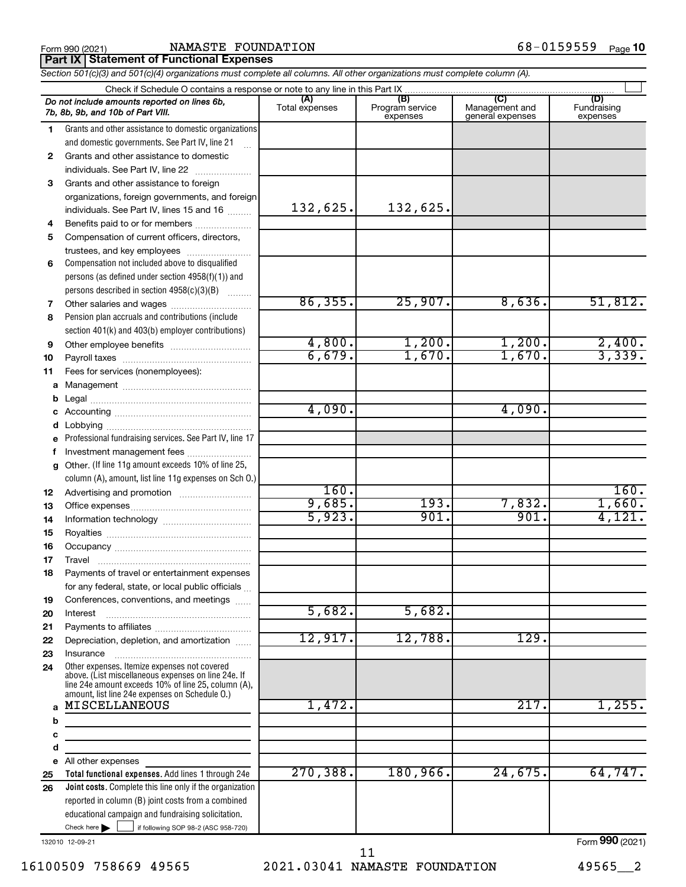### Form 990 (2021) **NAMASTE FOUNDATION**  $68-0159559$  Page **Part IX Statement of Functional Expenses**

|                   | Section 501(c)(3) and 501(c)(4) organizations must complete all columns. All other organizations must complete column (A).                                                                                   |                       |                                    |                                           |                                |
|-------------------|--------------------------------------------------------------------------------------------------------------------------------------------------------------------------------------------------------------|-----------------------|------------------------------------|-------------------------------------------|--------------------------------|
|                   | Check if Schedule O contains a response or note to any line in this Part IX                                                                                                                                  |                       |                                    |                                           |                                |
|                   | Do not include amounts reported on lines 6b,<br>7b, 8b, 9b, and 10b of Part VIII.                                                                                                                            | (A)<br>Total expenses | (B)<br>Program service<br>expenses | (C)<br>Management and<br>general expenses | (D)<br>Fundraising<br>expenses |
| 1                 | Grants and other assistance to domestic organizations                                                                                                                                                        |                       |                                    |                                           |                                |
|                   | and domestic governments. See Part IV, line 21                                                                                                                                                               |                       |                                    |                                           |                                |
| $\mathbf{2}$      | Grants and other assistance to domestic                                                                                                                                                                      |                       |                                    |                                           |                                |
|                   | individuals. See Part IV, line 22                                                                                                                                                                            |                       |                                    |                                           |                                |
| 3                 | Grants and other assistance to foreign                                                                                                                                                                       |                       |                                    |                                           |                                |
|                   | organizations, foreign governments, and foreign                                                                                                                                                              |                       |                                    |                                           |                                |
|                   | individuals. See Part IV, lines 15 and 16                                                                                                                                                                    | 132,625.              | 132,625.                           |                                           |                                |
| 4                 | Benefits paid to or for members                                                                                                                                                                              |                       |                                    |                                           |                                |
| 5                 | Compensation of current officers, directors,                                                                                                                                                                 |                       |                                    |                                           |                                |
|                   | trustees, and key employees                                                                                                                                                                                  |                       |                                    |                                           |                                |
| 6                 | Compensation not included above to disqualified                                                                                                                                                              |                       |                                    |                                           |                                |
|                   | persons (as defined under section 4958(f)(1)) and                                                                                                                                                            |                       |                                    |                                           |                                |
|                   | persons described in section 4958(c)(3)(B)                                                                                                                                                                   |                       |                                    |                                           |                                |
| 7                 | Other salaries and wages                                                                                                                                                                                     | 86, 355.              | 25,907.                            | 8,636.                                    | 51,812.                        |
| 8                 | Pension plan accruals and contributions (include                                                                                                                                                             |                       |                                    |                                           |                                |
|                   | section 401(k) and 403(b) employer contributions)                                                                                                                                                            |                       |                                    |                                           |                                |
| 9                 | Other employee benefits                                                                                                                                                                                      | 4,800.                | 1,200.                             | 1,200.                                    | $\frac{2,400}{3,339}$          |
| 10                |                                                                                                                                                                                                              | 6,679.                | 1,670.                             | 1,670.                                    |                                |
| 11                | Fees for services (nonemployees):                                                                                                                                                                            |                       |                                    |                                           |                                |
| a                 |                                                                                                                                                                                                              |                       |                                    |                                           |                                |
| b                 |                                                                                                                                                                                                              |                       |                                    |                                           |                                |
| c                 |                                                                                                                                                                                                              | 4,090.                |                                    | 4,090.                                    |                                |
| d                 |                                                                                                                                                                                                              |                       |                                    |                                           |                                |
| e                 | Professional fundraising services. See Part IV, line 17                                                                                                                                                      |                       |                                    |                                           |                                |
| f                 | Investment management fees                                                                                                                                                                                   |                       |                                    |                                           |                                |
| $\mathbf{q}$      | Other. (If line 11g amount exceeds 10% of line 25,                                                                                                                                                           |                       |                                    |                                           |                                |
|                   | column (A), amount, list line 11g expenses on Sch O.)                                                                                                                                                        |                       |                                    |                                           |                                |
| 12                |                                                                                                                                                                                                              | 160.                  |                                    |                                           | 160.                           |
| 13                |                                                                                                                                                                                                              | 9,685.                | 193.                               | 7,832.                                    | 1,660.                         |
| 14                |                                                                                                                                                                                                              | 5,923.                | 901.                               | 901.                                      | 4,121.                         |
| 15                |                                                                                                                                                                                                              |                       |                                    |                                           |                                |
| 16                |                                                                                                                                                                                                              |                       |                                    |                                           |                                |
| 17                |                                                                                                                                                                                                              |                       |                                    |                                           |                                |
| 18                | Payments of travel or entertainment expenses                                                                                                                                                                 |                       |                                    |                                           |                                |
|                   | for any federal, state, or local public officials                                                                                                                                                            |                       |                                    |                                           |                                |
| 19                | Conferences, conventions, and meetings                                                                                                                                                                       |                       |                                    |                                           |                                |
| 20                | Interest                                                                                                                                                                                                     | 5,682.                | 5,682.                             |                                           |                                |
| 21                |                                                                                                                                                                                                              |                       |                                    |                                           |                                |
| 22                | Depreciation, depletion, and amortization                                                                                                                                                                    | 12,917.               | 12,788.                            | 129.                                      |                                |
| 23                | Insurance                                                                                                                                                                                                    |                       |                                    |                                           |                                |
| 24                | Other expenses. Itemize expenses not covered<br>above. (List miscellaneous expenses on line 24e. If<br>line 24e amount exceeds 10% of line 25, column (A),<br>amount, list line 24e expenses on Schedule O.) |                       |                                    |                                           |                                |
| $\mathbf{a}$<br>b | MISCELLANEOUS                                                                                                                                                                                                | 1,472.                |                                    | 217.                                      | 1,255.                         |
| c<br>d            |                                                                                                                                                                                                              |                       |                                    |                                           |                                |
| e                 | All other expenses                                                                                                                                                                                           |                       |                                    |                                           |                                |
| 25                | Total functional expenses. Add lines 1 through 24e                                                                                                                                                           | 270, 388.             | 180, 966.                          | 24,675.                                   | 64,747.                        |
| 26                | <b>Joint costs.</b> Complete this line only if the organization                                                                                                                                              |                       |                                    |                                           |                                |
|                   | reported in column (B) joint costs from a combined                                                                                                                                                           |                       |                                    |                                           |                                |
|                   | educational campaign and fundraising solicitation.                                                                                                                                                           |                       |                                    |                                           |                                |
|                   | Check here $\blacktriangleright$<br>if following SOP 98-2 (ASC 958-720)                                                                                                                                      |                       |                                    |                                           |                                |

132010 12-09-21

16100509 758669 49565 2021.03041 NAMASTE FOUNDATION 49565\_\_2 11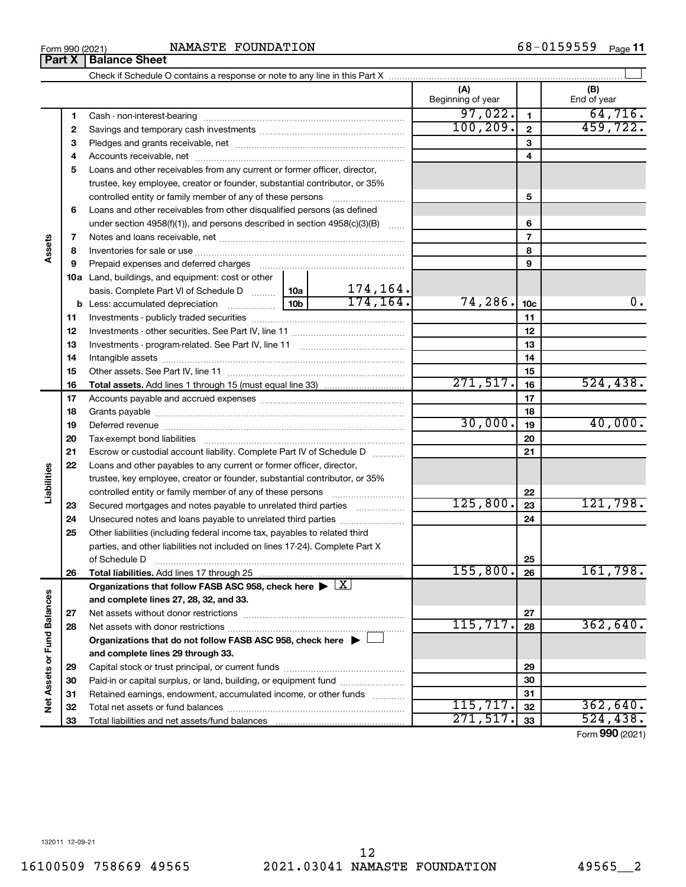$_{\rm Form}$  990 (2021) NAMASTE FOUNDATION 6 8 – 0<code>159559</code> <sub>Page</sub> 11 NAMASTE FOUNDATION

Check if Schedule O contains a response or note to any line in this Part X

**(A) (B)** Beginning of year | | End of year  $97,022.$   $1$   $64,716.$ **1 1** Cash - non-interest-bearing ~~~~~~~~~~~~~~~~~~~~~~~~~ 100,209. 459,722. **2 2** Savings and temporary cash investments ~~~~~~~~~~~~~~~~~~ **3 3** Pledges and grants receivable, net ~~~~~~~~~~~~~~~~~~~~~ **4 4** Accounts receivable, net ~~~~~~~~~~~~~~~~~~~~~~~~~~ **5** Loans and other receivables from any current or former officer, director, trustee, key employee, creator or founder, substantial contributor, or 35% controlled entity or family member of any of these persons  $\ldots$ ........................ **5 6** Loans and other receivables from other disqualified persons (as defined under section 4958(f)(1)), and persons described in section 4958(c)(3)(B)  $\ldots$ **6 7 7** Notes and loans receivable, net ~~~~~~~~~~~~~~~~~~~~~~~ **Assets 8 8** Inventories for sale or use ~~~~~~~~~~~~~~~~~~~~~~~~~~ **9 9** Prepaid expenses and deferred charges ~~~~~~~~~~~~~~~~~~ **10 a** Land, buildings, and equipment: cost or other 174,164. basis. Complete Part VI of Schedule D  $\frac{1}{10}$  10a  $174, 164.$   $74, 286.$   $10c$  0. **10c b** Less: accumulated depreciation  $\ldots$  [10b **11 11** Investments - publicly traded securities ~~~~~~~~~~~~~~~~~~~ **12 12** Investments - other securities. See Part IV, line 11 ~~~~~~~~~~~~~~ **13 13** Investments - program-related. See Part IV, line 11 ~~~~~~~~~~~~~ **14 14** Intangible assets ~~~~~~~~~~~~~~~~~~~~~~~~~~~~~~ Other assets. See Part IV, line 11 ~~~~~~~~~~~~~~~~~~~~~~ **15 15**  $271, 517.$  16 524,438. **16 16 Total assets.**  Add lines 1 through 15 (must equal line 33) **17 17** Accounts payable and accrued expenses ~~~~~~~~~~~~~~~~~~ **18 18** Grants payable ~~~~~~~~~~~~~~~~~~~~~~~~~~~~~~~  $30,000$ .  $19$   $40,000$ . **19 19** Deferred revenue ~~~~~~~~~~~~~~~~~~~~~~~~~~~~~~ **20 20** Tax-exempt bond liabilities ~~~~~~~~~~~~~~~~~~~~~~~~~ **21 21** Escrow or custodial account liability. Complete Part IV of Schedule D ........... **22** Loans and other payables to any current or former officer, director, **Liabilities** trustee, key employee, creator or founder, substantial contributor, or 35% **22** controlled entity or family member of any of these persons ~~~~~~~~~  $125,800.$   $23$  121,798. **23 23** Secured mortgages and notes payable to unrelated third parties **24** Unsecured notes and loans payable to unrelated third parties **24 25** Other liabilities (including federal income tax, payables to related third parties, and other liabilities not included on lines 17-24). Complete Part X of Schedule D ~~~~~~~~~~~~~~~~~~~~~~~~~~~~~~~ **25**  $155,800.$  26 161,798. **26 26 Total liabilities.**  Add lines 17 through 25 Organizations that follow FASB ASC 958, check here  $\blacktriangleright \boxed{\text{X}}$ Net Assets or Fund Balances **Net Assets or Fund Balances and complete lines 27, 28, 32, and 33. 27 27** Net assets without donor restrictions ~~~~~~~~~~~~~~~~~~~~  $115,717. |28 | 362,640.$ **28 28** Net assets with donor restrictions ~~~~~~~~~~~~~~~~~~~~~~ **Organizations that do not follow FASB ASC 958, check here** | † **and complete lines 29 through 33. 29 29** Capital stock or trust principal, or current funds ~~~~~~~~~~~~~~~ **30 30** Paid-in or capital surplus, or land, building, or equipment fund ....................... **31 31** Retained earnings, endowment, accumulated income, or other funds ............ Total net assets or fund balances ~~~~~~~~~~~~~~~~~~~~~~  $115,717.$   $32$  362,640. **32 32**  $271,517.$   $33$  524,438. **33** Total liabilities and net assets/fund balances ... **33** Form (2021) **990**

 $\perp$ 

132011 12-09-21

**Part X** | **Balance Sheet**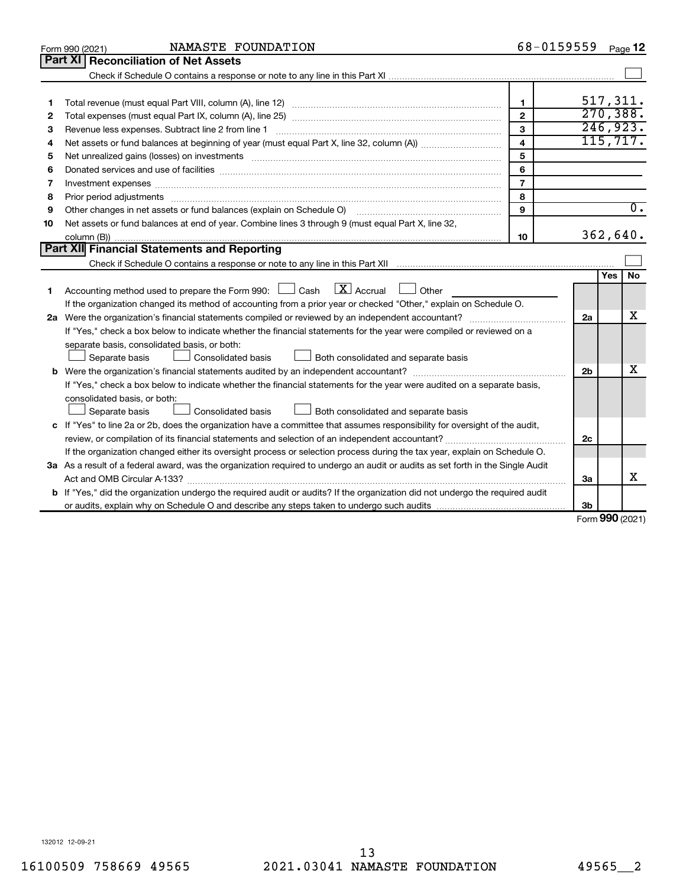|    | NAMASTE FOUNDATION<br>Form 990 (2021)                                                                                           | 68-0159559              |                |            | Page 12          |
|----|---------------------------------------------------------------------------------------------------------------------------------|-------------------------|----------------|------------|------------------|
|    | Part XI<br><b>Reconciliation of Net Assets</b>                                                                                  |                         |                |            |                  |
|    |                                                                                                                                 |                         |                |            |                  |
|    |                                                                                                                                 |                         |                |            |                  |
| 1  |                                                                                                                                 | $\mathbf{1}$            |                |            | 517,311.         |
| 2  |                                                                                                                                 | $\overline{2}$          |                |            | 270, 388.        |
| 3  |                                                                                                                                 | 3                       |                |            | 246,923.         |
| 4  |                                                                                                                                 | $\overline{\mathbf{4}}$ |                |            | 115, 717.        |
| 5  |                                                                                                                                 | 5                       |                |            |                  |
| 6  |                                                                                                                                 | 6                       |                |            |                  |
| 7  | Investment expenses www.communication.com/www.communication.com/www.communication.com/www.com                                   | $\overline{7}$          |                |            |                  |
| 8  | Prior period adjustments www.communication.communication.communication.com/                                                     | 8                       |                |            |                  |
| 9  | Other changes in net assets or fund balances (explain on Schedule O)                                                            | $\mathbf{Q}$            |                |            | $\overline{0}$ . |
| 10 | Net assets or fund balances at end of year. Combine lines 3 through 9 (must equal Part X, line 32,                              |                         |                |            |                  |
|    |                                                                                                                                 | 10                      |                |            | 362,640.         |
|    | Part XII Financial Statements and Reporting                                                                                     |                         |                |            |                  |
|    |                                                                                                                                 |                         |                |            |                  |
|    |                                                                                                                                 |                         |                | <b>Yes</b> | No.              |
| 1  | $\boxed{\text{X}}$ Accrual<br>Accounting method used to prepare the Form 990: $\Box$ Cash<br>$\Box$ Other                       |                         |                |            |                  |
|    | If the organization changed its method of accounting from a prior year or checked "Other," explain on Schedule O.               |                         |                |            |                  |
|    |                                                                                                                                 |                         | 2a             |            | x                |
|    | If "Yes," check a box below to indicate whether the financial statements for the year were compiled or reviewed on a            |                         |                |            |                  |
|    | separate basis, consolidated basis, or both:                                                                                    |                         |                |            |                  |
|    | Both consolidated and separate basis<br>Separate basis<br>Consolidated basis                                                    |                         |                |            |                  |
|    |                                                                                                                                 |                         | 2 <sub>b</sub> |            | х                |
|    | If "Yes," check a box below to indicate whether the financial statements for the year were audited on a separate basis,         |                         |                |            |                  |
|    | consolidated basis, or both:                                                                                                    |                         |                |            |                  |
|    | Consolidated basis<br>Separate basis<br>Both consolidated and separate basis                                                    |                         |                |            |                  |
|    | c If "Yes" to line 2a or 2b, does the organization have a committee that assumes responsibility for oversight of the audit,     |                         |                |            |                  |
|    |                                                                                                                                 |                         | 2c             |            |                  |
|    | If the organization changed either its oversight process or selection process during the tax year, explain on Schedule O.       |                         |                |            |                  |
|    | 3a As a result of a federal award, was the organization required to undergo an audit or audits as set forth in the Single Audit |                         |                |            |                  |
|    |                                                                                                                                 |                         | За             |            | x                |
|    | b If "Yes," did the organization undergo the required audit or audits? If the organization did not undergo the required audit   |                         |                |            |                  |
|    |                                                                                                                                 |                         | Зb             | $\sim$     |                  |

Form (2021) **990**

132012 12-09-21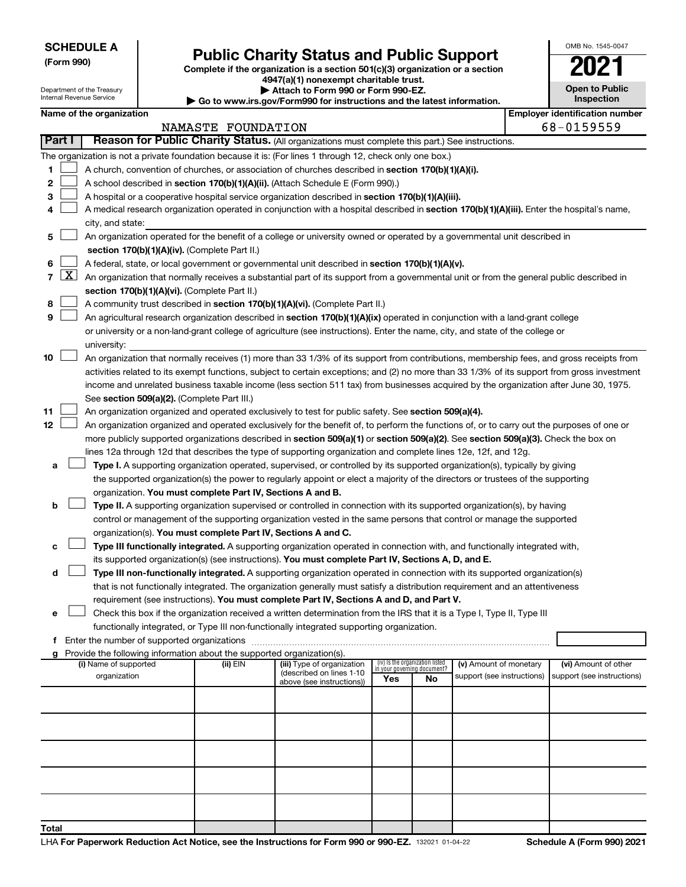| <b>SCHEDULE A</b> |
|-------------------|
|-------------------|

Department of the Treasury Internal Revenue Service

# Form 990)<br> **Complete if the organization is a section 501(c)(3) organization or a section**<br> **Public Charity Status and Public Support**

**4947(a)(1) nonexempt charitable trust. | Attach to Form 990 or Form 990-EZ.** 

**| Go to www.irs.gov/Form990 for instructions and the latest information.**

| OMB No. 1545-0047                   |
|-------------------------------------|
|                                     |
| <b>Open to Public</b><br>Inspection |

 $\blacksquare$ 

|                | Name of the organization                                                                                                                                                                                                                                                                 |                    |                                                       |                                                                |    | <b>Employer identification number</b> |  |                            |  |  |
|----------------|------------------------------------------------------------------------------------------------------------------------------------------------------------------------------------------------------------------------------------------------------------------------------------------|--------------------|-------------------------------------------------------|----------------------------------------------------------------|----|---------------------------------------|--|----------------------------|--|--|
|                |                                                                                                                                                                                                                                                                                          | NAMASTE FOUNDATION |                                                       |                                                                |    |                                       |  | 68-0159559                 |  |  |
| Part I         | Reason for Public Charity Status. (All organizations must complete this part.) See instructions.                                                                                                                                                                                         |                    |                                                       |                                                                |    |                                       |  |                            |  |  |
|                | The organization is not a private foundation because it is: (For lines 1 through 12, check only one box.)                                                                                                                                                                                |                    |                                                       |                                                                |    |                                       |  |                            |  |  |
| 1              | A church, convention of churches, or association of churches described in section 170(b)(1)(A)(i).                                                                                                                                                                                       |                    |                                                       |                                                                |    |                                       |  |                            |  |  |
| 2              | A school described in section 170(b)(1)(A)(ii). (Attach Schedule E (Form 990).)                                                                                                                                                                                                          |                    |                                                       |                                                                |    |                                       |  |                            |  |  |
| 3              | A hospital or a cooperative hospital service organization described in section 170(b)(1)(A)(iii).                                                                                                                                                                                        |                    |                                                       |                                                                |    |                                       |  |                            |  |  |
| 4              | A medical research organization operated in conjunction with a hospital described in section 170(b)(1)(A)(iii). Enter the hospital's name,                                                                                                                                               |                    |                                                       |                                                                |    |                                       |  |                            |  |  |
|                | city, and state:                                                                                                                                                                                                                                                                         |                    |                                                       |                                                                |    |                                       |  |                            |  |  |
| 5              | An organization operated for the benefit of a college or university owned or operated by a governmental unit described in                                                                                                                                                                |                    |                                                       |                                                                |    |                                       |  |                            |  |  |
|                | section 170(b)(1)(A)(iv). (Complete Part II.)                                                                                                                                                                                                                                            |                    |                                                       |                                                                |    |                                       |  |                            |  |  |
| 6              | A federal, state, or local government or governmental unit described in section 170(b)(1)(A)(v).                                                                                                                                                                                         |                    |                                                       |                                                                |    |                                       |  |                            |  |  |
| $\overline{7}$ | $X$ An organization that normally receives a substantial part of its support from a governmental unit or from the general public described in                                                                                                                                            |                    |                                                       |                                                                |    |                                       |  |                            |  |  |
|                | section 170(b)(1)(A)(vi). (Complete Part II.)                                                                                                                                                                                                                                            |                    |                                                       |                                                                |    |                                       |  |                            |  |  |
| 8              | A community trust described in section 170(b)(1)(A)(vi). (Complete Part II.)                                                                                                                                                                                                             |                    |                                                       |                                                                |    |                                       |  |                            |  |  |
| 9              | An agricultural research organization described in section 170(b)(1)(A)(ix) operated in conjunction with a land-grant college                                                                                                                                                            |                    |                                                       |                                                                |    |                                       |  |                            |  |  |
|                | or university or a non-land-grant college of agriculture (see instructions). Enter the name, city, and state of the college or                                                                                                                                                           |                    |                                                       |                                                                |    |                                       |  |                            |  |  |
|                | university:                                                                                                                                                                                                                                                                              |                    |                                                       |                                                                |    |                                       |  |                            |  |  |
| 10             | An organization that normally receives (1) more than 33 1/3% of its support from contributions, membership fees, and gross receipts from<br>activities related to its exempt functions, subject to certain exceptions; and (2) no more than 33 1/3% of its support from gross investment |                    |                                                       |                                                                |    |                                       |  |                            |  |  |
|                |                                                                                                                                                                                                                                                                                          |                    |                                                       |                                                                |    |                                       |  |                            |  |  |
|                | income and unrelated business taxable income (less section 511 tax) from businesses acquired by the organization after June 30, 1975.                                                                                                                                                    |                    |                                                       |                                                                |    |                                       |  |                            |  |  |
|                | See section 509(a)(2). (Complete Part III.)                                                                                                                                                                                                                                              |                    |                                                       |                                                                |    |                                       |  |                            |  |  |
| 11             | An organization organized and operated exclusively to test for public safety. See section 509(a)(4).                                                                                                                                                                                     |                    |                                                       |                                                                |    |                                       |  |                            |  |  |
| 12             | An organization organized and operated exclusively for the benefit of, to perform the functions of, or to carry out the purposes of one or                                                                                                                                               |                    |                                                       |                                                                |    |                                       |  |                            |  |  |
|                | more publicly supported organizations described in section 509(a)(1) or section 509(a)(2). See section 509(a)(3). Check the box on                                                                                                                                                       |                    |                                                       |                                                                |    |                                       |  |                            |  |  |
|                | lines 12a through 12d that describes the type of supporting organization and complete lines 12e, 12f, and 12g.                                                                                                                                                                           |                    |                                                       |                                                                |    |                                       |  |                            |  |  |
| а              | Type I. A supporting organization operated, supervised, or controlled by its supported organization(s), typically by giving                                                                                                                                                              |                    |                                                       |                                                                |    |                                       |  |                            |  |  |
|                | the supported organization(s) the power to regularly appoint or elect a majority of the directors or trustees of the supporting                                                                                                                                                          |                    |                                                       |                                                                |    |                                       |  |                            |  |  |
|                | organization. You must complete Part IV, Sections A and B.                                                                                                                                                                                                                               |                    |                                                       |                                                                |    |                                       |  |                            |  |  |
| b              | Type II. A supporting organization supervised or controlled in connection with its supported organization(s), by having                                                                                                                                                                  |                    |                                                       |                                                                |    |                                       |  |                            |  |  |
|                | control or management of the supporting organization vested in the same persons that control or manage the supported                                                                                                                                                                     |                    |                                                       |                                                                |    |                                       |  |                            |  |  |
|                | organization(s). You must complete Part IV, Sections A and C.                                                                                                                                                                                                                            |                    |                                                       |                                                                |    |                                       |  |                            |  |  |
| с              | Type III functionally integrated. A supporting organization operated in connection with, and functionally integrated with,<br>its supported organization(s) (see instructions). You must complete Part IV, Sections A, D, and E.                                                         |                    |                                                       |                                                                |    |                                       |  |                            |  |  |
|                |                                                                                                                                                                                                                                                                                          |                    |                                                       |                                                                |    |                                       |  |                            |  |  |
| d              | Type III non-functionally integrated. A supporting organization operated in connection with its supported organization(s)                                                                                                                                                                |                    |                                                       |                                                                |    |                                       |  |                            |  |  |
|                | that is not functionally integrated. The organization generally must satisfy a distribution requirement and an attentiveness<br>requirement (see instructions). You must complete Part IV, Sections A and D, and Part V.                                                                 |                    |                                                       |                                                                |    |                                       |  |                            |  |  |
|                | Check this box if the organization received a written determination from the IRS that it is a Type I, Type II, Type III                                                                                                                                                                  |                    |                                                       |                                                                |    |                                       |  |                            |  |  |
|                | functionally integrated, or Type III non-functionally integrated supporting organization.                                                                                                                                                                                                |                    |                                                       |                                                                |    |                                       |  |                            |  |  |
| f.             | Enter the number of supported organizations                                                                                                                                                                                                                                              |                    |                                                       |                                                                |    |                                       |  |                            |  |  |
|                | g Provide the following information about the supported organization(s).                                                                                                                                                                                                                 |                    |                                                       |                                                                |    |                                       |  |                            |  |  |
|                | (i) Name of supported                                                                                                                                                                                                                                                                    | (ii) EIN           | (iii) Type of organization                            | (iv) Is the organization listed<br>in your governing document? |    | (v) Amount of monetary                |  | (vi) Amount of other       |  |  |
|                | organization                                                                                                                                                                                                                                                                             |                    | (described on lines 1-10<br>above (see instructions)) | Yes                                                            | No | support (see instructions)            |  | support (see instructions) |  |  |
|                |                                                                                                                                                                                                                                                                                          |                    |                                                       |                                                                |    |                                       |  |                            |  |  |
|                |                                                                                                                                                                                                                                                                                          |                    |                                                       |                                                                |    |                                       |  |                            |  |  |
|                |                                                                                                                                                                                                                                                                                          |                    |                                                       |                                                                |    |                                       |  |                            |  |  |
|                |                                                                                                                                                                                                                                                                                          |                    |                                                       |                                                                |    |                                       |  |                            |  |  |
|                |                                                                                                                                                                                                                                                                                          |                    |                                                       |                                                                |    |                                       |  |                            |  |  |
|                |                                                                                                                                                                                                                                                                                          |                    |                                                       |                                                                |    |                                       |  |                            |  |  |
|                |                                                                                                                                                                                                                                                                                          |                    |                                                       |                                                                |    |                                       |  |                            |  |  |
|                |                                                                                                                                                                                                                                                                                          |                    |                                                       |                                                                |    |                                       |  |                            |  |  |
|                |                                                                                                                                                                                                                                                                                          |                    |                                                       |                                                                |    |                                       |  |                            |  |  |
|                |                                                                                                                                                                                                                                                                                          |                    |                                                       |                                                                |    |                                       |  |                            |  |  |
| Total          |                                                                                                                                                                                                                                                                                          |                    |                                                       |                                                                |    |                                       |  |                            |  |  |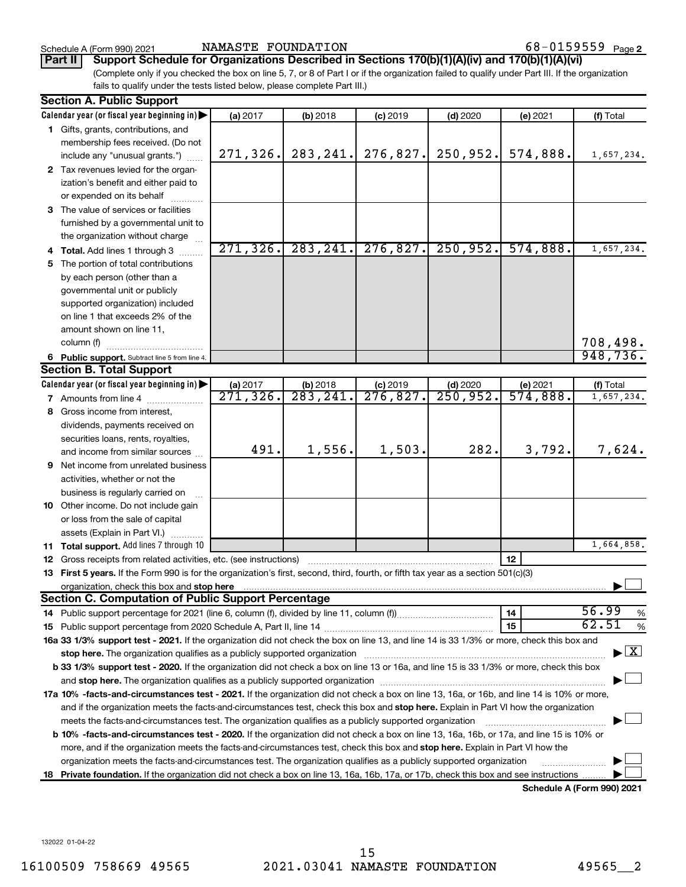Schedule A (Form 990) 2021 Page NAMASTE FOUNDATION 68-0159559

**Part II Support Schedule for Organizations Described in Sections 170(b)(1)(A)(iv) and 170(b)(1)(A)(vi)**

(Complete only if you checked the box on line 5, 7, or 8 of Part I or if the organization failed to qualify under Part III. If the organization fails to qualify under the tests listed below, please complete Part III.)

| <b>Section A. Public Support</b>                                                                                                                                                                                               |                        |           |                        |                        |          |                                          |
|--------------------------------------------------------------------------------------------------------------------------------------------------------------------------------------------------------------------------------|------------------------|-----------|------------------------|------------------------|----------|------------------------------------------|
| Calendar year (or fiscal year beginning in)                                                                                                                                                                                    | (a) 2017               | (b) 2018  | $(c)$ 2019             | $(d)$ 2020             | (e) 2021 | (f) Total                                |
| 1 Gifts, grants, contributions, and                                                                                                                                                                                            |                        |           |                        |                        |          |                                          |
| membership fees received. (Do not                                                                                                                                                                                              |                        |           |                        |                        |          |                                          |
| include any "unusual grants.")                                                                                                                                                                                                 | 271,326.               | 283, 241. | 276,827.               | 250,952.               | 574,888. | 1,657,234.                               |
| 2 Tax revenues levied for the organ-                                                                                                                                                                                           |                        |           |                        |                        |          |                                          |
| ization's benefit and either paid to                                                                                                                                                                                           |                        |           |                        |                        |          |                                          |
| or expended on its behalf                                                                                                                                                                                                      |                        |           |                        |                        |          |                                          |
| 3 The value of services or facilities                                                                                                                                                                                          |                        |           |                        |                        |          |                                          |
| furnished by a governmental unit to                                                                                                                                                                                            |                        |           |                        |                        |          |                                          |
| the organization without charge                                                                                                                                                                                                |                        |           |                        |                        |          |                                          |
| 4 Total. Add lines 1 through 3                                                                                                                                                                                                 | 271, 326.              | 283, 241. | 276,827.               | 250,952.               | 574,888. | 1,657,234.                               |
| 5 The portion of total contributions                                                                                                                                                                                           |                        |           |                        |                        |          |                                          |
| by each person (other than a                                                                                                                                                                                                   |                        |           |                        |                        |          |                                          |
| governmental unit or publicly                                                                                                                                                                                                  |                        |           |                        |                        |          |                                          |
| supported organization) included                                                                                                                                                                                               |                        |           |                        |                        |          |                                          |
| on line 1 that exceeds 2% of the                                                                                                                                                                                               |                        |           |                        |                        |          |                                          |
| amount shown on line 11,                                                                                                                                                                                                       |                        |           |                        |                        |          |                                          |
| column (f)                                                                                                                                                                                                                     |                        |           |                        |                        |          | 708,498.                                 |
| 6 Public support. Subtract line 5 from line 4.                                                                                                                                                                                 |                        |           |                        |                        |          | 948,736.                                 |
| <b>Section B. Total Support</b>                                                                                                                                                                                                |                        |           |                        |                        |          |                                          |
| Calendar year (or fiscal year beginning in)                                                                                                                                                                                    | (a) 2017               | (b) 2018  | $(c)$ 2019             | $(d)$ 2020             | (e) 2021 | (f) Total                                |
| <b>7</b> Amounts from line 4                                                                                                                                                                                                   | $\overline{271,326}$ . | 283, 241. | $\overline{276,827}$ . | $\overline{250,952}$ . | 574,888. | 1,657,234.                               |
| 8 Gross income from interest,                                                                                                                                                                                                  |                        |           |                        |                        |          |                                          |
| dividends, payments received on                                                                                                                                                                                                |                        |           |                        |                        |          |                                          |
| securities loans, rents, royalties,                                                                                                                                                                                            |                        |           |                        |                        |          |                                          |
| and income from similar sources                                                                                                                                                                                                | 491.                   | 1,556.    | 1,503.                 | 282.                   | 3,792.   | 7,624.                                   |
| 9 Net income from unrelated business                                                                                                                                                                                           |                        |           |                        |                        |          |                                          |
| activities, whether or not the                                                                                                                                                                                                 |                        |           |                        |                        |          |                                          |
| business is regularly carried on                                                                                                                                                                                               |                        |           |                        |                        |          |                                          |
| 10 Other income. Do not include gain                                                                                                                                                                                           |                        |           |                        |                        |          |                                          |
| or loss from the sale of capital                                                                                                                                                                                               |                        |           |                        |                        |          |                                          |
| assets (Explain in Part VI.)                                                                                                                                                                                                   |                        |           |                        |                        |          |                                          |
| 11 Total support. Add lines 7 through 10                                                                                                                                                                                       |                        |           |                        |                        |          | 1,664,858.                               |
| 12 Gross receipts from related activities, etc. (see instructions)                                                                                                                                                             |                        |           |                        |                        | 12       |                                          |
| 13 First 5 years. If the Form 990 is for the organization's first, second, third, fourth, or fifth tax year as a section 501(c)(3)                                                                                             |                        |           |                        |                        |          |                                          |
| organization, check this box and stop here manufactured and stop here and stop here are manufactured and stop here and stop here are all the statements of the statement of the statement of the statement of the statement of |                        |           |                        |                        |          |                                          |
| <b>Section C. Computation of Public Support Percentage</b>                                                                                                                                                                     |                        |           |                        |                        |          |                                          |
|                                                                                                                                                                                                                                |                        |           |                        |                        | 14       | 56.99<br>$\%$                            |
|                                                                                                                                                                                                                                |                        |           |                        |                        | 15       | 62.51<br>$\%$                            |
| 16a 33 1/3% support test - 2021. If the organization did not check the box on line 13, and line 14 is 33 1/3% or more, check this box and                                                                                      |                        |           |                        |                        |          |                                          |
|                                                                                                                                                                                                                                |                        |           |                        |                        |          | $\blacktriangleright$ $\boxed{\text{X}}$ |
| b 33 1/3% support test - 2020. If the organization did not check a box on line 13 or 16a, and line 15 is 33 1/3% or more, check this box                                                                                       |                        |           |                        |                        |          |                                          |
|                                                                                                                                                                                                                                |                        |           |                        |                        |          |                                          |
| 17a 10% -facts-and-circumstances test - 2021. If the organization did not check a box on line 13, 16a, or 16b, and line 14 is 10% or more,                                                                                     |                        |           |                        |                        |          |                                          |
| and if the organization meets the facts-and-circumstances test, check this box and stop here. Explain in Part VI how the organization                                                                                          |                        |           |                        |                        |          |                                          |
| meets the facts-and-circumstances test. The organization qualifies as a publicly supported organization                                                                                                                        |                        |           |                        |                        |          |                                          |
| b 10% -facts-and-circumstances test - 2020. If the organization did not check a box on line 13, 16a, 16b, or 17a, and line 15 is 10% or                                                                                        |                        |           |                        |                        |          |                                          |
| more, and if the organization meets the facts-and-circumstances test, check this box and stop here. Explain in Part VI how the                                                                                                 |                        |           |                        |                        |          |                                          |
| organization meets the facts-and-circumstances test. The organization qualifies as a publicly supported organization                                                                                                           |                        |           |                        |                        |          |                                          |
| 18 Private foundation. If the organization did not check a box on line 13, 16a, 16b, 17a, or 17b, check this box and see instructions                                                                                          |                        |           |                        |                        |          |                                          |
|                                                                                                                                                                                                                                |                        |           |                        |                        |          | Schedule A (Form 990) 2021               |

**Schedule A (Form 990) 2021**

132022 01-04-22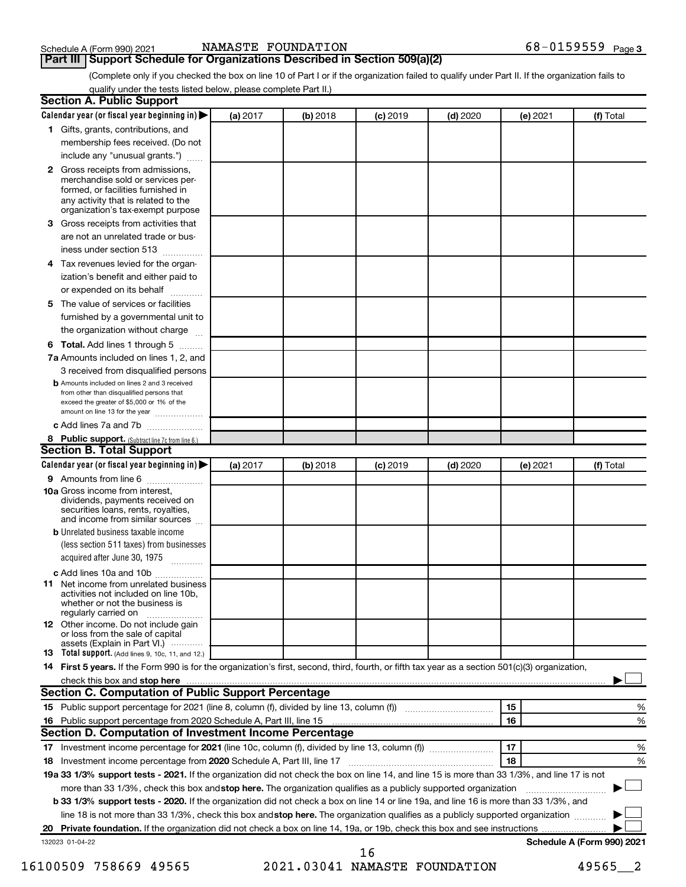# **Part III** | Support Schedule for Organizations Described in Section 509(a)(2) <br>**Part III** | Support Schedule for Organizations Described in Section 509(a)(2)

(Complete only if you checked the box on line 10 of Part I or if the organization failed to qualify under Part II. If the organization fails to qualify under the tests listed below, please complete Part II.)

| <b>Section A. Public Support</b>                                                                                                                                                                |          |            |            |            |          |                            |
|-------------------------------------------------------------------------------------------------------------------------------------------------------------------------------------------------|----------|------------|------------|------------|----------|----------------------------|
| Calendar year (or fiscal year beginning in)                                                                                                                                                     | (a) 2017 | (b) 2018   | $(c)$ 2019 | $(d)$ 2020 | (e) 2021 | (f) Total                  |
| 1 Gifts, grants, contributions, and                                                                                                                                                             |          |            |            |            |          |                            |
| membership fees received. (Do not                                                                                                                                                               |          |            |            |            |          |                            |
| include any "unusual grants.")                                                                                                                                                                  |          |            |            |            |          |                            |
| <b>2</b> Gross receipts from admissions,<br>merchandise sold or services per-<br>formed, or facilities furnished in<br>any activity that is related to the<br>organization's tax-exempt purpose |          |            |            |            |          |                            |
| 3 Gross receipts from activities that                                                                                                                                                           |          |            |            |            |          |                            |
| are not an unrelated trade or bus-                                                                                                                                                              |          |            |            |            |          |                            |
| iness under section 513                                                                                                                                                                         |          |            |            |            |          |                            |
| 4 Tax revenues levied for the organ-                                                                                                                                                            |          |            |            |            |          |                            |
| ization's benefit and either paid to                                                                                                                                                            |          |            |            |            |          |                            |
| or expended on its behalf                                                                                                                                                                       |          |            |            |            |          |                            |
| 5 The value of services or facilities                                                                                                                                                           |          |            |            |            |          |                            |
| furnished by a governmental unit to                                                                                                                                                             |          |            |            |            |          |                            |
| the organization without charge                                                                                                                                                                 |          |            |            |            |          |                            |
| 6 Total. Add lines 1 through 5                                                                                                                                                                  |          |            |            |            |          |                            |
| 7a Amounts included on lines 1, 2, and                                                                                                                                                          |          |            |            |            |          |                            |
| 3 received from disqualified persons                                                                                                                                                            |          |            |            |            |          |                            |
| <b>b</b> Amounts included on lines 2 and 3 received<br>from other than disqualified persons that<br>exceed the greater of \$5,000 or 1% of the<br>amount on line 13 for the year                |          |            |            |            |          |                            |
| c Add lines 7a and 7b                                                                                                                                                                           |          |            |            |            |          |                            |
| 8 Public support. (Subtract line 7c from line 6.)                                                                                                                                               |          |            |            |            |          |                            |
| <b>Section B. Total Support</b>                                                                                                                                                                 |          |            |            |            |          |                            |
| Calendar year (or fiscal year beginning in)                                                                                                                                                     | (a) 2017 | $(b)$ 2018 | $(c)$ 2019 | $(d)$ 2020 | (e) 2021 | (f) Total                  |
| 9 Amounts from line 6                                                                                                                                                                           |          |            |            |            |          |                            |
| <b>10a</b> Gross income from interest,<br>dividends, payments received on<br>securities loans, rents, royalties,<br>and income from similar sources                                             |          |            |            |            |          |                            |
| <b>b</b> Unrelated business taxable income                                                                                                                                                      |          |            |            |            |          |                            |
| (less section 511 taxes) from businesses<br>acquired after June 30, 1975                                                                                                                        |          |            |            |            |          |                            |
| c Add lines 10a and 10b                                                                                                                                                                         |          |            |            |            |          |                            |
| <b>11</b> Net income from unrelated business<br>activities not included on line 10b.<br>whether or not the business is<br>regularly carried on                                                  |          |            |            |            |          |                            |
| 12 Other income. Do not include gain<br>or loss from the sale of capital<br>assets (Explain in Part VI.)                                                                                        |          |            |            |            |          |                            |
| <b>13</b> Total support. (Add lines 9, 10c, 11, and 12.)                                                                                                                                        |          |            |            |            |          |                            |
| 14 First 5 years. If the Form 990 is for the organization's first, second, third, fourth, or fifth tax year as a section 501(c)(3) organization,                                                |          |            |            |            |          |                            |
| check this box and stop here <b>contained and the contained and starting and stop here</b> check this box and stop here                                                                         |          |            |            |            |          |                            |
| Section C. Computation of Public Support Percentage                                                                                                                                             |          |            |            |            |          |                            |
| 15 Public support percentage for 2021 (line 8, column (f), divided by line 13, column (f) <i></i>                                                                                               |          |            |            |            | 15       | ℅                          |
|                                                                                                                                                                                                 |          |            |            |            | 16       | %                          |
| Section D. Computation of Investment Income Percentage                                                                                                                                          |          |            |            |            |          |                            |
|                                                                                                                                                                                                 |          |            |            |            | 17       | %                          |
| 18 Investment income percentage from 2020 Schedule A, Part III, line 17                                                                                                                         |          |            |            |            | 18       | %                          |
| 19a 33 1/3% support tests - 2021. If the organization did not check the box on line 14, and line 15 is more than 33 1/3%, and line 17 is not                                                    |          |            |            |            |          |                            |
| more than 33 1/3%, check this box and stop here. The organization qualifies as a publicly supported organization                                                                                |          |            |            |            |          |                            |
| <b>b 33 1/3% support tests - 2020.</b> If the organization did not check a box on line 14 or line 19a, and line 16 is more than 33 1/3%, and                                                    |          |            |            |            |          |                            |
| line 18 is not more than 33 1/3%, check this box and stop here. The organization qualifies as a publicly supported organization                                                                 |          |            |            |            |          |                            |
|                                                                                                                                                                                                 |          |            |            |            |          |                            |
| 132023 01-04-22                                                                                                                                                                                 |          |            |            |            |          | Schedule A (Form 990) 2021 |
|                                                                                                                                                                                                 |          |            | 16         |            |          |                            |

16100509 758669 49565 2021.03041 NAMASTE FOUNDATION 49565\_\_2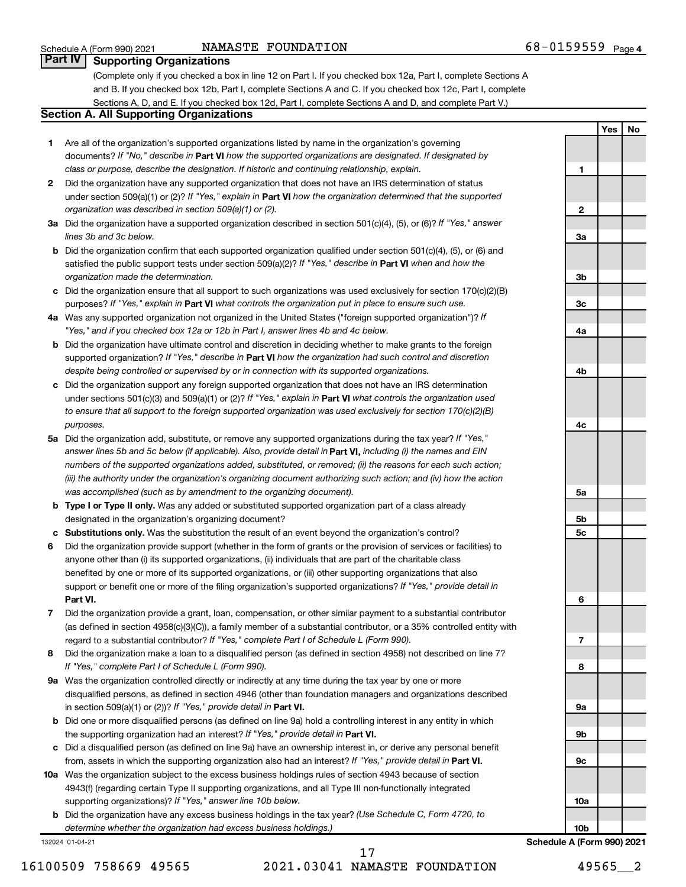### NAMASTE FOUNDATION

**1**

**2**

**3a**

**3b**

**3c**

**4a**

**4b**

**4c**

**5a**

**5b 5c** **Yes No**

### **Part IV Supporting Organizations**

(Complete only if you checked a box in line 12 on Part I. If you checked box 12a, Part I, complete Sections A and B. If you checked box 12b, Part I, complete Sections A and C. If you checked box 12c, Part I, complete Sections A, D, and E. If you checked box 12d, Part I, complete Sections A and D, and complete Part V.)

### **Section A. All Supporting Organizations**

- **1** Are all of the organization's supported organizations listed by name in the organization's governing documents? If "No," describe in Part VI how the supported organizations are designated. If designated by *class or purpose, describe the designation. If historic and continuing relationship, explain.*
- **2** Did the organization have any supported organization that does not have an IRS determination of status under section 509(a)(1) or (2)? If "Yes," explain in Part **VI** how the organization determined that the supported *organization was described in section 509(a)(1) or (2).*
- **3a** Did the organization have a supported organization described in section 501(c)(4), (5), or (6)? If "Yes," answer *lines 3b and 3c below.*
- **b** Did the organization confirm that each supported organization qualified under section 501(c)(4), (5), or (6) and satisfied the public support tests under section 509(a)(2)? If "Yes," describe in Part VI when and how the *organization made the determination.*
- **c** Did the organization ensure that all support to such organizations was used exclusively for section 170(c)(2)(B) purposes? If "Yes," explain in Part VI what controls the organization put in place to ensure such use.
- **4 a** *If* Was any supported organization not organized in the United States ("foreign supported organization")? *"Yes," and if you checked box 12a or 12b in Part I, answer lines 4b and 4c below.*
- **b** Did the organization have ultimate control and discretion in deciding whether to make grants to the foreign supported organization? If "Yes," describe in Part VI how the organization had such control and discretion *despite being controlled or supervised by or in connection with its supported organizations.*
- **c** Did the organization support any foreign supported organization that does not have an IRS determination under sections 501(c)(3) and 509(a)(1) or (2)? If "Yes," explain in Part VI what controls the organization used *to ensure that all support to the foreign supported organization was used exclusively for section 170(c)(2)(B) purposes.*
- **5a** Did the organization add, substitute, or remove any supported organizations during the tax year? If "Yes," answer lines 5b and 5c below (if applicable). Also, provide detail in **Part VI,** including (i) the names and EIN *numbers of the supported organizations added, substituted, or removed; (ii) the reasons for each such action; (iii) the authority under the organization's organizing document authorizing such action; and (iv) how the action was accomplished (such as by amendment to the organizing document).*
- **b** Type I or Type II only. Was any added or substituted supported organization part of a class already designated in the organization's organizing document?
- **c Substitutions only.**  Was the substitution the result of an event beyond the organization's control?
- **6** Did the organization provide support (whether in the form of grants or the provision of services or facilities) to **Part VI.** support or benefit one or more of the filing organization's supported organizations? If "Yes," provide detail in anyone other than (i) its supported organizations, (ii) individuals that are part of the charitable class benefited by one or more of its supported organizations, or (iii) other supporting organizations that also
- **7** Did the organization provide a grant, loan, compensation, or other similar payment to a substantial contributor regard to a substantial contributor? If "Yes," complete Part I of Schedule L (Form 990). (as defined in section 4958(c)(3)(C)), a family member of a substantial contributor, or a 35% controlled entity with
- **8** Did the organization make a loan to a disqualified person (as defined in section 4958) not described on line 7? *If "Yes," complete Part I of Schedule L (Form 990).*
- **9 a** Was the organization controlled directly or indirectly at any time during the tax year by one or more in section 509(a)(1) or (2))? If "Yes," provide detail in **Part VI.** disqualified persons, as defined in section 4946 (other than foundation managers and organizations described
- **b** Did one or more disqualified persons (as defined on line 9a) hold a controlling interest in any entity in which the supporting organization had an interest? If "Yes," provide detail in Part VI.
- **c** Did a disqualified person (as defined on line 9a) have an ownership interest in, or derive any personal benefit from, assets in which the supporting organization also had an interest? If "Yes," provide detail in Part VI.
- **10 a** Was the organization subject to the excess business holdings rules of section 4943 because of section supporting organizations)? If "Yes," answer line 10b below. 4943(f) (regarding certain Type II supporting organizations, and all Type III non-functionally integrated
	- **b** Did the organization have any excess business holdings in the tax year? (Use Schedule C, Form 4720, to *determine whether the organization had excess business holdings.)*

132024 01-04-21

**6 7 8 9a 9b 9c 10a 10b Schedule A (Form 990) 2021**

16100509 758669 49565 2021.03041 NAMASTE FOUNDATION 49565\_\_2 17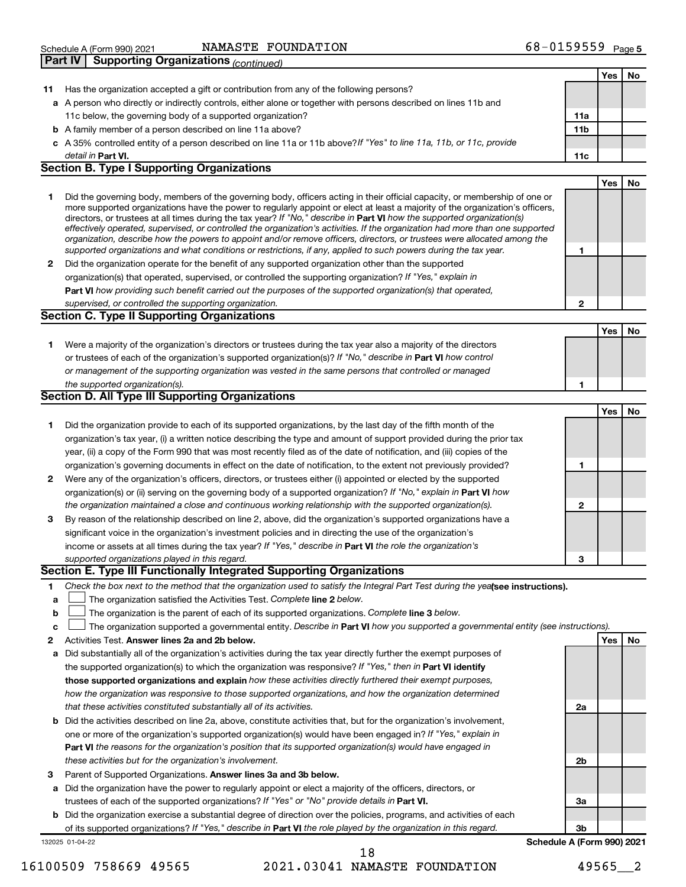| Schedule A (Form 990) 2021                     | NAMASTE<br>FOUNDATION | 68-0159559<br>Page 5 |
|------------------------------------------------|-----------------------|----------------------|
| $\Box$ Dart IV $\Box$ Supporting Organizations |                       |                      |

|    | αι ι ι ν<br>oupporting Organizations <sub>(CONTINUEG)</sub>                                                                                                                                                                                                |                 |            |    |
|----|------------------------------------------------------------------------------------------------------------------------------------------------------------------------------------------------------------------------------------------------------------|-----------------|------------|----|
|    |                                                                                                                                                                                                                                                            |                 | Yes        | No |
| 11 | Has the organization accepted a gift or contribution from any of the following persons?                                                                                                                                                                    |                 |            |    |
|    | a A person who directly or indirectly controls, either alone or together with persons described on lines 11b and                                                                                                                                           |                 |            |    |
|    | 11c below, the governing body of a supported organization?                                                                                                                                                                                                 | 11a             |            |    |
|    | <b>b</b> A family member of a person described on line 11a above?                                                                                                                                                                                          | 11 <sub>b</sub> |            |    |
|    | c A 35% controlled entity of a person described on line 11a or 11b above? If "Yes" to line 11a, 11b, or 11c, provide                                                                                                                                       |                 |            |    |
|    | detail in Part VI.<br><b>Section B. Type I Supporting Organizations</b>                                                                                                                                                                                    | 11c             |            |    |
|    |                                                                                                                                                                                                                                                            |                 | Yes        | No |
| 1  | Did the governing body, members of the governing body, officers acting in their official capacity, or membership of one or                                                                                                                                 |                 |            |    |
|    | more supported organizations have the power to regularly appoint or elect at least a majority of the organization's officers,                                                                                                                              |                 |            |    |
|    | directors, or trustees at all times during the tax year? If "No," describe in Part VI how the supported organization(s)                                                                                                                                    |                 |            |    |
|    | effectively operated, supervised, or controlled the organization's activities. If the organization had more than one supported<br>organization, describe how the powers to appoint and/or remove officers, directors, or trustees were allocated among the |                 |            |    |
|    | supported organizations and what conditions or restrictions, if any, applied to such powers during the tax year.                                                                                                                                           | 1               |            |    |
| 2  | Did the organization operate for the benefit of any supported organization other than the supported                                                                                                                                                        |                 |            |    |
|    | organization(s) that operated, supervised, or controlled the supporting organization? If "Yes," explain in                                                                                                                                                 |                 |            |    |
|    | Part VI how providing such benefit carried out the purposes of the supported organization(s) that operated,                                                                                                                                                |                 |            |    |
|    | supervised, or controlled the supporting organization.                                                                                                                                                                                                     | $\mathbf{2}$    |            |    |
|    | <b>Section C. Type II Supporting Organizations</b>                                                                                                                                                                                                         |                 |            |    |
|    |                                                                                                                                                                                                                                                            |                 | <b>Yes</b> | No |
| 1  | Were a majority of the organization's directors or trustees during the tax year also a majority of the directors                                                                                                                                           |                 |            |    |
|    | or trustees of each of the organization's supported organization(s)? If "No," describe in Part VI how control                                                                                                                                              |                 |            |    |
|    | or management of the supporting organization was vested in the same persons that controlled or managed                                                                                                                                                     |                 |            |    |
|    | the supported organization(s).                                                                                                                                                                                                                             | 1               |            |    |
|    | <b>Section D. All Type III Supporting Organizations</b>                                                                                                                                                                                                    |                 |            |    |
|    |                                                                                                                                                                                                                                                            |                 | <b>Yes</b> | No |
| 1  | Did the organization provide to each of its supported organizations, by the last day of the fifth month of the                                                                                                                                             |                 |            |    |
|    | organization's tax year, (i) a written notice describing the type and amount of support provided during the prior tax                                                                                                                                      |                 |            |    |
|    | year, (ii) a copy of the Form 990 that was most recently filed as of the date of notification, and (iii) copies of the                                                                                                                                     |                 |            |    |
|    | organization's governing documents in effect on the date of notification, to the extent not previously provided?                                                                                                                                           | 1               |            |    |
| 2  | Were any of the organization's officers, directors, or trustees either (i) appointed or elected by the supported                                                                                                                                           |                 |            |    |
|    | organization(s) or (ii) serving on the governing body of a supported organization? If "No," explain in Part VI how                                                                                                                                         |                 |            |    |
|    | the organization maintained a close and continuous working relationship with the supported organization(s).                                                                                                                                                | $\mathbf{2}$    |            |    |
| 3  | By reason of the relationship described on line 2, above, did the organization's supported organizations have a                                                                                                                                            |                 |            |    |
|    | significant voice in the organization's investment policies and in directing the use of the organization's                                                                                                                                                 |                 |            |    |
|    | income or assets at all times during the tax year? If "Yes," describe in Part VI the role the organization's                                                                                                                                               |                 |            |    |
|    | supported organizations played in this regard.<br>Section E. Type III Functionally Integrated Supporting Organizations                                                                                                                                     | З               |            |    |
| 1  | Check the box next to the method that the organization used to satisfy the Integral Part Test during the yealsee instructions).                                                                                                                            |                 |            |    |
| a  | The organization satisfied the Activities Test. Complete line 2 below.                                                                                                                                                                                     |                 |            |    |
| b  | The organization is the parent of each of its supported organizations. Complete line 3 below.                                                                                                                                                              |                 |            |    |
| c  | The organization supported a governmental entity. Describe in Part VI how you supported a governmental entity (see instructions).                                                                                                                          |                 |            |    |
| 2  | Activities Test. Answer lines 2a and 2b below.                                                                                                                                                                                                             |                 | <b>Yes</b> | No |
| а  | Did substantially all of the organization's activities during the tax year directly further the exempt purposes of                                                                                                                                         |                 |            |    |
|    | the supported organization(s) to which the organization was responsive? If "Yes," then in Part VI identify                                                                                                                                                 |                 |            |    |
|    | those supported organizations and explain how these activities directly furthered their exempt purposes,                                                                                                                                                   |                 |            |    |
|    | how the organization was responsive to those supported organizations, and how the organization determined                                                                                                                                                  |                 |            |    |
|    | that these activities constituted substantially all of its activities.                                                                                                                                                                                     | 2a              |            |    |
| b  | Did the activities described on line 2a, above, constitute activities that, but for the organization's involvement,                                                                                                                                        |                 |            |    |
|    | one or more of the organization's supported organization(s) would have been engaged in? If "Yes," explain in                                                                                                                                               |                 |            |    |
|    | Part VI the reasons for the organization's position that its supported organization(s) would have engaged in                                                                                                                                               |                 |            |    |
|    | these activities but for the organization's involvement.                                                                                                                                                                                                   | 2b              |            |    |
| з  | Parent of Supported Organizations. Answer lines 3a and 3b below.                                                                                                                                                                                           |                 |            |    |
| а  | Did the organization have the power to regularly appoint or elect a majority of the officers, directors, or                                                                                                                                                |                 |            |    |
|    | trustees of each of the supported organizations? If "Yes" or "No" provide details in Part VI.                                                                                                                                                              | За              |            |    |
| b  | Did the organization exercise a substantial degree of direction over the policies, programs, and activities of each                                                                                                                                        |                 |            |    |
|    | of its supported organizations? If "Yes," describe in Part VI the role played by the organization in this regard.                                                                                                                                          | 3b              |            |    |

**Schedule A (Form 990) 2021**

132025 01-04-22

16100509 758669 49565 2021.03041 NAMASTE FOUNDATION 49565\_\_2 18

of its supported organizations? If "Yes," describe in Part VI the role played by the organization in this regard.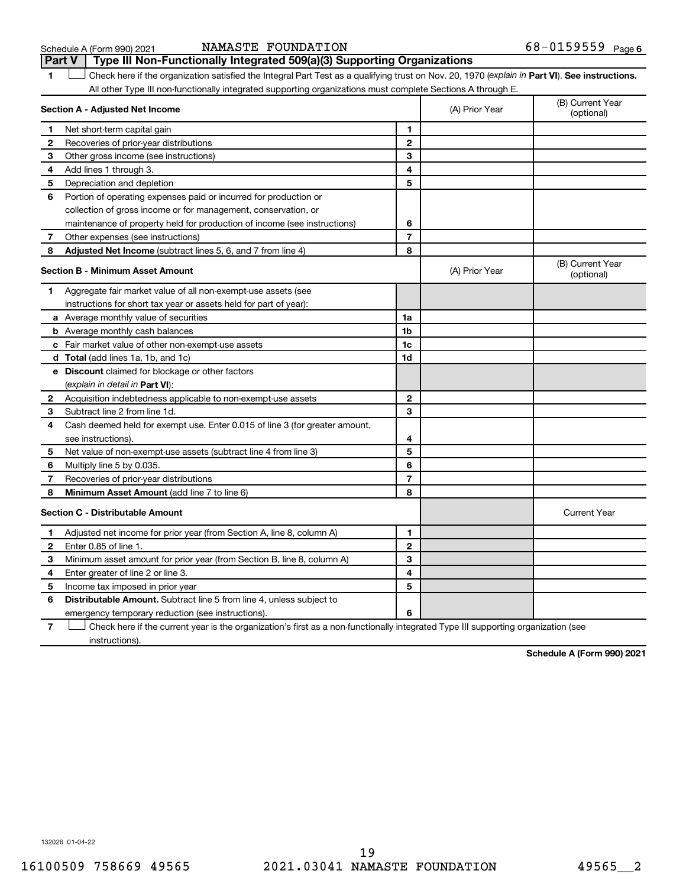### Schedule A (Form 990) 2021 NAMASTE FOUNDATION 6 8-UI5 9 5 9 Page NAMASTE FOUNDATION 68-0159559

|              | Type III Non-Functionally Integrated 509(a)(3) Supporting Organizations<br><b>Part V</b>                                                       |                         |                |                                |
|--------------|------------------------------------------------------------------------------------------------------------------------------------------------|-------------------------|----------------|--------------------------------|
| 1            | Check here if the organization satisfied the Integral Part Test as a qualifying trust on Nov. 20, 1970 (explain in Part VI). See instructions. |                         |                |                                |
|              | All other Type III non-functionally integrated supporting organizations must complete Sections A through E.                                    |                         |                |                                |
|              | Section A - Adjusted Net Income                                                                                                                |                         | (A) Prior Year | (B) Current Year<br>(optional) |
| 1            | Net short-term capital gain                                                                                                                    | 1                       |                |                                |
| 2            | Recoveries of prior-year distributions                                                                                                         | $\overline{\mathbf{c}}$ |                |                                |
| 3            | Other gross income (see instructions)                                                                                                          | 3                       |                |                                |
| 4            | Add lines 1 through 3.                                                                                                                         | 4                       |                |                                |
| 5            | Depreciation and depletion                                                                                                                     | 5                       |                |                                |
| 6            | Portion of operating expenses paid or incurred for production or                                                                               |                         |                |                                |
|              | collection of gross income or for management, conservation, or                                                                                 |                         |                |                                |
|              | maintenance of property held for production of income (see instructions)                                                                       | 6                       |                |                                |
| 7            | Other expenses (see instructions)                                                                                                              | $\overline{7}$          |                |                                |
| 8            | Adjusted Net Income (subtract lines 5, 6, and 7 from line 4)                                                                                   | 8                       |                |                                |
|              | <b>Section B - Minimum Asset Amount</b>                                                                                                        |                         | (A) Prior Year | (B) Current Year<br>(optional) |
| 1            | Aggregate fair market value of all non-exempt-use assets (see                                                                                  |                         |                |                                |
|              | instructions for short tax year or assets held for part of year):                                                                              |                         |                |                                |
|              | a Average monthly value of securities                                                                                                          | 1a                      |                |                                |
|              | <b>b</b> Average monthly cash balances                                                                                                         | 1b                      |                |                                |
|              | c Fair market value of other non-exempt-use assets                                                                                             | 1c                      |                |                                |
|              | <b>d</b> Total (add lines 1a, 1b, and 1c)                                                                                                      | 1d                      |                |                                |
|              | e Discount claimed for blockage or other factors                                                                                               |                         |                |                                |
|              | (explain in detail in <b>Part VI</b> ):                                                                                                        |                         |                |                                |
| 2            | Acquisition indebtedness applicable to non-exempt-use assets                                                                                   | $\mathbf{2}$            |                |                                |
| 3            | Subtract line 2 from line 1d.                                                                                                                  | 3                       |                |                                |
| 4            | Cash deemed held for exempt use. Enter 0.015 of line 3 (for greater amount,                                                                    |                         |                |                                |
|              | see instructions).                                                                                                                             | 4                       |                |                                |
| 5            | Net value of non-exempt-use assets (subtract line 4 from line 3)                                                                               | 5                       |                |                                |
| 6            | Multiply line 5 by 0.035.                                                                                                                      | 6                       |                |                                |
| 7            | Recoveries of prior-year distributions                                                                                                         | $\overline{7}$          |                |                                |
| 8            | <b>Minimum Asset Amount (add line 7 to line 6)</b>                                                                                             | 8                       |                |                                |
|              | <b>Section C - Distributable Amount</b>                                                                                                        |                         |                | <b>Current Year</b>            |
| 1            | Adjusted net income for prior year (from Section A, line 8, column A)                                                                          | 1                       |                |                                |
| $\mathbf{2}$ | Enter 0.85 of line 1.                                                                                                                          | $\mathbf{2}$            |                |                                |
| З            | Minimum asset amount for prior year (from Section B, line 8, column A)                                                                         | 3                       |                |                                |
| 4            | Enter greater of line 2 or line 3.                                                                                                             | 4                       |                |                                |
| 5            | Income tax imposed in prior year                                                                                                               | 5                       |                |                                |
| 6            | Distributable Amount. Subtract line 5 from line 4, unless subject to                                                                           |                         |                |                                |
|              | emergency temporary reduction (see instructions).                                                                                              | 6                       |                |                                |
|              |                                                                                                                                                |                         |                |                                |

**7** Check here if the current year is the organization's first as a non-functionally integrated Type III supporting organization (see † instructions).

**Schedule A (Form 990) 2021**

132026 01-04-22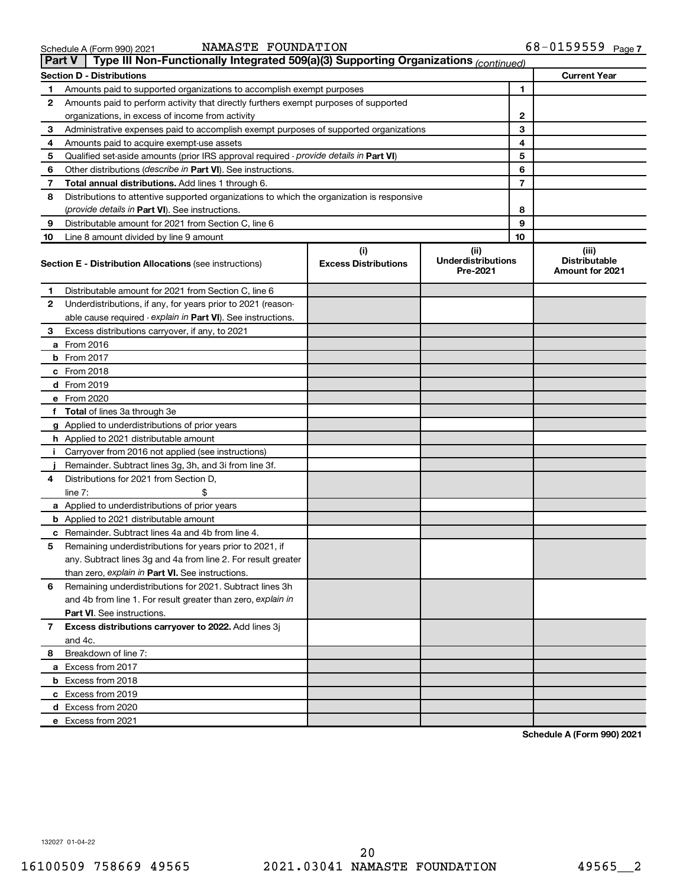|    | Type III Non-Functionally Integrated 509(a)(3) Supporting Organizations (continued)<br>Part V                             |                                    |                                               |                                                         |
|----|---------------------------------------------------------------------------------------------------------------------------|------------------------------------|-----------------------------------------------|---------------------------------------------------------|
|    | <b>Section D - Distributions</b>                                                                                          |                                    |                                               | <b>Current Year</b>                                     |
| 1  | Amounts paid to supported organizations to accomplish exempt purposes                                                     |                                    | 1                                             |                                                         |
| 2  | Amounts paid to perform activity that directly furthers exempt purposes of supported                                      |                                    |                                               |                                                         |
|    | organizations, in excess of income from activity                                                                          |                                    | 2                                             |                                                         |
| 3  | Administrative expenses paid to accomplish exempt purposes of supported organizations                                     |                                    | 3                                             |                                                         |
| 4  | Amounts paid to acquire exempt-use assets                                                                                 |                                    | 4                                             |                                                         |
| 5  | Qualified set-aside amounts (prior IRS approval required - provide details in Part VI)                                    |                                    | 5                                             |                                                         |
| 6  | Other distributions ( <i>describe in Part VI</i> ). See instructions.                                                     |                                    | 6                                             |                                                         |
| 7  | Total annual distributions. Add lines 1 through 6.                                                                        |                                    | 7                                             |                                                         |
| 8  | Distributions to attentive supported organizations to which the organization is responsive                                |                                    |                                               |                                                         |
|    | ( <i>provide details in Part VI</i> ). See instructions.                                                                  |                                    | 8                                             |                                                         |
| 9  | Distributable amount for 2021 from Section C, line 6                                                                      |                                    | 9                                             |                                                         |
| 10 | Line 8 amount divided by line 9 amount                                                                                    |                                    | 10                                            |                                                         |
|    | <b>Section E - Distribution Allocations (see instructions)</b>                                                            | (i)<br><b>Excess Distributions</b> | (ii)<br><b>Underdistributions</b><br>Pre-2021 | (iii)<br><b>Distributable</b><br><b>Amount for 2021</b> |
| 1  | Distributable amount for 2021 from Section C, line 6                                                                      |                                    |                                               |                                                         |
| 2  | Underdistributions, if any, for years prior to 2021 (reason-                                                              |                                    |                                               |                                                         |
|    | able cause required - explain in Part VI). See instructions.                                                              |                                    |                                               |                                                         |
| 3  | Excess distributions carryover, if any, to 2021                                                                           |                                    |                                               |                                                         |
|    | a From 2016                                                                                                               |                                    |                                               |                                                         |
|    | <b>b</b> From 2017                                                                                                        |                                    |                                               |                                                         |
|    | c From 2018                                                                                                               |                                    |                                               |                                                         |
|    | d From 2019                                                                                                               |                                    |                                               |                                                         |
|    | e From 2020                                                                                                               |                                    |                                               |                                                         |
|    | f Total of lines 3a through 3e                                                                                            |                                    |                                               |                                                         |
|    | g Applied to underdistributions of prior years                                                                            |                                    |                                               |                                                         |
|    | h Applied to 2021 distributable amount                                                                                    |                                    |                                               |                                                         |
| Ť. | Carryover from 2016 not applied (see instructions)                                                                        |                                    |                                               |                                                         |
|    | Remainder. Subtract lines 3g, 3h, and 3i from line 3f.                                                                    |                                    |                                               |                                                         |
| 4  | Distributions for 2021 from Section D,                                                                                    |                                    |                                               |                                                         |
|    | line $7:$                                                                                                                 |                                    |                                               |                                                         |
|    | a Applied to underdistributions of prior years                                                                            |                                    |                                               |                                                         |
|    | <b>b</b> Applied to 2021 distributable amount                                                                             |                                    |                                               |                                                         |
|    | c Remainder. Subtract lines 4a and 4b from line 4.                                                                        |                                    |                                               |                                                         |
| 5  | Remaining underdistributions for years prior to 2021, if<br>any. Subtract lines 3g and 4a from line 2. For result greater |                                    |                                               |                                                         |
|    | than zero, explain in Part VI. See instructions.                                                                          |                                    |                                               |                                                         |
| 6  | Remaining underdistributions for 2021. Subtract lines 3h                                                                  |                                    |                                               |                                                         |
|    | and 4b from line 1. For result greater than zero, explain in                                                              |                                    |                                               |                                                         |
|    | <b>Part VI.</b> See instructions.                                                                                         |                                    |                                               |                                                         |
| 7  | Excess distributions carryover to 2022. Add lines 3j                                                                      |                                    |                                               |                                                         |
|    | and 4c.                                                                                                                   |                                    |                                               |                                                         |
| 8  | Breakdown of line 7:                                                                                                      |                                    |                                               |                                                         |
|    | a Excess from 2017                                                                                                        |                                    |                                               |                                                         |
|    | <b>b</b> Excess from 2018                                                                                                 |                                    |                                               |                                                         |
|    | c Excess from 2019                                                                                                        |                                    |                                               |                                                         |
|    | d Excess from 2020                                                                                                        |                                    |                                               |                                                         |
|    | e Excess from 2021                                                                                                        |                                    |                                               |                                                         |
|    |                                                                                                                           |                                    |                                               |                                                         |

**Schedule A (Form 990) 2021**

132027 01-04-22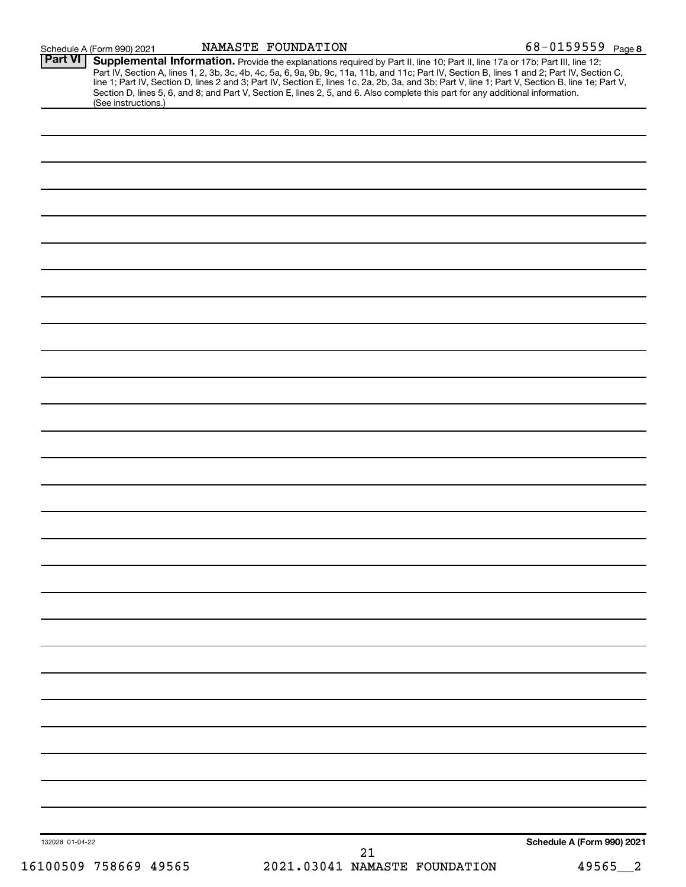|                | Schedule A (Form 990) 2021 | NAMASTE FOUNDATION                                                                                                                                                                                                                                                                                                                                                                                                                                                                                                                                                   | 68-0159559 Page 8 |
|----------------|----------------------------|----------------------------------------------------------------------------------------------------------------------------------------------------------------------------------------------------------------------------------------------------------------------------------------------------------------------------------------------------------------------------------------------------------------------------------------------------------------------------------------------------------------------------------------------------------------------|-------------------|
| <b>Part VI</b> |                            | Supplemental Information. Provide the explanations required by Part II, line 10; Part II, line 17a or 17b; Part III, line 12;<br>Part IV, Section A, lines 1, 2, 3b, 3c, 4b, 4c, 5a, 6, 9a, 9b, 9c, 11a, 11b, and 11c; Part IV, Section B, lines 1 and 2; Part IV, Section C,<br>line 1; Part IV, Section D, lines 2 and 3; Part IV, Section E, lines 1c, 2a, 2b, 3a, and 3b; Part V, line 1; Part V, Section B, line 1e; Part V,<br>Section D, lines 5, 6, and 8; and Part V, Section E, lines 2, 5, and 6. Also complete this part for any additional information. |                   |
|                | (See instructions.)        |                                                                                                                                                                                                                                                                                                                                                                                                                                                                                                                                                                      |                   |
|                |                            |                                                                                                                                                                                                                                                                                                                                                                                                                                                                                                                                                                      |                   |
|                |                            |                                                                                                                                                                                                                                                                                                                                                                                                                                                                                                                                                                      |                   |
|                |                            |                                                                                                                                                                                                                                                                                                                                                                                                                                                                                                                                                                      |                   |
|                |                            |                                                                                                                                                                                                                                                                                                                                                                                                                                                                                                                                                                      |                   |
|                |                            |                                                                                                                                                                                                                                                                                                                                                                                                                                                                                                                                                                      |                   |
|                |                            |                                                                                                                                                                                                                                                                                                                                                                                                                                                                                                                                                                      |                   |
|                |                            |                                                                                                                                                                                                                                                                                                                                                                                                                                                                                                                                                                      |                   |
|                |                            |                                                                                                                                                                                                                                                                                                                                                                                                                                                                                                                                                                      |                   |
|                |                            |                                                                                                                                                                                                                                                                                                                                                                                                                                                                                                                                                                      |                   |
|                |                            |                                                                                                                                                                                                                                                                                                                                                                                                                                                                                                                                                                      |                   |
|                |                            |                                                                                                                                                                                                                                                                                                                                                                                                                                                                                                                                                                      |                   |
|                |                            |                                                                                                                                                                                                                                                                                                                                                                                                                                                                                                                                                                      |                   |
|                |                            |                                                                                                                                                                                                                                                                                                                                                                                                                                                                                                                                                                      |                   |
|                |                            |                                                                                                                                                                                                                                                                                                                                                                                                                                                                                                                                                                      |                   |
|                |                            |                                                                                                                                                                                                                                                                                                                                                                                                                                                                                                                                                                      |                   |
|                |                            |                                                                                                                                                                                                                                                                                                                                                                                                                                                                                                                                                                      |                   |
|                |                            |                                                                                                                                                                                                                                                                                                                                                                                                                                                                                                                                                                      |                   |
|                |                            |                                                                                                                                                                                                                                                                                                                                                                                                                                                                                                                                                                      |                   |
|                |                            |                                                                                                                                                                                                                                                                                                                                                                                                                                                                                                                                                                      |                   |
|                |                            |                                                                                                                                                                                                                                                                                                                                                                                                                                                                                                                                                                      |                   |
|                |                            |                                                                                                                                                                                                                                                                                                                                                                                                                                                                                                                                                                      |                   |
|                |                            |                                                                                                                                                                                                                                                                                                                                                                                                                                                                                                                                                                      |                   |
|                |                            |                                                                                                                                                                                                                                                                                                                                                                                                                                                                                                                                                                      |                   |
|                |                            |                                                                                                                                                                                                                                                                                                                                                                                                                                                                                                                                                                      |                   |
|                |                            |                                                                                                                                                                                                                                                                                                                                                                                                                                                                                                                                                                      |                   |
|                |                            |                                                                                                                                                                                                                                                                                                                                                                                                                                                                                                                                                                      |                   |
|                |                            |                                                                                                                                                                                                                                                                                                                                                                                                                                                                                                                                                                      |                   |
|                |                            |                                                                                                                                                                                                                                                                                                                                                                                                                                                                                                                                                                      |                   |
|                |                            |                                                                                                                                                                                                                                                                                                                                                                                                                                                                                                                                                                      |                   |
|                |                            |                                                                                                                                                                                                                                                                                                                                                                                                                                                                                                                                                                      |                   |
|                |                            |                                                                                                                                                                                                                                                                                                                                                                                                                                                                                                                                                                      |                   |
|                |                            |                                                                                                                                                                                                                                                                                                                                                                                                                                                                                                                                                                      |                   |
|                |                            |                                                                                                                                                                                                                                                                                                                                                                                                                                                                                                                                                                      |                   |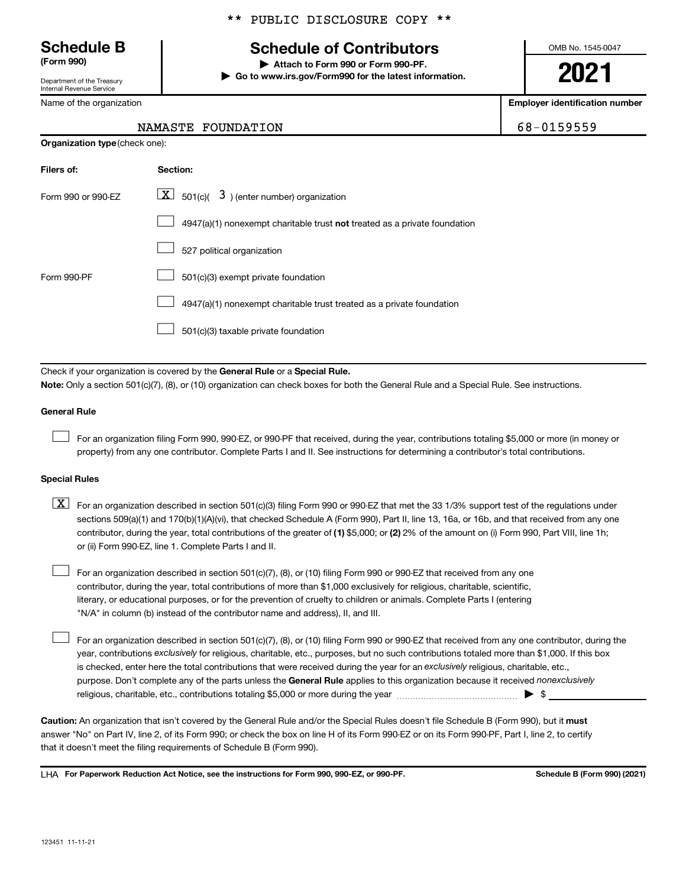Department of the Treasury Internal Revenue Service

Name of the organization

\*\* PUBLIC DISCLOSURE COPY \*\*

## **Schedule B Schedule of Contributors**

**(Form 990) | Attach to Form 990 or Form 990-PF. | Go to www.irs.gov/Form990 for the latest information.** OMB No. 1545-0047

**2021**

**Employer identification number**

68-0159559

| NAMASTE FOUNDATION |
|--------------------|
|                    |

| <b>Organization type (check one):</b>                                              |
|------------------------------------------------------------------------------------|
| Section:                                                                           |
| $ \mathbf{X} $ 501(c)( 3) (enter number) organization                              |
| $4947(a)(1)$ nonexempt charitable trust <b>not</b> treated as a private foundation |
| 527 political organization                                                         |
| 501(c)(3) exempt private foundation                                                |
| 4947(a)(1) nonexempt charitable trust treated as a private foundation              |
| 501(c)(3) taxable private foundation                                               |
|                                                                                    |

Check if your organization is covered by the General Rule or a Special Rule. **Note:**  Only a section 501(c)(7), (8), or (10) organization can check boxes for both the General Rule and a Special Rule. See instructions.

### **General Rule**

 $\Box$ 

 $\Box$ 

For an organization filing Form 990, 990-EZ, or 990-PF that received, during the year, contributions totaling \$5,000 or more (in money or property) from any one contributor. Complete Parts I and II. See instructions for determining a contributor's total contributions.

### **Special Rules**

contributor, during the year, total contributions of the greater of (1) \$5,000; or (2) 2% of the amount on (i) Form 990, Part VIII, line 1h;  $\boxed{\text{X}}$  For an organization described in section 501(c)(3) filing Form 990 or 990-EZ that met the 33 1/3% support test of the regulations under sections 509(a)(1) and 170(b)(1)(A)(vi), that checked Schedule A (Form 990), Part II, line 13, 16a, or 16b, and that received from any one or (ii) Form 990-EZ, line 1. Complete Parts I and II.

For an organization described in section 501(c)(7), (8), or (10) filing Form 990 or 990-EZ that received from any one contributor, during the year, total contributions of more than \$1,000 exclusively for religious, charitable, scientific, literary, or educational purposes, or for the prevention of cruelty to children or animals. Complete Parts I (entering "N/A" in column (b) instead of the contributor name and address), II, and III.  $\Box$ 

purpose. Don't complete any of the parts unless the General Rule applies to this organization because it received nonexclusively year, contributions exclusively for religious, charitable, etc., purposes, but no such contributions totaled more than \$1,000. If this box is checked, enter here the total contributions that were received during the year for an exclusively religious, charitable, etc., For an organization described in section 501(c)(7), (8), or (10) filing Form 990 or 990-EZ that received from any one contributor, during the religious, charitable, etc., contributions totaling \$5,000 or more during the year  $\ldots$  $\ldots$  $\ldots$  $\ldots$  $\ldots$  $\ldots$ 

Caution: An organization that isn't covered by the General Rule and/or the Special Rules doesn't file Schedule B (Form 990), but it must answer "No" on Part IV, line 2, of its Form 990; or check the box on line H of its Form 990-EZ or on its Form 990-PF, Part I, line 2, to certify that it doesn't meet the filing requirements of Schedule B (Form 990).

LHA For Paperwork Reduction Act Notice, see the instructions for Form 990, 990-EZ, or 990-PF. **Schell B (Form 990)** (2021)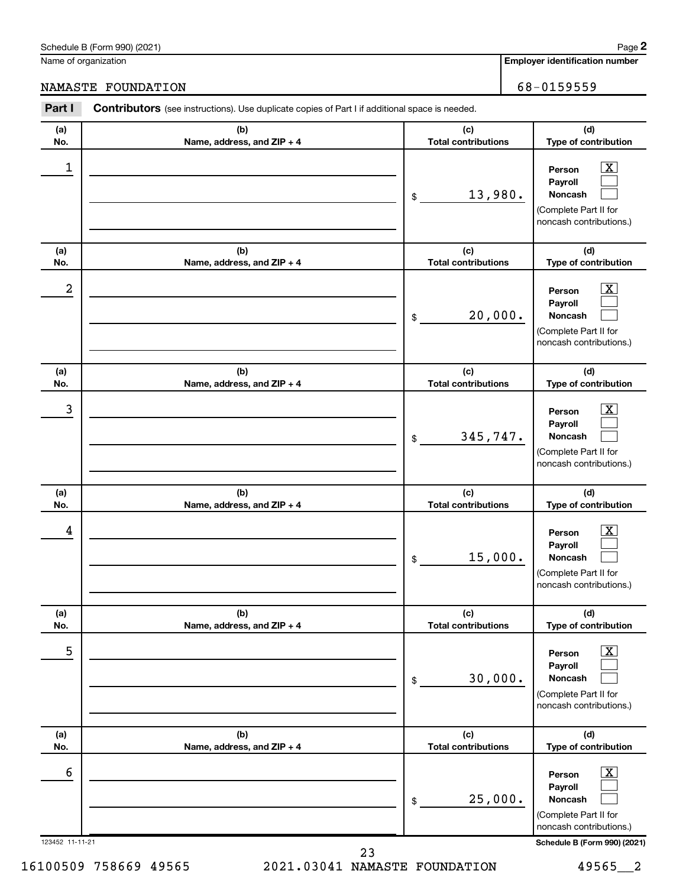16100509 758669 49565 2021.03041 NAMASTE FOUNDATION 49565\_\_2 23

123452 11-11-21 **Schedule B (Form 990) (2021)**

Name of organization

### NAMASTE FOUNDATION 68-0159559

| (a)              | (b)                               | (c)                               | (d)                                                                                                                |
|------------------|-----------------------------------|-----------------------------------|--------------------------------------------------------------------------------------------------------------------|
| No.              | Name, address, and ZIP + 4        | <b>Total contributions</b>        | Type of contribution                                                                                               |
| $\mathbf 1$      |                                   | 13,980.<br>\$                     | $\mathbf{X}$<br>Person<br>Payroll<br><b>Noncash</b><br>(Complete Part II for<br>noncash contributions.)            |
| (a)              | (b)                               | (c)                               | (d)                                                                                                                |
| No.              | Name, address, and ZIP + 4        | <b>Total contributions</b>        | Type of contribution                                                                                               |
| $\boldsymbol{2}$ |                                   | 20,000.<br>\$                     | $\mathbf{X}$<br>Person<br>Payroll<br><b>Noncash</b><br>(Complete Part II for<br>noncash contributions.)            |
| (a)<br>No.       | (b)<br>Name, address, and ZIP + 4 | (c)<br><b>Total contributions</b> | (d)<br>Type of contribution                                                                                        |
| $\mathbf{3}$     |                                   | 345,747.<br>$\mathfrak{S}$        | $\mathbf{X}$<br>Person<br>Payroll<br><b>Noncash</b><br>(Complete Part II for<br>noncash contributions.)            |
| (a)<br>No.       | (b)<br>Name, address, and ZIP + 4 | (c)<br><b>Total contributions</b> | (d)<br>Type of contribution                                                                                        |
| 4                |                                   | 15,000.<br>$\$\$                  | $\mathbf{X}$<br>Person<br>Payroll<br><b>Noncash</b><br>(Complete Part II for<br>noncash contributions.)            |
| (a)<br>No.       | (b)<br>Name, address, and ZIP + 4 | (c)<br><b>Total contributions</b> | (d)<br>Type of contribution                                                                                        |
| 5                |                                   | 30,000.<br>\$                     | $\overline{\text{X}}$<br>Person<br>Payroll<br><b>Noncash</b><br>(Complete Part II for<br>noncash contributions.)   |
| (a)<br>No.       | (b)<br>Name, address, and ZIP + 4 | (c)<br><b>Total contributions</b> | (d)<br>Type of contribution                                                                                        |
| 6                |                                   | 25,000.<br>\$                     | $\overline{\mathbf{X}}$<br>Person<br>Payroll<br><b>Noncash</b><br>(Complete Part II for<br>noncash contributions.) |

**Part I** Contributors (see instructions). Use duplicate copies of Part I if additional space is needed.

**Employer identification number**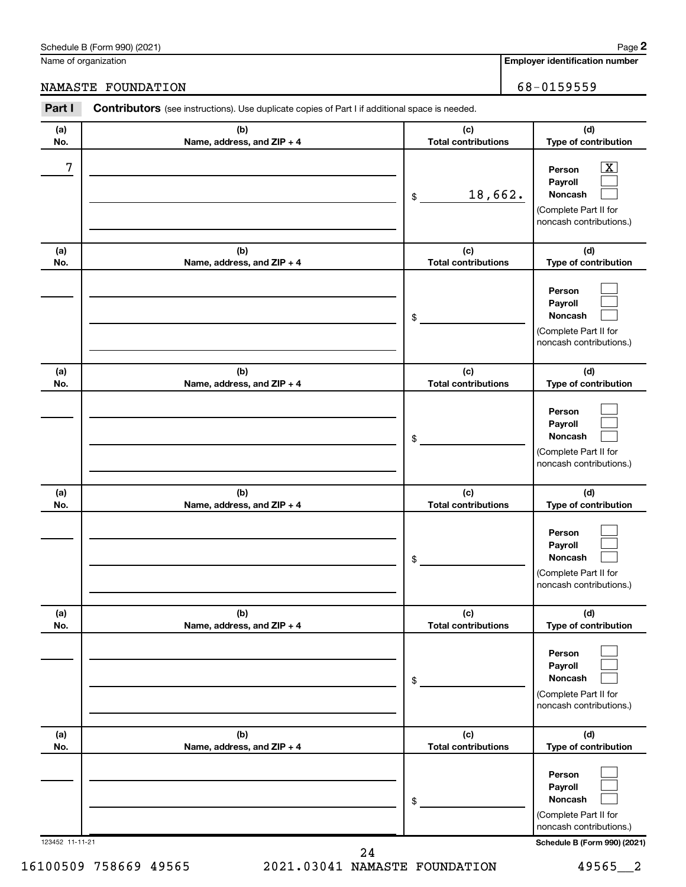(Complete Part II for noncash contributions.)

| 2.4 |  |
|-----|--|

| 23452 11-11-21 |  |
|----------------|--|

Name of organization

**(a) No.**

**(a) No.**

**(a) No.**

**(a) No.**

**(a) No.**

**(a) No.**

### NAMASTE FOUNDATION 68-0159559

**(b)**

**Part I** Contributors (see instructions). Use duplicate copies of Part I if additional space is needed.

**Name, address, and ZIP + 4 Total contributions Type of contribution Person Payroll Noncash (b) Name, address, and ZIP + 4 (c) Total contributions (d) Type of contribution Person Payroll Noncash (b) Name, address, and ZIP + 4 (c) Total contributions (d) Type of contribution Person Payroll Noncash (b) Name, address, and ZIP + 4 (c) Total contributions (d) Type of contribution Person Payroll Noncash (b) Name, address, and ZIP + 4 (c) Total contributions (d) Type of contribution Person Payroll Noncash (b) Name, address, and ZIP + 4 (c) Total contributions (d) Type of contribution Person Payroll Noncash** \$ (Complete Part II for noncash contributions.) \$ (Complete Part II for noncash contributions.) \$ (Complete Part II for noncash contributions.) \$ (Complete Part II for noncash contributions.) \$ (Complete Part II for noncash contributions.)  $\lfloor x \rfloor$  $\Box$  $\Box$  $\Box$  $\Box$  $\Box$  $\Box$  $\Box$  $\Box$  $\Box$  $\Box$  $\Box$  $\Box$  $\Box$  $\Box$  $\Box$  $\Box$  $\Box$  $7$   $|$  Person  $\overline{\text{X}}$ 18,662.

**(d)**

**2**

**(c)**

16100509 758669 49565 2021.03041 NAMASTE FOUNDATION 49565\_\_2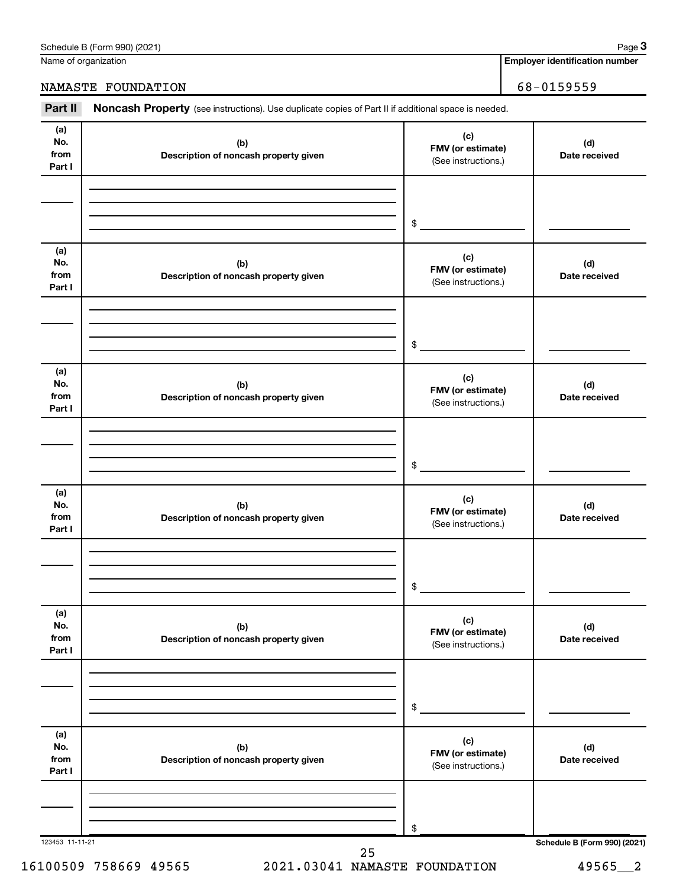| Schedule B (Form 990) (2021) | Paɑe |
|------------------------------|------|
|------------------------------|------|

Name of organization

**3**

NAMASTE FOUNDATION 68-0159559

**Employer identification number**

| Part II                      | Noncash Property (see instructions). Use duplicate copies of Part II if additional space is needed. |                                                 |                              |
|------------------------------|-----------------------------------------------------------------------------------------------------|-------------------------------------------------|------------------------------|
| (a)<br>No.<br>from<br>Part I | (b)<br>Description of noncash property given                                                        | (c)<br>FMV (or estimate)<br>(See instructions.) | (d)<br>Date received         |
|                              |                                                                                                     |                                                 |                              |
|                              |                                                                                                     | \$                                              |                              |
| (a)<br>No.<br>from<br>Part I | (b)<br>Description of noncash property given                                                        | (c)<br>FMV (or estimate)<br>(See instructions.) | (d)<br>Date received         |
|                              |                                                                                                     |                                                 |                              |
|                              |                                                                                                     | $\$$                                            |                              |
| (a)<br>No.<br>from<br>Part I | (b)<br>Description of noncash property given                                                        | (c)<br>FMV (or estimate)<br>(See instructions.) | (d)<br>Date received         |
|                              |                                                                                                     |                                                 |                              |
|                              |                                                                                                     | $\$$                                            |                              |
| (a)<br>No.<br>from<br>Part I | (b)<br>Description of noncash property given                                                        | (c)<br>FMV (or estimate)<br>(See instructions.) | (d)<br>Date received         |
|                              |                                                                                                     |                                                 |                              |
|                              |                                                                                                     | \$                                              |                              |
| (a)<br>No.<br>from<br>Part I | (b)<br>Description of noncash property given                                                        | (c)<br>FMV (or estimate)<br>(See instructions.) | (d)<br>Date received         |
|                              |                                                                                                     |                                                 |                              |
|                              |                                                                                                     | \$                                              |                              |
| (a)<br>No.<br>from<br>Part I | (b)<br>Description of noncash property given                                                        | (c)<br>FMV (or estimate)<br>(See instructions.) | (d)<br>Date received         |
|                              |                                                                                                     |                                                 |                              |
|                              |                                                                                                     | \$                                              |                              |
| 123453 11-11-21              | 25                                                                                                  |                                                 | Schedule B (Form 990) (2021) |

16100509 758669 49565 2021.03041 NAMASTE FOUNDATION 49565\_\_2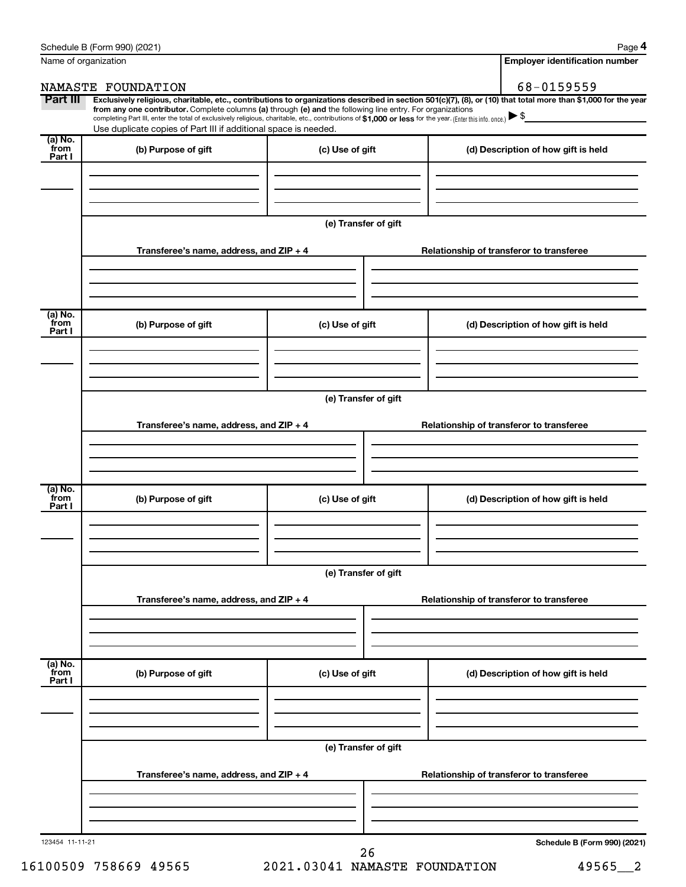| Name of organization      |                                                                                                                                                                                                                                                                                                                                                                                                                                                                                                             |                      |  | <b>Employer identification number</b>    |  |  |
|---------------------------|-------------------------------------------------------------------------------------------------------------------------------------------------------------------------------------------------------------------------------------------------------------------------------------------------------------------------------------------------------------------------------------------------------------------------------------------------------------------------------------------------------------|----------------------|--|------------------------------------------|--|--|
|                           | NAMASTE FOUNDATION                                                                                                                                                                                                                                                                                                                                                                                                                                                                                          |                      |  | 68-0159559                               |  |  |
| Part III                  | Exclusively religious, charitable, etc., contributions to organizations described in section 501(c)(7), (8), or (10) that total more than \$1,000 for the year<br>from any one contributor. Complete columns (a) through (e) and the following line entry. For organizations<br>completing Part III, enter the total of exclusively religious, charitable, etc., contributions of \$1,000 or less for the year. (Enter this info. once.)<br>Use duplicate copies of Part III if additional space is needed. |                      |  |                                          |  |  |
| (a) No.                   |                                                                                                                                                                                                                                                                                                                                                                                                                                                                                                             |                      |  |                                          |  |  |
| from<br>Part I            | (b) Purpose of gift                                                                                                                                                                                                                                                                                                                                                                                                                                                                                         | (c) Use of gift      |  | (d) Description of how gift is held      |  |  |
|                           |                                                                                                                                                                                                                                                                                                                                                                                                                                                                                                             | (e) Transfer of gift |  |                                          |  |  |
|                           | Transferee's name, address, and ZIP + 4                                                                                                                                                                                                                                                                                                                                                                                                                                                                     |                      |  | Relationship of transferor to transferee |  |  |
|                           |                                                                                                                                                                                                                                                                                                                                                                                                                                                                                                             |                      |  |                                          |  |  |
| (a) No.<br>from<br>Part I | (b) Purpose of gift                                                                                                                                                                                                                                                                                                                                                                                                                                                                                         | (c) Use of gift      |  | (d) Description of how gift is held      |  |  |
|                           |                                                                                                                                                                                                                                                                                                                                                                                                                                                                                                             |                      |  |                                          |  |  |
|                           | (e) Transfer of gift                                                                                                                                                                                                                                                                                                                                                                                                                                                                                        |                      |  |                                          |  |  |
|                           | Transferee's name, address, and ZIP + 4                                                                                                                                                                                                                                                                                                                                                                                                                                                                     |                      |  | Relationship of transferor to transferee |  |  |
|                           |                                                                                                                                                                                                                                                                                                                                                                                                                                                                                                             |                      |  |                                          |  |  |
| (a) No.<br>from<br>Part I | (b) Purpose of gift                                                                                                                                                                                                                                                                                                                                                                                                                                                                                         | (c) Use of gift      |  | (d) Description of how gift is held      |  |  |
|                           |                                                                                                                                                                                                                                                                                                                                                                                                                                                                                                             |                      |  |                                          |  |  |
|                           | (e) Transfer of gift<br>Transferee's name, address, and ZIP + 4                                                                                                                                                                                                                                                                                                                                                                                                                                             |                      |  | Relationship of transferor to transferee |  |  |
|                           |                                                                                                                                                                                                                                                                                                                                                                                                                                                                                                             |                      |  |                                          |  |  |
| (a) No.<br>from           | (b) Purpose of gift                                                                                                                                                                                                                                                                                                                                                                                                                                                                                         | (c) Use of gift      |  | (d) Description of how gift is held      |  |  |
| Part I                    |                                                                                                                                                                                                                                                                                                                                                                                                                                                                                                             |                      |  |                                          |  |  |
|                           |                                                                                                                                                                                                                                                                                                                                                                                                                                                                                                             | (e) Transfer of gift |  |                                          |  |  |
|                           | Transferee's name, address, and ZIP + 4                                                                                                                                                                                                                                                                                                                                                                                                                                                                     |                      |  | Relationship of transferor to transferee |  |  |
|                           |                                                                                                                                                                                                                                                                                                                                                                                                                                                                                                             |                      |  |                                          |  |  |
| 123454 11-11-21           |                                                                                                                                                                                                                                                                                                                                                                                                                                                                                                             | 26                   |  | Schedule B (Form 990) (2021)             |  |  |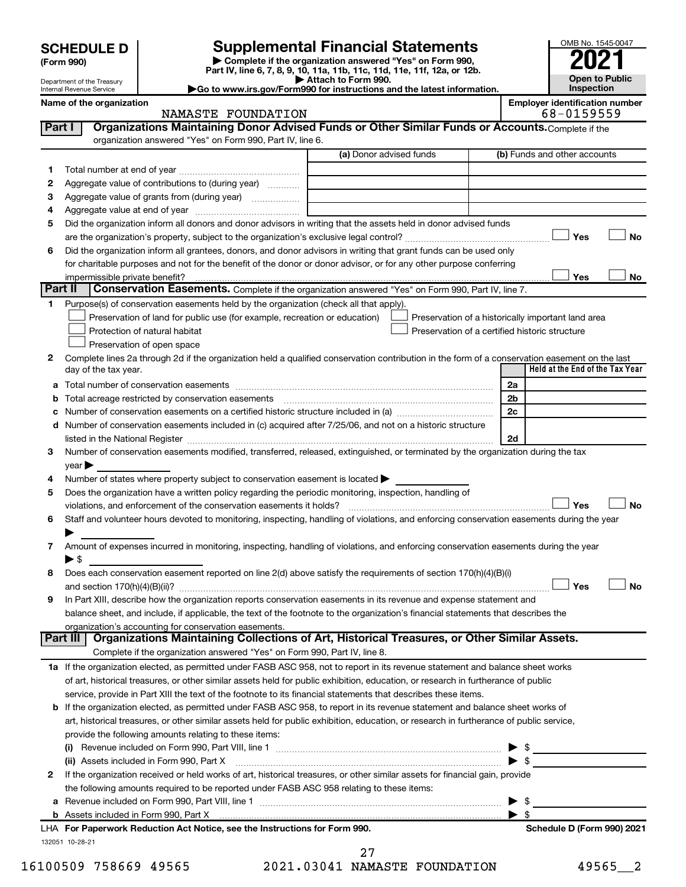Department of the Treasury Internal Revenue Service

**(Form 990)**

**| Complete if the organization answered "Yes" on Form 990, Part IV, line 6, 7, 8, 9, 10, 11a, 11b, 11c, 11d, 11e, 11f, 12a, or 12b. SCHEDULE D Supplemental Financial Statements**<br> **Form 990 Example 5 2021**<br>
Part IV. line 6, 7, 8, 9, 10, 11a, 11b, 11c, 11d, 11e, 11f, 12a, or 12b.

**| Attach to Form 990. |Go to www.irs.gov/Form990 for instructions and the latest information.** OMB No. 1545-0047 **Open to Public Inspection**

**Name of the organization Employer identification number**

NAMASTE FOUNDATION 68-0159559

| <b>Part I</b> | Organizations Maintaining Donor Advised Funds or Other Similar Funds or Accounts. Complete if the<br>organization answered "Yes" on Form 990, Part IV, line 6.                                                                |                                                |                         |                                                    |
|---------------|-------------------------------------------------------------------------------------------------------------------------------------------------------------------------------------------------------------------------------|------------------------------------------------|-------------------------|----------------------------------------------------|
|               |                                                                                                                                                                                                                               | (a) Donor advised funds                        |                         | (b) Funds and other accounts                       |
| 1             |                                                                                                                                                                                                                               |                                                |                         |                                                    |
| 2             | Aggregate value of contributions to (during year)                                                                                                                                                                             |                                                |                         |                                                    |
| З             | Aggregate value of grants from (during year)                                                                                                                                                                                  |                                                |                         |                                                    |
| 4             |                                                                                                                                                                                                                               |                                                |                         |                                                    |
| 5             | Did the organization inform all donors and donor advisors in writing that the assets held in donor advised funds                                                                                                              |                                                |                         |                                                    |
|               |                                                                                                                                                                                                                               |                                                |                         | Yes<br>No                                          |
| 6             | Did the organization inform all grantees, donors, and donor advisors in writing that grant funds can be used only                                                                                                             |                                                |                         |                                                    |
|               | for charitable purposes and not for the benefit of the donor or donor advisor, or for any other purpose conferring                                                                                                            |                                                |                         |                                                    |
|               |                                                                                                                                                                                                                               |                                                |                         | Yes<br>No                                          |
| Part II       | Conservation Easements. Complete if the organization answered "Yes" on Form 990, Part IV, line 7.                                                                                                                             |                                                |                         |                                                    |
| 1             | Purpose(s) of conservation easements held by the organization (check all that apply).                                                                                                                                         |                                                |                         |                                                    |
|               | Preservation of land for public use (for example, recreation or education)                                                                                                                                                    |                                                |                         | Preservation of a historically important land area |
|               | Protection of natural habitat                                                                                                                                                                                                 | Preservation of a certified historic structure |                         |                                                    |
|               | Preservation of open space                                                                                                                                                                                                    |                                                |                         |                                                    |
| 2             | Complete lines 2a through 2d if the organization held a qualified conservation contribution in the form of a conservation easement on the last                                                                                |                                                |                         |                                                    |
|               | day of the tax year.                                                                                                                                                                                                          |                                                |                         | Held at the End of the Tax Year                    |
| a             |                                                                                                                                                                                                                               |                                                | 2a                      |                                                    |
| b             |                                                                                                                                                                                                                               |                                                | 2b                      |                                                    |
| c             |                                                                                                                                                                                                                               |                                                | 2c                      |                                                    |
| d             | Number of conservation easements included in (c) acquired after 7/25/06, and not on a historic structure                                                                                                                      |                                                |                         |                                                    |
|               | listed in the National Register [111] Marshall Register [11] Marshall Register [11] Marshall Register [11] Marshall Register [11] Marshall Register [11] Marshall Register [11] Marshall Register [11] Marshall Register [11] |                                                | 2d                      |                                                    |
| 3             | Number of conservation easements modified, transferred, released, extinguished, or terminated by the organization during the tax                                                                                              |                                                |                         |                                                    |
|               | $year \blacktriangleright$                                                                                                                                                                                                    |                                                |                         |                                                    |
| 4             | Number of states where property subject to conservation easement is located >                                                                                                                                                 |                                                |                         |                                                    |
| 5             | Does the organization have a written policy regarding the periodic monitoring, inspection, handling of                                                                                                                        |                                                |                         |                                                    |
|               | violations, and enforcement of the conservation easements it holds?                                                                                                                                                           |                                                |                         | Yes<br><b>No</b>                                   |
| 6             | Staff and volunteer hours devoted to monitoring, inspecting, handling of violations, and enforcing conservation easements during the year                                                                                     |                                                |                         |                                                    |
| 7             | Amount of expenses incurred in monitoring, inspecting, handling of violations, and enforcing conservation easements during the year                                                                                           |                                                |                         |                                                    |
|               | $\blacktriangleright$ \$                                                                                                                                                                                                      |                                                |                         |                                                    |
| 8             | Does each conservation easement reported on line 2(d) above satisfy the requirements of section 170(h)(4)(B)(i)                                                                                                               |                                                |                         |                                                    |
|               |                                                                                                                                                                                                                               |                                                |                         | Yes<br>No                                          |
| 9             | In Part XIII, describe how the organization reports conservation easements in its revenue and expense statement and                                                                                                           |                                                |                         |                                                    |
|               | balance sheet, and include, if applicable, the text of the footnote to the organization's financial statements that describes the                                                                                             |                                                |                         |                                                    |
|               | organization's accounting for conservation easements.                                                                                                                                                                         |                                                |                         |                                                    |
|               | Organizations Maintaining Collections of Art, Historical Treasures, or Other Similar Assets.<br>  Part III                                                                                                                    |                                                |                         |                                                    |
|               | Complete if the organization answered "Yes" on Form 990, Part IV, line 8.                                                                                                                                                     |                                                |                         |                                                    |
|               | 1a If the organization elected, as permitted under FASB ASC 958, not to report in its revenue statement and balance sheet works                                                                                               |                                                |                         |                                                    |
|               | of art, historical treasures, or other similar assets held for public exhibition, education, or research in furtherance of public                                                                                             |                                                |                         |                                                    |
|               | service, provide in Part XIII the text of the footnote to its financial statements that describes these items.                                                                                                                |                                                |                         |                                                    |
| b             | If the organization elected, as permitted under FASB ASC 958, to report in its revenue statement and balance sheet works of                                                                                                   |                                                |                         |                                                    |
|               | art, historical treasures, or other similar assets held for public exhibition, education, or research in furtherance of public service,                                                                                       |                                                |                         |                                                    |
|               | provide the following amounts relating to these items:                                                                                                                                                                        |                                                |                         |                                                    |
|               |                                                                                                                                                                                                                               |                                                |                         |                                                    |
|               | (ii) Assets included in Form 990, Part X                                                                                                                                                                                      |                                                |                         | $\bullet$ \$                                       |
| 2             | If the organization received or held works of art, historical treasures, or other similar assets for financial gain, provide                                                                                                  |                                                |                         |                                                    |
|               | the following amounts required to be reported under FASB ASC 958 relating to these items:                                                                                                                                     |                                                |                         | \$                                                 |
| а             | b Assets included in Form 990, Part X [110] [2010] [2010] [2010] [2010] [2010] [2010] [2010] [2010] [2010] [20                                                                                                                |                                                | $\blacktriangleright$ s |                                                    |
|               | LHA For Paperwork Reduction Act Notice, see the Instructions for Form 990.                                                                                                                                                    |                                                |                         | Schedule D (Form 990) 2021                         |
|               | 132051 10-28-21                                                                                                                                                                                                               |                                                |                         |                                                    |
|               |                                                                                                                                                                                                                               | 27                                             |                         |                                                    |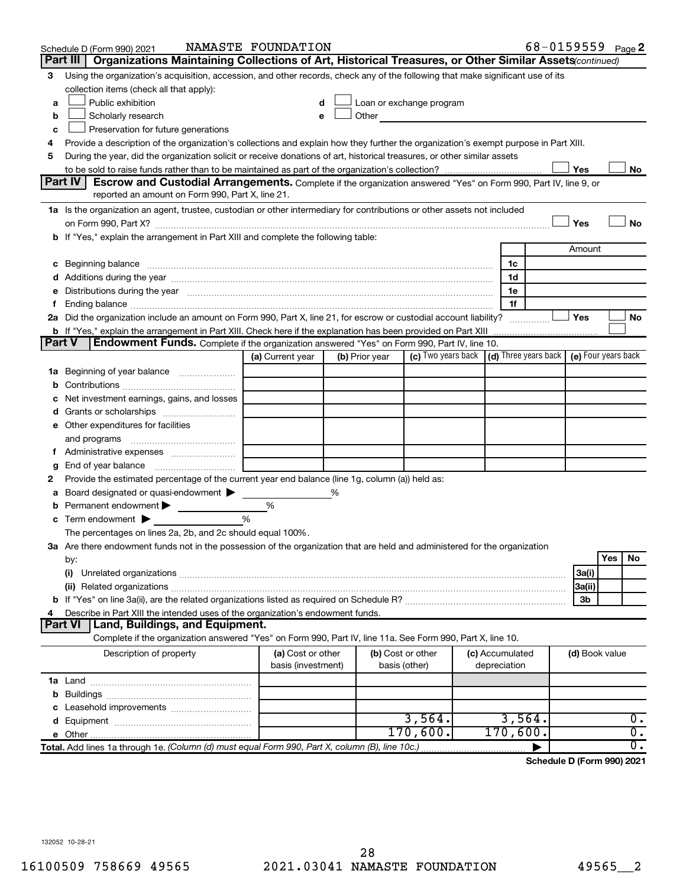|               | Schedule D (Form 990) 2021                                                                                                                                                                                                     | NAMASTE FOUNDATION                      |   |                                    |                                                                 |  |                                 |  |                | 68-0159559 Page 2 |
|---------------|--------------------------------------------------------------------------------------------------------------------------------------------------------------------------------------------------------------------------------|-----------------------------------------|---|------------------------------------|-----------------------------------------------------------------|--|---------------------------------|--|----------------|-------------------|
|               | Organizations Maintaining Collections of Art, Historical Treasures, or Other Similar Assets (continued)<br>Part III                                                                                                            |                                         |   |                                    |                                                                 |  |                                 |  |                |                   |
| 3             | Using the organization's acquisition, accession, and other records, check any of the following that make significant use of its<br>collection items (check all that apply):                                                    |                                         |   |                                    |                                                                 |  |                                 |  |                |                   |
| a             | Public exhibition                                                                                                                                                                                                              |                                         |   |                                    | Loan or exchange program                                        |  |                                 |  |                |                   |
| b             | Scholarly research                                                                                                                                                                                                             |                                         |   | Other                              |                                                                 |  |                                 |  |                |                   |
| c             | Preservation for future generations                                                                                                                                                                                            |                                         |   |                                    |                                                                 |  |                                 |  |                |                   |
| 4             | Provide a description of the organization's collections and explain how they further the organization's exempt purpose in Part XIII.                                                                                           |                                         |   |                                    |                                                                 |  |                                 |  |                |                   |
| 5             | During the year, did the organization solicit or receive donations of art, historical treasures, or other similar assets                                                                                                       |                                         |   |                                    |                                                                 |  |                                 |  |                |                   |
|               |                                                                                                                                                                                                                                |                                         |   |                                    |                                                                 |  |                                 |  | Yes            | No                |
|               | Part IV<br><b>Escrow and Custodial Arrangements.</b> Complete if the organization answered "Yes" on Form 990, Part IV, line 9, or                                                                                              |                                         |   |                                    |                                                                 |  |                                 |  |                |                   |
|               | reported an amount on Form 990, Part X, line 21.                                                                                                                                                                               |                                         |   |                                    |                                                                 |  |                                 |  |                |                   |
|               | 1a Is the organization an agent, trustee, custodian or other intermediary for contributions or other assets not included                                                                                                       |                                         |   |                                    |                                                                 |  |                                 |  |                |                   |
|               | on Form 990, Part X? [11] matter and the contract of the contract of the contract of the contract of the contract of the contract of the contract of the contract of the contract of the contract of the contract of the contr |                                         |   |                                    |                                                                 |  |                                 |  | Yes            | No                |
|               | <b>b</b> If "Yes," explain the arrangement in Part XIII and complete the following table:                                                                                                                                      |                                         |   |                                    |                                                                 |  |                                 |  |                |                   |
|               | Amount                                                                                                                                                                                                                         |                                         |   |                                    |                                                                 |  |                                 |  |                |                   |
|               | c Beginning balance measurements and the contract of the contract of the contract of the contract of the contract of the contract of the contract of the contract of the contract of the contract of the contract of the contr |                                         |   |                                    |                                                                 |  | 1c                              |  |                |                   |
|               |                                                                                                                                                                                                                                |                                         |   |                                    |                                                                 |  | 1d                              |  |                |                   |
|               | e Distributions during the year manufactured and continuum control of the control of the control of the state of the control of the control of the control of the control of the control of the control of the control of the  |                                         |   |                                    |                                                                 |  | 1e                              |  |                |                   |
| Ť.            |                                                                                                                                                                                                                                |                                         |   |                                    |                                                                 |  | 1f                              |  |                |                   |
|               | 2a Did the organization include an amount on Form 990, Part X, line 21, for escrow or custodial account liability?                                                                                                             |                                         |   |                                    |                                                                 |  |                                 |  | Yes            | No                |
| <b>Part V</b> | <b>b</b> If "Yes," explain the arrangement in Part XIII. Check here if the explanation has been provided on Part XIII<br><b>Endowment Funds.</b> Complete if the organization answered "Yes" on Form 990, Part IV, line 10.    |                                         |   |                                    |                                                                 |  |                                 |  |                |                   |
|               |                                                                                                                                                                                                                                | (a) Current year                        |   | (b) Prior year                     | (c) Two years back   (d) Three years back   (e) Four years back |  |                                 |  |                |                   |
|               |                                                                                                                                                                                                                                |                                         |   |                                    |                                                                 |  |                                 |  |                |                   |
| b             | <b>1a</b> Beginning of year balance                                                                                                                                                                                            |                                         |   |                                    |                                                                 |  |                                 |  |                |                   |
|               | Net investment earnings, gains, and losses                                                                                                                                                                                     |                                         |   |                                    |                                                                 |  |                                 |  |                |                   |
|               |                                                                                                                                                                                                                                |                                         |   |                                    |                                                                 |  |                                 |  |                |                   |
|               | e Other expenditures for facilities                                                                                                                                                                                            |                                         |   |                                    |                                                                 |  |                                 |  |                |                   |
|               | and programs                                                                                                                                                                                                                   |                                         |   |                                    |                                                                 |  |                                 |  |                |                   |
|               |                                                                                                                                                                                                                                |                                         |   |                                    |                                                                 |  |                                 |  |                |                   |
| g             |                                                                                                                                                                                                                                |                                         |   |                                    |                                                                 |  |                                 |  |                |                   |
| 2             | Provide the estimated percentage of the current year end balance (line 1g, column (a)) held as:                                                                                                                                |                                         |   |                                    |                                                                 |  |                                 |  |                |                   |
| а             | Board designated or quasi-endowment                                                                                                                                                                                            |                                         | % |                                    |                                                                 |  |                                 |  |                |                   |
| b             | Permanent endowment                                                                                                                                                                                                            | %                                       |   |                                    |                                                                 |  |                                 |  |                |                   |
| с             | Term endowment $\blacktriangleright$                                                                                                                                                                                           | %                                       |   |                                    |                                                                 |  |                                 |  |                |                   |
|               | The percentages on lines 2a, 2b, and 2c should equal 100%.                                                                                                                                                                     |                                         |   |                                    |                                                                 |  |                                 |  |                |                   |
|               | 3a Are there endowment funds not in the possession of the organization that are held and administered for the organization                                                                                                     |                                         |   |                                    |                                                                 |  |                                 |  |                |                   |
|               | by:                                                                                                                                                                                                                            |                                         |   |                                    |                                                                 |  |                                 |  |                | Yes<br>No         |
|               | (i)                                                                                                                                                                                                                            |                                         |   |                                    |                                                                 |  |                                 |  | 3a(i)          |                   |
|               |                                                                                                                                                                                                                                |                                         |   |                                    |                                                                 |  |                                 |  | 3a(ii)         |                   |
|               |                                                                                                                                                                                                                                |                                         |   |                                    |                                                                 |  |                                 |  | 3b             |                   |
| 4             | Describe in Part XIII the intended uses of the organization's endowment funds.                                                                                                                                                 |                                         |   |                                    |                                                                 |  |                                 |  |                |                   |
|               | <b>Land, Buildings, and Equipment.</b><br>Part VI                                                                                                                                                                              |                                         |   |                                    |                                                                 |  |                                 |  |                |                   |
|               | Complete if the organization answered "Yes" on Form 990, Part IV, line 11a. See Form 990, Part X, line 10.                                                                                                                     |                                         |   |                                    |                                                                 |  |                                 |  |                |                   |
|               | Description of property                                                                                                                                                                                                        | (a) Cost or other<br>basis (investment) |   | (b) Cost or other<br>basis (other) |                                                                 |  | (c) Accumulated<br>depreciation |  | (d) Book value |                   |
|               |                                                                                                                                                                                                                                |                                         |   |                                    |                                                                 |  |                                 |  |                |                   |
|               |                                                                                                                                                                                                                                |                                         |   |                                    |                                                                 |  |                                 |  |                |                   |
|               |                                                                                                                                                                                                                                |                                         |   |                                    |                                                                 |  |                                 |  |                |                   |
|               |                                                                                                                                                                                                                                |                                         |   |                                    | 3,564.                                                          |  | 3,564.                          |  |                | 0.                |
|               |                                                                                                                                                                                                                                |                                         |   |                                    | 170,600.                                                        |  | 170,600.                        |  |                | $\overline{0}$ .  |
|               | Total. Add lines 1a through 1e. (Column (d) must equal Form 990, Part X, column (B), line 10c.)                                                                                                                                |                                         |   |                                    |                                                                 |  |                                 |  |                | $\overline{0}$ .  |
|               |                                                                                                                                                                                                                                |                                         |   |                                    |                                                                 |  |                                 |  |                |                   |

**Schedule D (Form 990) 2021**

132052 10-28-21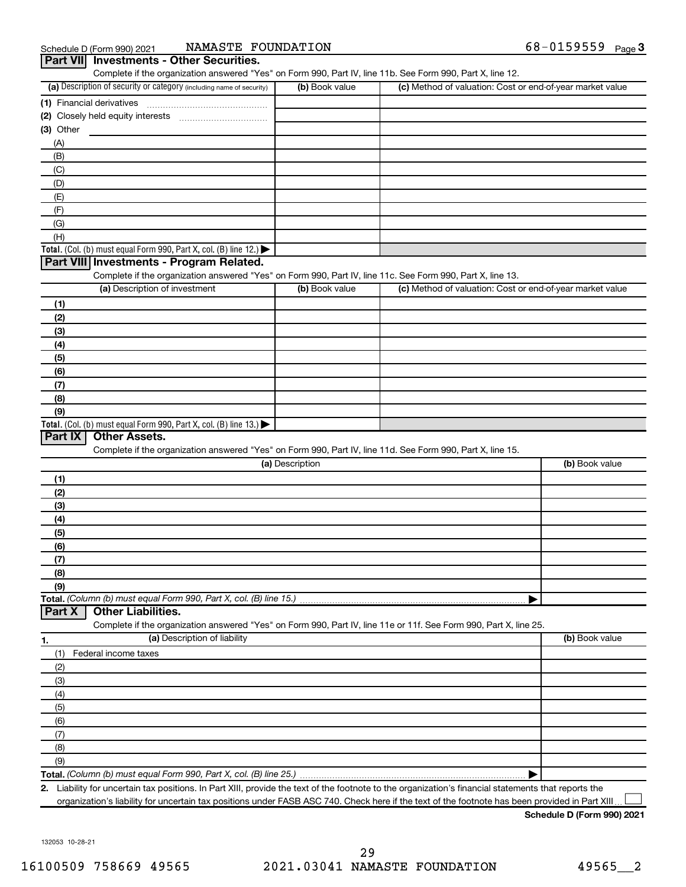| Schedule D (Form 990) 2021                      | NAMASTE FOUNDATION | 68-0159559<br>Page $3$ |
|-------------------------------------------------|--------------------|------------------------|
| <b>Dart VIII</b> Investments - Other Securities |                    |                        |

| (a) Description of security or category (including name of security)                                              | (b) Book value  | (c) Method of valuation: Cost or end-of-year market value |                |
|-------------------------------------------------------------------------------------------------------------------|-----------------|-----------------------------------------------------------|----------------|
| (1) Financial derivatives                                                                                         |                 |                                                           |                |
|                                                                                                                   |                 |                                                           |                |
| (3) Other                                                                                                         |                 |                                                           |                |
| (A)                                                                                                               |                 |                                                           |                |
| (B)                                                                                                               |                 |                                                           |                |
| (C)                                                                                                               |                 |                                                           |                |
| (D)                                                                                                               |                 |                                                           |                |
| (E)                                                                                                               |                 |                                                           |                |
| (F)                                                                                                               |                 |                                                           |                |
| (G)                                                                                                               |                 |                                                           |                |
| (H)                                                                                                               |                 |                                                           |                |
| Total. (Col. (b) must equal Form 990, Part X, col. (B) line 12.)                                                  |                 |                                                           |                |
| Part VIII Investments - Program Related.                                                                          |                 |                                                           |                |
| Complete if the organization answered "Yes" on Form 990, Part IV, line 11c. See Form 990, Part X, line 13.        |                 |                                                           |                |
| (a) Description of investment                                                                                     | (b) Book value  | (c) Method of valuation: Cost or end-of-year market value |                |
|                                                                                                                   |                 |                                                           |                |
| (1)                                                                                                               |                 |                                                           |                |
| (2)                                                                                                               |                 |                                                           |                |
| (3)                                                                                                               |                 |                                                           |                |
| (4)                                                                                                               |                 |                                                           |                |
| (5)                                                                                                               |                 |                                                           |                |
| (6)                                                                                                               |                 |                                                           |                |
| (7)                                                                                                               |                 |                                                           |                |
| (8)                                                                                                               |                 |                                                           |                |
| (9)                                                                                                               |                 |                                                           |                |
| Total. (Col. (b) must equal Form 990, Part X, col. (B) line 13.)                                                  |                 |                                                           |                |
| Part IX<br><b>Other Assets.</b>                                                                                   |                 |                                                           |                |
| Complete if the organization answered "Yes" on Form 990, Part IV, line 11d. See Form 990, Part X, line 15.        |                 |                                                           |                |
|                                                                                                                   | (a) Description |                                                           | (b) Book value |
| (1)                                                                                                               |                 |                                                           |                |
| (2)                                                                                                               |                 |                                                           |                |
| (3)                                                                                                               |                 |                                                           |                |
| (4)                                                                                                               |                 |                                                           |                |
| (5)                                                                                                               |                 |                                                           |                |
| (6)                                                                                                               |                 |                                                           |                |
| (7)                                                                                                               |                 |                                                           |                |
| (8)                                                                                                               |                 |                                                           |                |
| (9)                                                                                                               |                 |                                                           |                |
| Total. (Column (b) must equal Form 990, Part X, col. (B) line 15.)                                                |                 |                                                           |                |
| Part X<br><b>Other Liabilities.</b>                                                                               |                 |                                                           |                |
| Complete if the organization answered "Yes" on Form 990, Part IV, line 11e or 11f. See Form 990, Part X, line 25. |                 |                                                           |                |
| (a) Description of liability<br>1.                                                                                |                 |                                                           | (b) Book value |
|                                                                                                                   |                 |                                                           |                |
| Federal income taxes<br>(1)                                                                                       |                 |                                                           |                |
|                                                                                                                   |                 |                                                           |                |
| (2)                                                                                                               |                 |                                                           |                |
| (3)                                                                                                               |                 |                                                           |                |
| (4)                                                                                                               |                 |                                                           |                |
| (5)                                                                                                               |                 |                                                           |                |
| (6)                                                                                                               |                 |                                                           |                |
| (7)                                                                                                               |                 |                                                           |                |
| (8)                                                                                                               |                 |                                                           |                |
| (9)                                                                                                               |                 |                                                           |                |

**2.** Liability for uncertain tax positions. In Part XIII, provide the text of the footnote to the organization's financial statements that reports the organization's liability for uncertain tax positions under FASB ASC 740. Check here if the text of the footnote has been provided in Part XIII  $\perp$ 

**Schedule D (Form 990) 2021**

132053 10-28-21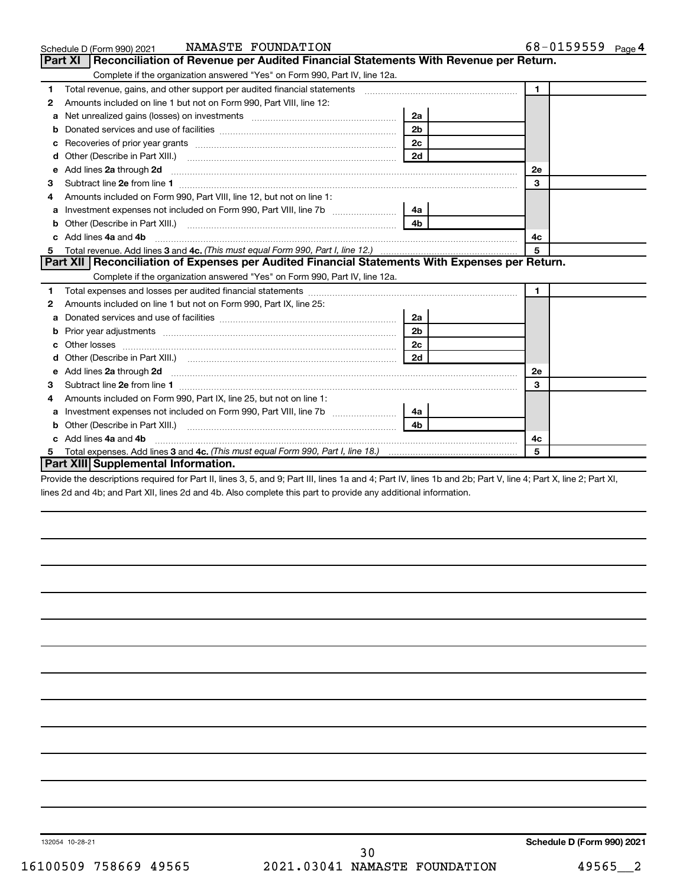|   | NAMASTE FOUNDATION<br>Schedule D (Form 990) 2021                                                                                                                                                                                    |                | 68-0159559 Page 4 |
|---|-------------------------------------------------------------------------------------------------------------------------------------------------------------------------------------------------------------------------------------|----------------|-------------------|
|   | Part XI   Reconciliation of Revenue per Audited Financial Statements With Revenue per Return.                                                                                                                                       |                |                   |
|   | Complete if the organization answered "Yes" on Form 990, Part IV, line 12a.                                                                                                                                                         |                |                   |
| 1 | Total revenue, gains, and other support per audited financial statements [11] [11] Total revenue, gains, and other support per audited financial statements                                                                         |                | $\blacksquare$    |
| 2 | Amounts included on line 1 but not on Form 990, Part VIII, line 12:                                                                                                                                                                 |                |                   |
| a |                                                                                                                                                                                                                                     | 2a             |                   |
| b |                                                                                                                                                                                                                                     | 2 <sub>b</sub> |                   |
| с |                                                                                                                                                                                                                                     | 2 <sub>c</sub> |                   |
| d |                                                                                                                                                                                                                                     | 2d             |                   |
| e | Add lines 2a through 2d <b>[10]</b> University contracts and the set of the set of the set of the set of the set of the set of the set of the set of the set of the set of the set of the set of the set of the set of the set of t |                | 2e                |
| з |                                                                                                                                                                                                                                     |                | 3                 |
|   | Amounts included on Form 990, Part VIII, line 12, but not on line 1:                                                                                                                                                                |                |                   |
| a |                                                                                                                                                                                                                                     | 4a l           |                   |
|   |                                                                                                                                                                                                                                     |                |                   |
|   | Add lines 4a and 4b                                                                                                                                                                                                                 |                | 4с                |
| 5 |                                                                                                                                                                                                                                     |                | 5                 |
|   | Part XII Reconciliation of Expenses per Audited Financial Statements With Expenses per Return.                                                                                                                                      |                |                   |
|   | Complete if the organization answered "Yes" on Form 990, Part IV, line 12a.                                                                                                                                                         |                |                   |
| 1 |                                                                                                                                                                                                                                     |                | $\mathbf 1$       |
| 2 | Amounts included on line 1 but not on Form 990, Part IX, line 25:                                                                                                                                                                   |                |                   |
| a |                                                                                                                                                                                                                                     | 2a             |                   |
| b |                                                                                                                                                                                                                                     | 2 <sub>b</sub> |                   |
|   |                                                                                                                                                                                                                                     | 2c             |                   |
|   | Other (Describe in Part XIII.) (COLORGIAL CONSERVITY) (CONSERVITY) (CONSERVITY) (CONSERVITY) (CONSERVITY) (CONSERVITY)                                                                                                              | 2d             |                   |
| e | Add lines 2a through 2d <b>contained a contained a contained a contained a</b> contained a contained a contained a contained a contained a contained a contained a contained a contained a contained a contained a contained a cont |                | 2е                |
| З |                                                                                                                                                                                                                                     |                | 3                 |
| 4 | Amounts included on Form 990, Part IX, line 25, but not on line 1:                                                                                                                                                                  |                |                   |
| a |                                                                                                                                                                                                                                     | 4a             |                   |
|   |                                                                                                                                                                                                                                     | 4 <sub>b</sub> |                   |
|   | Add lines 4a and 4b                                                                                                                                                                                                                 |                | 4с                |
|   |                                                                                                                                                                                                                                     |                | 5                 |
|   | Part XIII Supplemental Information.                                                                                                                                                                                                 |                |                   |

Provide the descriptions required for Part II, lines 3, 5, and 9; Part III, lines 1a and 4; Part IV, lines 1b and 2b; Part V, line 4; Part X, line 2; Part XI, lines 2d and 4b; and Part XII, lines 2d and 4b. Also complete this part to provide any additional information.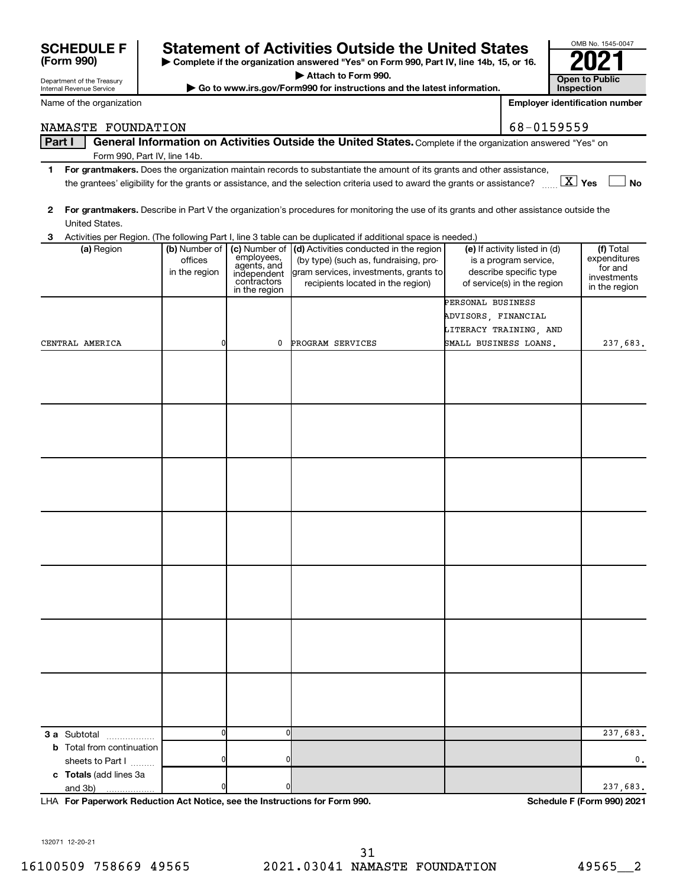## **F**  $\vert$  Statement of Activities Outside the United States

**| Complete if the organization answered "Yes" on Form 990, Part IV, line 14b, 15, or 16. | Attach to Form 990.**

 $\triangleright$  Go to www.irs.gov/Form990 for instructions and the latest information.

| res<br>. or 16.                       | U                     |  |  |  |  |  |
|---------------------------------------|-----------------------|--|--|--|--|--|
|                                       | <b>Open to Public</b> |  |  |  |  |  |
|                                       | Inspection            |  |  |  |  |  |
| <b>Employer identification number</b> |                       |  |  |  |  |  |

OMB No. 1545-0047

NAMASTE FOUNDATION 68-0159559

### **Part I** | General Information on Activities Outside the United States. Complete if the organization answered "Yes" on Form 990, Part IV, line 14b.

- **1 For grantmakers.**  Does the organization maintain records to substantiate the amount of its grants and other assistance, **Yes No** the grantees' eligibility for the grants or assistance, and the selection criteria used to award the grants or assistance? ~~ † † X
- **2 For grantmakers.**  Describe in Part V the organization's procedures for monitoring the use of its grants and other assistance outside the United States.

| (a) Region                                                                 | (b) Number of<br>offices<br>in the region | employees,<br>agents, and<br>independent<br>contractors<br>in the region | (c) Number of (d) Activities conducted in the region<br>(by type) (such as, fundraising, pro-<br>gram services, investments, grants to<br>recipients located in the region) | (e) If activity listed in (d)<br>is a program service,<br>describe specific type<br>of service(s) in the region | (f) Total<br>expenditures<br>for and<br>investments<br>in the region |
|----------------------------------------------------------------------------|-------------------------------------------|--------------------------------------------------------------------------|-----------------------------------------------------------------------------------------------------------------------------------------------------------------------------|-----------------------------------------------------------------------------------------------------------------|----------------------------------------------------------------------|
|                                                                            |                                           |                                                                          |                                                                                                                                                                             | PERSONAL BUSINESS                                                                                               |                                                                      |
|                                                                            |                                           |                                                                          |                                                                                                                                                                             | ADVISORS, FINANCIAL                                                                                             |                                                                      |
|                                                                            |                                           |                                                                          |                                                                                                                                                                             | LITERACY TRAINING, AND                                                                                          |                                                                      |
| CENTRAL AMERICA                                                            | 0                                         | 0                                                                        | PROGRAM SERVICES                                                                                                                                                            | SMALL BUSINESS LOANS.                                                                                           | 237,683.                                                             |
|                                                                            |                                           |                                                                          |                                                                                                                                                                             |                                                                                                                 |                                                                      |
|                                                                            |                                           |                                                                          |                                                                                                                                                                             |                                                                                                                 |                                                                      |
|                                                                            |                                           |                                                                          |                                                                                                                                                                             |                                                                                                                 |                                                                      |
|                                                                            |                                           |                                                                          |                                                                                                                                                                             |                                                                                                                 |                                                                      |
|                                                                            |                                           |                                                                          |                                                                                                                                                                             |                                                                                                                 |                                                                      |
|                                                                            |                                           |                                                                          |                                                                                                                                                                             |                                                                                                                 |                                                                      |
|                                                                            |                                           |                                                                          |                                                                                                                                                                             |                                                                                                                 |                                                                      |
|                                                                            |                                           |                                                                          |                                                                                                                                                                             |                                                                                                                 |                                                                      |
|                                                                            |                                           |                                                                          |                                                                                                                                                                             |                                                                                                                 |                                                                      |
|                                                                            |                                           |                                                                          |                                                                                                                                                                             |                                                                                                                 |                                                                      |
|                                                                            |                                           |                                                                          |                                                                                                                                                                             |                                                                                                                 |                                                                      |
|                                                                            |                                           |                                                                          |                                                                                                                                                                             |                                                                                                                 |                                                                      |
|                                                                            |                                           |                                                                          |                                                                                                                                                                             |                                                                                                                 |                                                                      |
|                                                                            |                                           |                                                                          |                                                                                                                                                                             |                                                                                                                 |                                                                      |
|                                                                            |                                           |                                                                          |                                                                                                                                                                             |                                                                                                                 |                                                                      |
|                                                                            |                                           |                                                                          |                                                                                                                                                                             |                                                                                                                 |                                                                      |
|                                                                            |                                           |                                                                          |                                                                                                                                                                             |                                                                                                                 |                                                                      |
|                                                                            |                                           |                                                                          |                                                                                                                                                                             |                                                                                                                 |                                                                      |
|                                                                            |                                           |                                                                          |                                                                                                                                                                             |                                                                                                                 |                                                                      |
|                                                                            |                                           |                                                                          |                                                                                                                                                                             |                                                                                                                 |                                                                      |
|                                                                            |                                           |                                                                          |                                                                                                                                                                             |                                                                                                                 |                                                                      |
|                                                                            |                                           |                                                                          |                                                                                                                                                                             |                                                                                                                 |                                                                      |
|                                                                            |                                           |                                                                          |                                                                                                                                                                             |                                                                                                                 |                                                                      |
|                                                                            |                                           |                                                                          |                                                                                                                                                                             |                                                                                                                 |                                                                      |
|                                                                            |                                           |                                                                          |                                                                                                                                                                             |                                                                                                                 |                                                                      |
|                                                                            |                                           |                                                                          |                                                                                                                                                                             |                                                                                                                 |                                                                      |
| 3 a Subtotal<br>.                                                          | $\overline{0}$                            | $\mathbf{0}$                                                             |                                                                                                                                                                             |                                                                                                                 | 237,683.                                                             |
| <b>b</b> Total from continuation                                           |                                           |                                                                          |                                                                                                                                                                             |                                                                                                                 |                                                                      |
| sheets to Part I                                                           | $\overline{0}$                            | $\overline{0}$                                                           |                                                                                                                                                                             |                                                                                                                 | $\mathbf 0$ .                                                        |
| c Totals (add lines 3a                                                     |                                           |                                                                          |                                                                                                                                                                             |                                                                                                                 |                                                                      |
| and 3b)                                                                    | 0                                         | $\mathbf 0$                                                              |                                                                                                                                                                             |                                                                                                                 | 237,683.                                                             |
| LHA For Paperwork Reduction Act Notice, see the Instructions for Form 990. |                                           |                                                                          |                                                                                                                                                                             |                                                                                                                 | Schedule F (Form 990) 2021                                           |

| <b>SCHEDULE F</b> |  |
|-------------------|--|
|                   |  |
| (Form 990)        |  |

Department of the Treasury Internal Revenue Service

Name of the organization

**3**

Activities per Region. (The following Part I, line 3 table can be duplicated if additional space is needed.)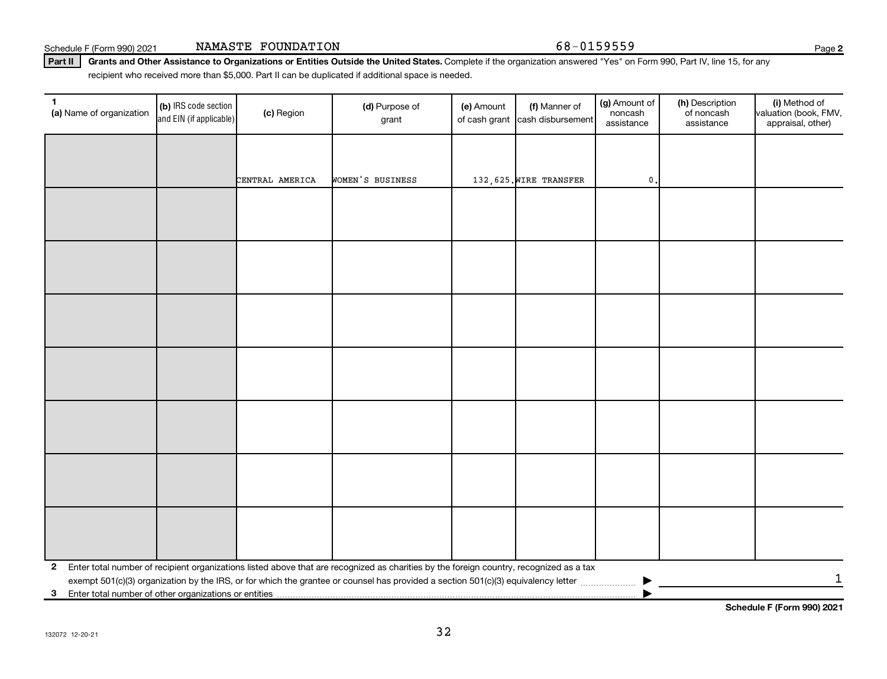132072 12-20-21

| 1<br>(a) Name of organization                              | (b) IRS code section<br>and EIN (if applicable) | (c) Region      | (d) Purpose of<br>grant                                                                                                                 | (e) Amount<br>of cash grant | (f) Manner of<br>cash disbursement | (g) Amount of<br>noncash<br>assistance | (h) Description<br>of noncash<br>assistance | (i) Method of<br>valuation (book, FMV,<br>appraisal, other) |
|------------------------------------------------------------|-------------------------------------------------|-----------------|-----------------------------------------------------------------------------------------------------------------------------------------|-----------------------------|------------------------------------|----------------------------------------|---------------------------------------------|-------------------------------------------------------------|
|                                                            |                                                 |                 |                                                                                                                                         |                             |                                    |                                        |                                             |                                                             |
|                                                            |                                                 | CENTRAL AMERICA | WOMEN'S BUSINESS                                                                                                                        |                             | 132,625. WIRE TRANSFER             | $\mathbf 0$ .                          |                                             |                                                             |
|                                                            |                                                 |                 |                                                                                                                                         |                             |                                    |                                        |                                             |                                                             |
|                                                            |                                                 |                 |                                                                                                                                         |                             |                                    |                                        |                                             |                                                             |
|                                                            |                                                 |                 |                                                                                                                                         |                             |                                    |                                        |                                             |                                                             |
|                                                            |                                                 |                 |                                                                                                                                         |                             |                                    |                                        |                                             |                                                             |
|                                                            |                                                 |                 |                                                                                                                                         |                             |                                    |                                        |                                             |                                                             |
|                                                            |                                                 |                 |                                                                                                                                         |                             |                                    |                                        |                                             |                                                             |
|                                                            |                                                 |                 |                                                                                                                                         |                             |                                    |                                        |                                             |                                                             |
|                                                            |                                                 |                 |                                                                                                                                         |                             |                                    |                                        |                                             |                                                             |
|                                                            |                                                 |                 |                                                                                                                                         |                             |                                    |                                        |                                             |                                                             |
|                                                            |                                                 |                 |                                                                                                                                         |                             |                                    |                                        |                                             |                                                             |
|                                                            |                                                 |                 |                                                                                                                                         |                             |                                    |                                        |                                             |                                                             |
|                                                            |                                                 |                 |                                                                                                                                         |                             |                                    |                                        |                                             |                                                             |
|                                                            |                                                 |                 |                                                                                                                                         |                             |                                    |                                        |                                             |                                                             |
|                                                            |                                                 |                 |                                                                                                                                         |                             |                                    |                                        |                                             |                                                             |
| $\mathbf{2}$                                               |                                                 |                 | Enter total number of recipient organizations listed above that are recognized as charities by the foreign country, recognized as a tax |                             |                                    |                                        |                                             |                                                             |
| Enter total number of other organizations or entities<br>3 |                                                 |                 |                                                                                                                                         |                             |                                    |                                        |                                             | 1                                                           |
|                                                            |                                                 |                 |                                                                                                                                         |                             |                                    |                                        |                                             |                                                             |

Schedule F (Form 990) 2021 NAMASTE FOUNDATION Page 368-0159559

recipient who received more than \$5,000. Part II can be duplicated if additional space is needed.

Part II | Grants and Other Assistance to Organizations or Entities Outside the United States. Complete if the organization answered "Yes" on Form 990, Part IV, line 15, for any

**2**

**Schedule F (Form 990) 2021**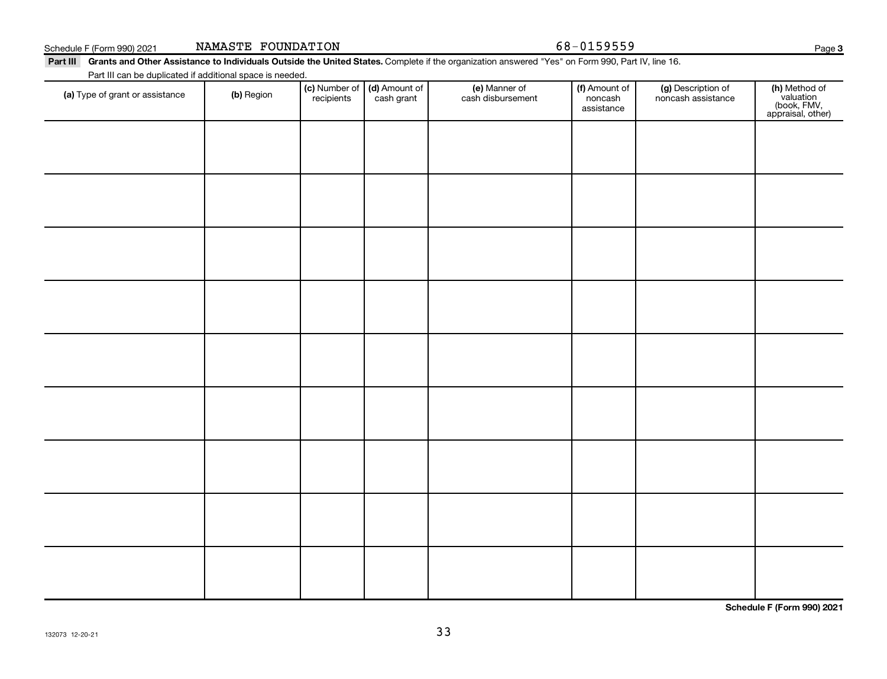Schedule F (Form 990) 2021 NAMASTE FOUNDATION Page 368-0159559

**3**

Part III Grants and Other Assistance to Individuals Outside the United States. Complete if the organization answered "Yes" on Form 990, Part IV, line 16. Part III can be duplicated if additional space is needed.

| Talem can be deploated in additional space is necessar.<br>(a) Type of grant or assistance | (b) Region | (c) Number of (d) Amount of<br>recipients cash grant | (e) Manner of<br>cash disbursement | (f) Amount of<br>noncash<br>assistance | (g) Description of<br>noncash assistance | (h) Method of<br>valuation<br>(book, FMV,<br>appraisal, other) |
|--------------------------------------------------------------------------------------------|------------|------------------------------------------------------|------------------------------------|----------------------------------------|------------------------------------------|----------------------------------------------------------------|
|                                                                                            |            |                                                      |                                    |                                        |                                          |                                                                |
|                                                                                            |            |                                                      |                                    |                                        |                                          |                                                                |
|                                                                                            |            |                                                      |                                    |                                        |                                          |                                                                |
|                                                                                            |            |                                                      |                                    |                                        |                                          |                                                                |
|                                                                                            |            |                                                      |                                    |                                        |                                          |                                                                |
|                                                                                            |            |                                                      |                                    |                                        |                                          |                                                                |
|                                                                                            |            |                                                      |                                    |                                        |                                          |                                                                |
|                                                                                            |            |                                                      |                                    |                                        |                                          |                                                                |
|                                                                                            |            |                                                      |                                    |                                        |                                          |                                                                |
|                                                                                            |            |                                                      |                                    |                                        |                                          |                                                                |

**Schedule F (Form 990) 2021**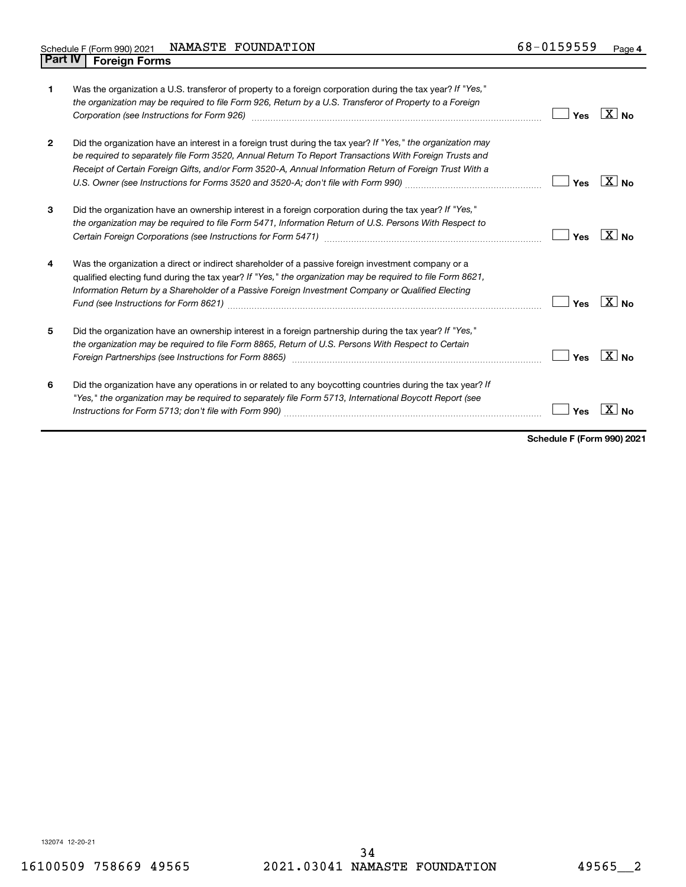| $\mathbf{1}$   | Was the organization a U.S. transferor of property to a foreign corporation during the tax year? If "Yes,"<br>the organization may be required to file Form 926, Return by a U.S. Transferor of Property to a Foreign                                                                                                             | Yes | $ X _{\mathsf{No}}$ |
|----------------|-----------------------------------------------------------------------------------------------------------------------------------------------------------------------------------------------------------------------------------------------------------------------------------------------------------------------------------|-----|---------------------|
| $\overline{2}$ | Did the organization have an interest in a foreign trust during the tax year? If "Yes," the organization may<br>be required to separately file Form 3520, Annual Return To Report Transactions With Foreign Trusts and<br>Receipt of Certain Foreign Gifts, and/or Form 3520-A, Annual Information Return of Foreign Trust With a | Yes | $\sqrt{X}$ No       |
| 3              | Did the organization have an ownership interest in a foreign corporation during the tax year? If "Yes,"<br>the organization may be required to file Form 5471, Information Return of U.S. Persons With Respect to                                                                                                                 | Yes | ∣X I <sub>No</sub>  |
| 4              | Was the organization a direct or indirect shareholder of a passive foreign investment company or a<br>qualified electing fund during the tax year? If "Yes," the organization may be required to file Form 8621,<br>Information Return by a Shareholder of a Passive Foreign Investment Company or Qualified Electing             | Yes | $X_{\text{No}}$     |
| 5              | Did the organization have an ownership interest in a foreign partnership during the tax year? If "Yes,"<br>the organization may be required to file Form 8865, Return of U.S. Persons With Respect to Certain<br>Foreign Partnerships (see Instructions for Form 8865) manufactured contains and contained a manufactured conta   | Yes | ∣ X   <sub>N∩</sub> |
| 6              | Did the organization have any operations in or related to any boycotting countries during the tax year? If<br>"Yes," the organization may be required to separately file Form 5713, International Boycott Report (see                                                                                                             | Yes |                     |

**Schedule F (Form 990) 2021**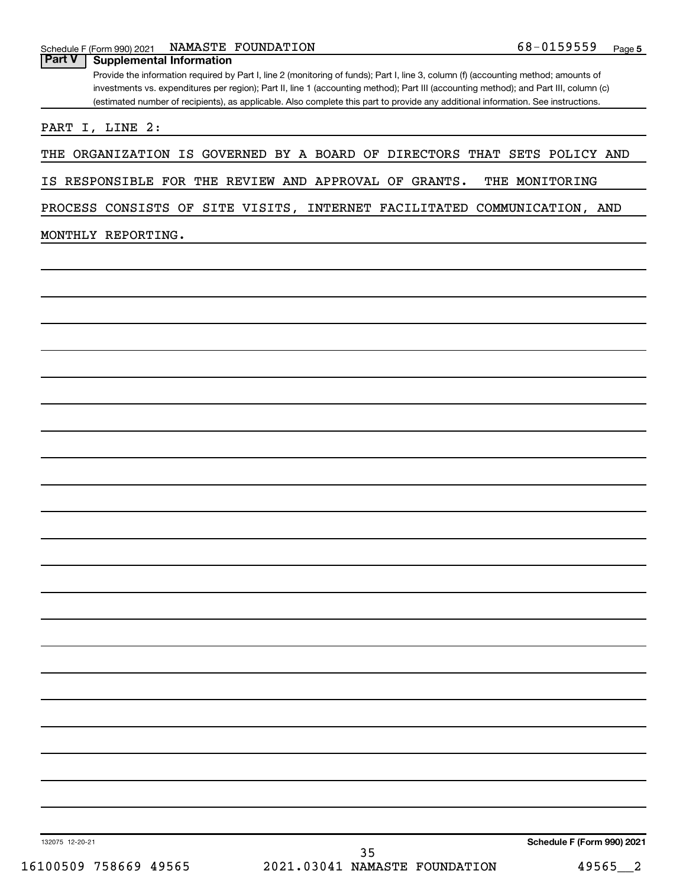### **Part V Supplemental Information**

Provide the information required by Part I, line 2 (monitoring of funds); Part I, line 3, column (f) (accounting method; amounts of investments vs. expenditures per region); Part II, line 1 (accounting method); Part III (accounting method); and Part III, column (c) (estimated number of recipients), as applicable. Also complete this part to provide any additional information. See instructions.

PART I, LINE 2:

THE ORGANIZATION IS GOVERNED BY A BOARD OF DIRECTORS THAT SETS POLICY AND

IS RESPONSIBLE FOR THE REVIEW AND APPROVAL OF GRANTS. THE MONITORING

PROCESS CONSISTS OF SITE VISITS, INTERNET FACILITATED COMMUNICATION, AND

### MONTHLY REPORTING.

132075 12-20-21